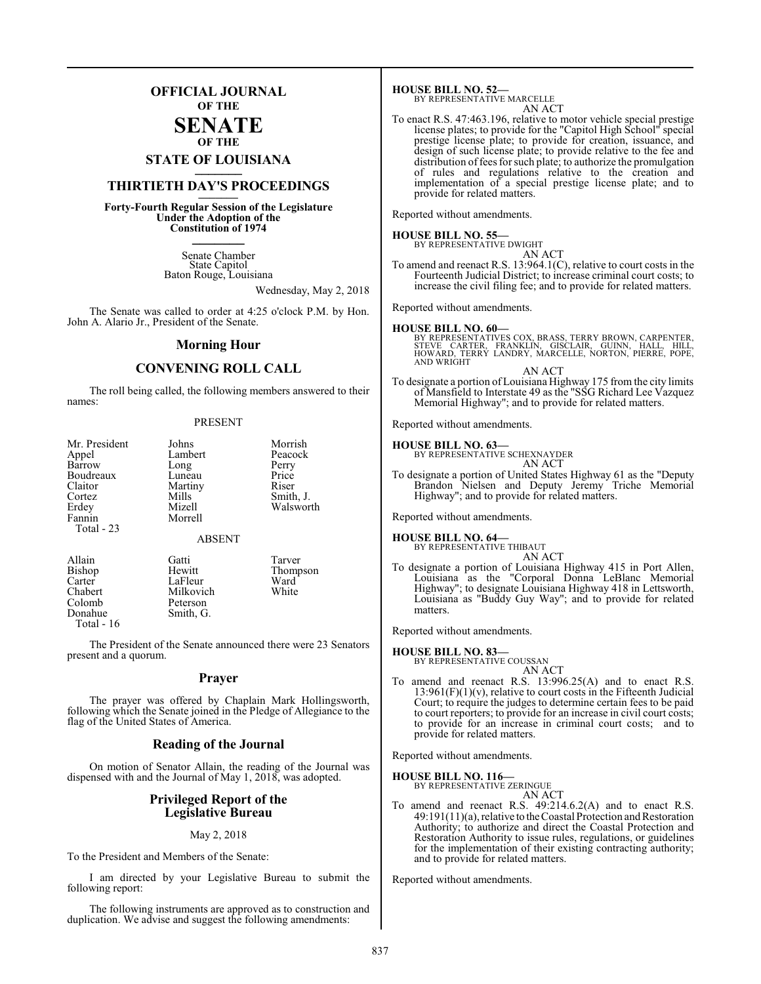## **OFFICIAL JOURNAL OF THE**

#### **SENATE OF THE**

# **STATE OF LOUISIANA \_\_\_\_\_\_\_**

## **THIRTIETH DAY'S PROCEEDINGS \_\_\_\_\_\_\_**

**Forty-Fourth Regular Session of the Legislature Under the Adoption of the Constitution of 1974 \_\_\_\_\_\_\_**

> Senate Chamber State Capitol Baton Rouge, Louisiana

> > Wednesday, May 2, 2018

The Senate was called to order at 4:25 o'clock P.M. by Hon. John A. Alario Jr., President of the Senate.

#### **Morning Hour**

### **CONVENING ROLL CALL**

The roll being called, the following members answered to their names:

#### PRESENT

| Mr. President<br>Appel<br>Barrow<br>Boudreaux<br>Claitor<br>Cortez<br>Erdey<br>Fannin | Johns<br>Lambert<br>Long<br>Luneau<br>Martiny<br>Mills<br>Mizell<br>Morrell | Morrish<br>Peacock<br>Perry<br>Price<br>Riser<br>Smith, J.<br>Walsworth |
|---------------------------------------------------------------------------------------|-----------------------------------------------------------------------------|-------------------------------------------------------------------------|
| Total - 23                                                                            | <b>ABSENT</b>                                                               |                                                                         |
| Allain<br>- - -                                                                       | Gatti                                                                       | Tarver<br>$-1$                                                          |

Colomb<br>Donahue Total - 16

Bishop Hewitt Thompson<br>Carter LaFleur Ward Carter LaFleur Ward<br>Chabert Milkovich White Milkovich<br>Peterson Smith, G.

The President of the Senate announced there were 23 Senators present and a quorum.

#### **Prayer**

The prayer was offered by Chaplain Mark Hollingsworth, following which the Senate joined in the Pledge of Allegiance to the flag of the United States of America.

#### **Reading of the Journal**

On motion of Senator Allain, the reading of the Journal was dispensed with and the Journal of May 1, 2018, was adopted.

#### **Privileged Report of the Legislative Bureau**

#### May 2, 2018

To the President and Members of the Senate:

I am directed by your Legislative Bureau to submit the following report:

The following instruments are approved as to construction and duplication. We advise and suggest the following amendments:

**HOUSE BILL NO. 52—** BY REPRESENTATIVE MARCELLE

AN ACT

To enact R.S. 47:463.196, relative to motor vehicle special prestige license plates; to provide for the "Capitol High School" special prestige license plate; to provide for creation, issuance, and design of such license plate; to provide relative to the fee and distribution of fees for such plate; to authorize the promulgation of rules and regulations relative to the creation and implementation of a special prestige license plate; and to provide for related matters.

Reported without amendments.

## **HOUSE BILL NO. 55—**

BY REPRESENTATIVE DWIGHT

AN ACT To amend and reenact R.S. 13:964.1(C), relative to court costs in the Fourteenth Judicial District; to increase criminal court costs; to increase the civil filing fee; and to provide for related matters.

Reported without amendments.

#### **HOUSE BILL NO. 60—**

BY REPRESENTATIVES COX, BRASS, TERRY BROWN, CARPENTER,<br>STEVE CARTER, FRANKLIN, GISCLAIR, GUINN, HALL, HILL,<br>HOWARD, TERRY LANDRY, MARCELLE, NORTON, PIERRE, POPE,<br>AND WRIGHT AN ACT

To designate a portion ofLouisiana Highway 175 from the city limits of Mansfield to Interstate 49 as the "SSG Richard Lee Vazquez Memorial Highway"; and to provide for related matters.

Reported without amendments.

#### **HOUSE BILL NO. 63—**

BY REPRESENTATIVE SCHEXNAYDER AN ACT

To designate a portion of United States Highway 61 as the "Deputy Brandon Nielsen and Deputy Jeremy Triche Memorial Highway"; and to provide for related matters.

Reported without amendments.

#### **HOUSE BILL NO. 64—**

BY REPRESENTATIVE THIBAUT AN ACT

To designate a portion of Louisiana Highway 415 in Port Allen, Louisiana as the "Corporal Donna LeBlanc Memorial Highway"; to designate Louisiana Highway 418 in Lettsworth, Louisiana as "Buddy Guy Way"; and to provide for related matters.

Reported without amendments.

#### **HOUSE BILL NO. 83—**

BY REPRESENTATIVE COUSSAN AN ACT

To amend and reenact R.S. 13:996.25(A) and to enact R.S.  $13:961(F)(1)(v)$ , relative to court costs in the Fifteenth Judicial Court; to require the judges to determine certain fees to be paid to court reporters; to provide for an increase in civil court costs; to provide for an increase in criminal court costs; and to provide for related matters.

Reported without amendments.

**HOUSE BILL NO. 116—**

BY REPRESENTATIVE ZERINGUE AN ACT

To amend and reenact R.S. 49:214.6.2(A) and to enact R.S.  $49:191(11)(a)$ , relative to the Coastal Protection and Restoration Authority; to authorize and direct the Coastal Protection and Restoration Authority to issue rules, regulations, or guidelines for the implementation of their existing contracting authority; and to provide for related matters.

Reported without amendments.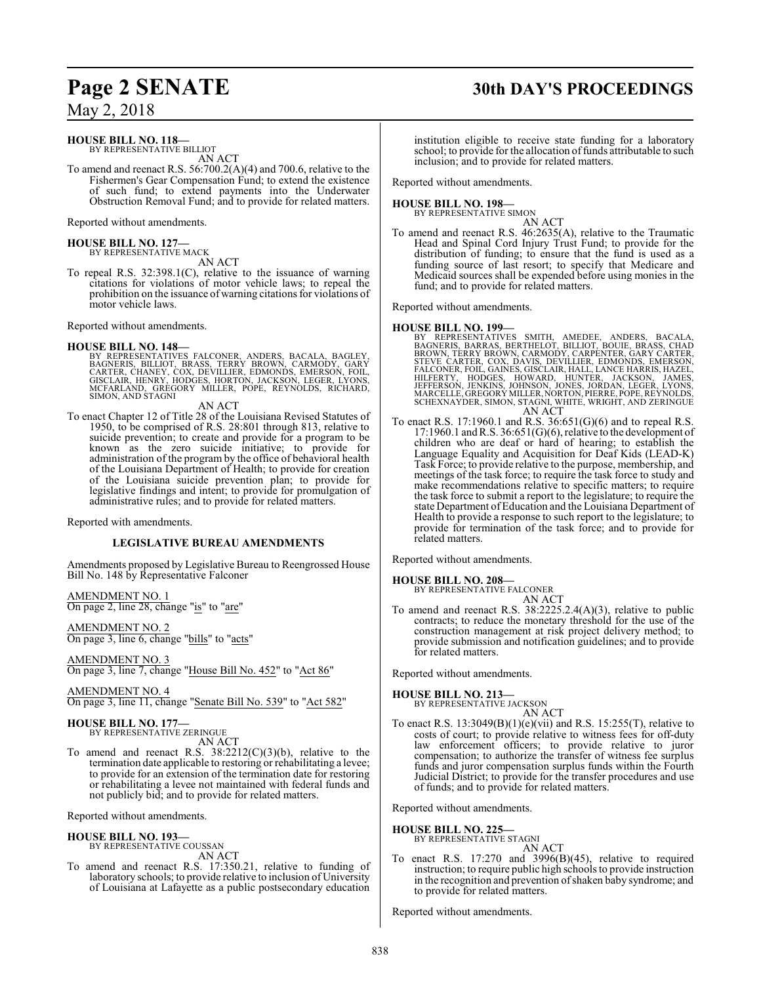### **HOUSE BILL NO. 118—**

BY REPRESENTATIVE BILLIOT AN ACT

To amend and reenact R.S. 56:700.2(A)(4) and 700.6, relative to the Fishermen's Gear Compensation Fund; to extend the existence of such fund; to extend payments into the Underwater Obstruction Removal Fund; and to provide for related matters.

Reported without amendments.

**HOUSE BILL NO. 127—** BY REPRESENTATIVE MACK

AN ACT

To repeal R.S. 32:398.1(C), relative to the issuance of warning citations for violations of motor vehicle laws; to repeal the prohibition on the issuance of warning citations for violations of motor vehicle laws.

Reported without amendments.

**HOUSE BILL NO. 148—**<br>BY REPRESENTATIVES FALCONER, ANDERS, BACALA, BAGLEY,<br>BAGNERIS, BILLIOT, BRASS, TERRY BROWN, CARMODY, GARY<br>CARTER, CHANEY, COX, DEVILLIER, EDMONDS, EMERSON, FOIL,<br>GISCLAIR, HENRY, HODGES, HORTON, JACKS

AN ACT

To enact Chapter 12 of Title 28 of the Louisiana Revised Statutes of 1950, to be comprised of R.S. 28:801 through 813, relative to suicide prevention; to create and provide for a program to be known as the zero suicide initiative; to provide for administration of the program by the office of behavioral health of the Louisiana Department of Health; to provide for creation of the Louisiana suicide prevention plan; to provide for legislative findings and intent; to provide for promulgation of administrative rules; and to provide for related matters.

Reported with amendments.

#### **LEGISLATIVE BUREAU AMENDMENTS**

Amendments proposed by Legislative Bureau to Reengrossed House Bill No. 148 by Representative Falconer

AMENDMENT NO. 1 On page 2, line 28, change "is" to "are"

AMENDMENT NO. 2 On page 3, line 6, change "bills" to "acts"

AMENDMENT NO. 3 On page 3, line 7, change "House Bill No. 452" to "Act 86"

AMENDMENT NO. 4 On page 3, line 11, change "Senate Bill No. 539" to "Act 582"

# **HOUSE BILL NO. 177—** BY REPRESENTATIVE ZERINGUE

AN ACT

To amend and reenact R.S. 38:2212(C)(3)(b), relative to the termination date applicable to restoring or rehabilitating a levee; to provide for an extension of the termination date for restoring or rehabilitating a levee not maintained with federal funds and not publicly bid; and to provide for related matters.

Reported without amendments.

**HOUSE BILL NO. 193—** BY REPRESENTATIVE COUSSAN

AN ACT To amend and reenact R.S. 17:350.21, relative to funding of laboratory schools; to provide relative to inclusion of University of Louisiana at Lafayette as a public postsecondary education

## **Page 2 SENATE 30th DAY'S PROCEEDINGS**

institution eligible to receive state funding for a laboratory school; to provide for the allocation of funds attributable to such inclusion; and to provide for related matters.

Reported without amendments.

# **HOUSE BILL NO. 198—** BY REPRESENTATIVE SIMON

AN ACT

To amend and reenact R.S. 46:2635(A), relative to the Traumatic Head and Spinal Cord Injury Trust Fund; to provide for the distribution of funding; to ensure that the fund is used as a funding source of last resort; to specify that Medicare and Medicaid sources shall be expended before using monies in the fund; and to provide for related matters.

Reported without amendments.

#### **HOUSE BILL NO. 199—**

- BY REPRESENTATIVES SMITH, AMEDEE, ANDERS, BACALA, BACANERIS, BARRAS, BERTHELOT, BULIOT, BOUJE, BRASS, CHAD BROWN, TERRY BROWN, CARMODY, CARPENTER, GARY CARTER, STEVE CARTER, COX, DAVIS, DEVILLIER, EDMONDS, EMERSON, FALCONE
- To enact R.S. 17:1960.1 and R.S. 36:651(G)(6) and to repeal R.S.  $17:1960.1$  and R.S.  $36:651(G)(6)$ , relative to the development of children who are deaf or hard of hearing; to establish the Language Equality and Acquisition for Deaf Kids (LEAD-K) Task Force; to provide relative to the purpose, membership, and meetings of the task force; to require the task force to study and make recommendations relative to specific matters; to require the task force to submit a report to the legislature; to require the state Department of Education and the Louisiana Department of Health to provide a response to such report to the legislature; to provide for termination of the task force; and to provide for related matters.

Reported without amendments.

#### **HOUSE BILL NO. 208—**

BY REPRESENTATIVE FALCONER

AN ACT To amend and reenact R.S. 38:2225.2.4(A)(3), relative to public contracts; to reduce the monetary threshold for the use of the construction management at risk project delivery method; to provide submission and notification guidelines; and to provide for related matters.

Reported without amendments.

# **HOUSE BILL NO. 213—** BY REPRESENTATIVE JACKSON

AN ACT

To enact R.S. 13:3049(B)(1)(e)(vii) and R.S. 15:255(T), relative to costs of court; to provide relative to witness fees for off-duty law enforcement officers; to provide relative to juror compensation; to authorize the transfer of witness fee surplus funds and juror compensation surplus funds within the Fourth Judicial District; to provide for the transfer procedures and use of funds; and to provide for related matters.

Reported without amendments.

#### **HOUSE BILL NO. 225—**

BY REPRESENTATIVE STAGNI

AN ACT To enact R.S. 17:270 and 3996(B)(45), relative to required instruction; to require public high schools to provide instruction in the recognition and prevention ofshaken baby syndrome; and to provide for related matters.

Reported without amendments.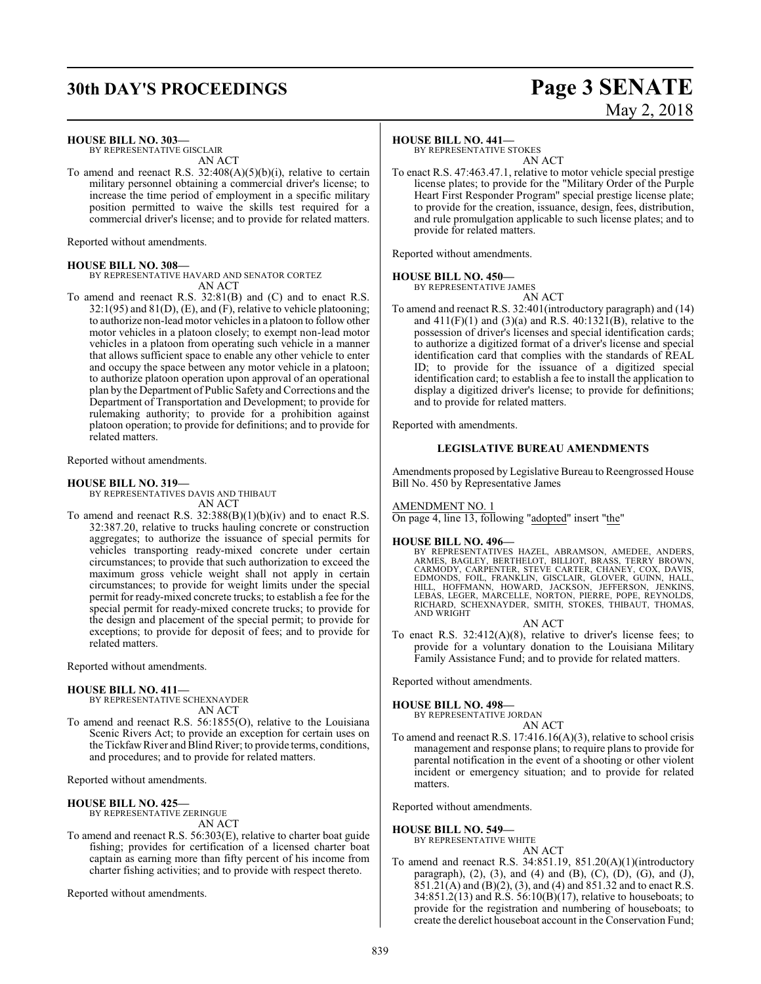## **30th DAY'S PROCEEDINGS Page 3 SENATE**

# May 2, 2018

**HOUSE BILL NO. 303—**

BY REPRESENTATIVE GISCLAIR AN ACT

To amend and reenact R.S.  $32:408(A)(5)(b)(i)$ , relative to certain military personnel obtaining a commercial driver's license; to increase the time period of employment in a specific military position permitted to waive the skills test required for a commercial driver's license; and to provide for related matters.

Reported without amendments.

#### **HOUSE BILL NO. 308—**

BY REPRESENTATIVE HAVARD AND SENATOR CORTEZ AN ACT

To amend and reenact R.S. 32:81(B) and (C) and to enact R.S. 32:1(95) and 81(D), (E), and (F), relative to vehicle platooning; to authorize non-lead motor vehicles in a platoon to follow other motor vehicles in a platoon closely; to exempt non-lead motor vehicles in a platoon from operating such vehicle in a manner that allows sufficient space to enable any other vehicle to enter and occupy the space between any motor vehicle in a platoon; to authorize platoon operation upon approval of an operational plan by the Department of Public Safety and Corrections and the Department of Transportation and Development; to provide for rulemaking authority; to provide for a prohibition against platoon operation; to provide for definitions; and to provide for related matters.

Reported without amendments.

### **HOUSE BILL NO. 319—**

BY REPRESENTATIVES DAVIS AND THIBAUT

AN ACT

To amend and reenact R.S. 32:388(B)(1)(b)(iv) and to enact R.S. 32:387.20, relative to trucks hauling concrete or construction aggregates; to authorize the issuance of special permits for vehicles transporting ready-mixed concrete under certain circumstances; to provide that such authorization to exceed the maximum gross vehicle weight shall not apply in certain circumstances; to provide for weight limits under the special permit for ready-mixed concrete trucks; to establish a fee for the special permit for ready-mixed concrete trucks; to provide for the design and placement of the special permit; to provide for exceptions; to provide for deposit of fees; and to provide for related matters.

Reported without amendments.

#### **HOUSE BILL NO. 411—**

BY REPRESENTATIVE SCHEXNAYDER AN ACT

To amend and reenact R.S. 56:1855(O), relative to the Louisiana Scenic Rivers Act; to provide an exception for certain uses on the Tickfaw River and Blind River; to provide terms, conditions, and procedures; and to provide for related matters.

Reported without amendments.

#### **HOUSE BILL NO. 425—**

BY REPRESENTATIVE ZERINGUE AN ACT

To amend and reenact R.S. 56:303(E), relative to charter boat guide fishing; provides for certification of a licensed charter boat captain as earning more than fifty percent of his income from charter fishing activities; and to provide with respect thereto.

Reported without amendments.

#### **HOUSE BILL NO. 441—**

BY REPRESENTATIVE STOKES AN ACT

To enact R.S. 47:463.47.1, relative to motor vehicle special prestige license plates; to provide for the "Military Order of the Purple Heart First Responder Program" special prestige license plate; to provide for the creation, issuance, design, fees, distribution, and rule promulgation applicable to such license plates; and to provide for related matters.

Reported without amendments.

#### **HOUSE BILL NO. 450—** BY REPRESENTATIVE JAMES

AN ACT

To amend and reenact R.S. 32:401(introductory paragraph) and (14) and  $411(F)(1)$  and  $(3)(a)$  and R.S.  $40:1321(B)$ , relative to the possession of driver's licenses and special identification cards; to authorize a digitized format of a driver's license and special identification card that complies with the standards of REAL ID; to provide for the issuance of a digitized special identification card; to establish a fee to install the application to display a digitized driver's license; to provide for definitions; and to provide for related matters.

Reported with amendments.

#### **LEGISLATIVE BUREAU AMENDMENTS**

Amendments proposed by Legislative Bureau to Reengrossed House Bill No. 450 by Representative James

AMENDMENT NO. 1

On page 4, line 13, following "adopted" insert "the"

#### **HOUSE BILL NO. 496—**

BY REPRESENTATIVES HAZEL, ABRAMSON, AMEDEE, ANDERS, ARMES, BAGLEY, BERTHELOT, BILLIOT, BRASS, TERRY BROWN,<br>CARMODY, CARPENTER, STEVE CARTER, CHANEY, COX, DAVIS,<br>EDMONDS, FOIL, FRANKLIN, GISCLAIR, GLOVER, GUINN, HALL,<br>HILL, HOFFMANN, HOWARD, JACKSON, JEFFERSON, JENKINS, LEBAS, LEGER, MARCELLE, NORTON, PIERRE, POPE, REYNOLDS, RICHARD, SCHEXNAYDER, SMITH, STOKES, THIBAUT, THOMAS, AND WRIGHT

AN ACT

To enact R.S. 32:412(A)(8), relative to driver's license fees; to provide for a voluntary donation to the Louisiana Military Family Assistance Fund; and to provide for related matters.

Reported without amendments.

#### **HOUSE BILL NO. 498—**

BY REPRESENTATIVE JORDAN AN ACT

To amend and reenact R.S. 17:416.16(A)(3), relative to school crisis management and response plans; to require plans to provide for parental notification in the event of a shooting or other violent incident or emergency situation; and to provide for related matters.

Reported without amendments.

#### **HOUSE BILL NO. 549—**

BY REPRESENTATIVE WHITE AN ACT

To amend and reenact R.S. 34:851.19, 851.20(A)(1)(introductory paragraph),  $(2)$ ,  $(3)$ , and  $(4)$  and  $(B)$ ,  $(C)$ ,  $(D)$ ,  $(G)$ , and  $(J)$ , 851.21(A) and (B)(2), (3), and (4) and 851.32 and to enact R.S. 34:851.2(13) and R.S. 56:10(B)(17), relative to houseboats; to provide for the registration and numbering of houseboats; to create the derelict houseboat account in the Conservation Fund;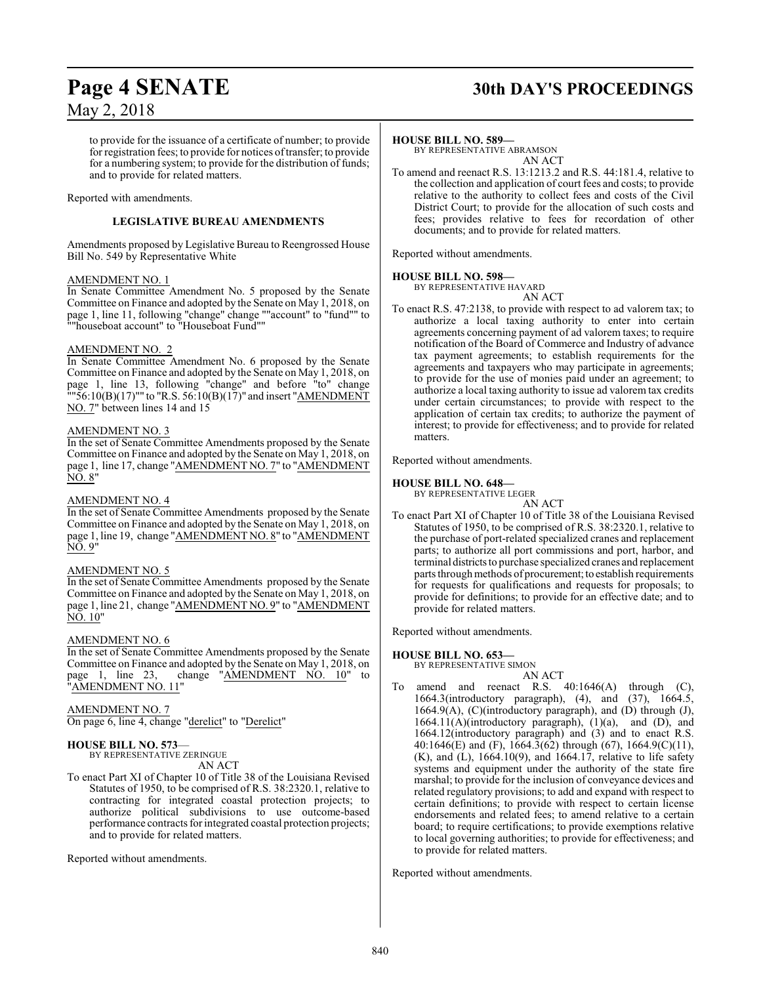## **Page 4 SENATE 30th DAY'S PROCEEDINGS**

to provide for the issuance of a certificate of number; to provide for registration fees; to provide for notices oftransfer; to provide for a numbering system; to provide for the distribution of funds; and to provide for related matters.

#### Reported with amendments.

#### **LEGISLATIVE BUREAU AMENDMENTS**

Amendments proposed by Legislative Bureau to Reengrossed House Bill No. 549 by Representative White

#### AMENDMENT NO. 1

In Senate Committee Amendment No. 5 proposed by the Senate Committee on Finance and adopted by the Senate on May 1, 2018, on page 1, line 11, following "change" change ""account" to "fund"" to ""houseboat account" to "Houseboat Fund""

#### AMENDMENT NO. 2

In Senate Committee Amendment No. 6 proposed by the Senate Committee on Finance and adopted by the Senate on May 1, 2018, on page 1, line 13, following "change" and before "to" change  $\frac{1}{10}$  = 56:10(B)(17)"" to "R.S. 56:10(B)(17)" and insert "AMENDMENT NO. 7" between lines 14 and 15

#### AMENDMENT NO. 3

In the set of Senate Committee Amendments proposed by the Senate Committee on Finance and adopted by the Senate on May 1, 2018, on page 1, line 17, change "AMENDMENT NO. 7" to "AMENDMENT NO. 8"

#### AMENDMENT NO. 4

In the set of Senate Committee Amendments proposed by the Senate Committee on Finance and adopted by the Senate on May 1, 2018, on page 1, line 19, change "AMENDMENT NO. 8" to "AMENDMENT NO. 9"

#### AMENDMENT NO. 5

In the set of Senate Committee Amendments proposed by the Senate Committee on Finance and adopted by the Senate on May 1, 2018, on page 1, line 21, change "AMENDMENT NO. 9" to "AMENDMENT NO. 10"

#### AMENDMENT NO. 6

In the set of Senate Committee Amendments proposed by the Senate Committee on Finance and adopted by the Senate on May 1, 2018, on<br>page 1, line 23, change "AMENDMENT NO. 10" to "AMENDMENT NO. 10" to 'AMENDMENT NO. 11'

#### AMENDMENT NO. 7

On page 6, line 4, change "derelict" to "Derelict"

#### **HOUSE BILL NO. 573**—

BY REPRESENTATIVE ZERINGUE AN ACT

To enact Part XI of Chapter 10 of Title 38 of the Louisiana Revised Statutes of 1950, to be comprised of R.S. 38:2320.1, relative to contracting for integrated coastal protection projects; to authorize political subdivisions to use outcome-based performance contracts for integrated coastal protection projects; and to provide for related matters.

Reported without amendments.

#### **HOUSE BILL NO. 589—**

BY REPRESENTATIVE ABRAMSON AN ACT

To amend and reenact R.S. 13:1213.2 and R.S. 44:181.4, relative to the collection and application of court fees and costs; to provide relative to the authority to collect fees and costs of the Civil District Court; to provide for the allocation of such costs and fees; provides relative to fees for recordation of other documents; and to provide for related matters.

Reported without amendments.

#### **HOUSE BILL NO. 598—**

BY REPRESENTATIVE HAVARD AN ACT

To enact R.S. 47:2138, to provide with respect to ad valorem tax; to authorize a local taxing authority to enter into certain agreements concerning payment of ad valorem taxes; to require notification of the Board of Commerce and Industry of advance tax payment agreements; to establish requirements for the agreements and taxpayers who may participate in agreements; to provide for the use of monies paid under an agreement; to authorize a local taxing authority to issue ad valorem tax credits under certain circumstances; to provide with respect to the application of certain tax credits; to authorize the payment of interest; to provide for effectiveness; and to provide for related matters.

Reported without amendments.

#### **HOUSE BILL NO. 648—**

BY REPRESENTATIVE LEGER AN ACT

To enact Part XI of Chapter 10 of Title 38 of the Louisiana Revised Statutes of 1950, to be comprised of R.S. 38:2320.1, relative to the purchase of port-related specialized cranes and replacement parts; to authorize all port commissions and port, harbor, and terminal districtsto purchase specialized cranes and replacement parts through methods of procurement; to establish requirements for requests for qualifications and requests for proposals; to provide for definitions; to provide for an effective date; and to provide for related matters.

Reported without amendments.

#### **HOUSE BILL NO. 653—**

BY REPRESENTATIVE SIMON

- AN ACT
- To amend and reenact R.S. 40:1646(A) through (C), 1664.3(introductory paragraph), (4), and (37), 1664.5, 1664.9(A), (C)(introductory paragraph), and (D) through (J), 1664.11(A)(introductory paragraph), (1)(a), and (D), and 1664.12(introductory paragraph) and (3) and to enact R.S. 40:1646(E) and (F), 1664.3(62) through (67), 1664.9(C)(11), (K), and (L), 1664.10(9), and 1664.17, relative to life safety systems and equipment under the authority of the state fire marshal; to provide for the inclusion of conveyance devices and related regulatory provisions; to add and expand with respect to certain definitions; to provide with respect to certain license endorsements and related fees; to amend relative to a certain board; to require certifications; to provide exemptions relative to local governing authorities; to provide for effectiveness; and to provide for related matters.

Reported without amendments.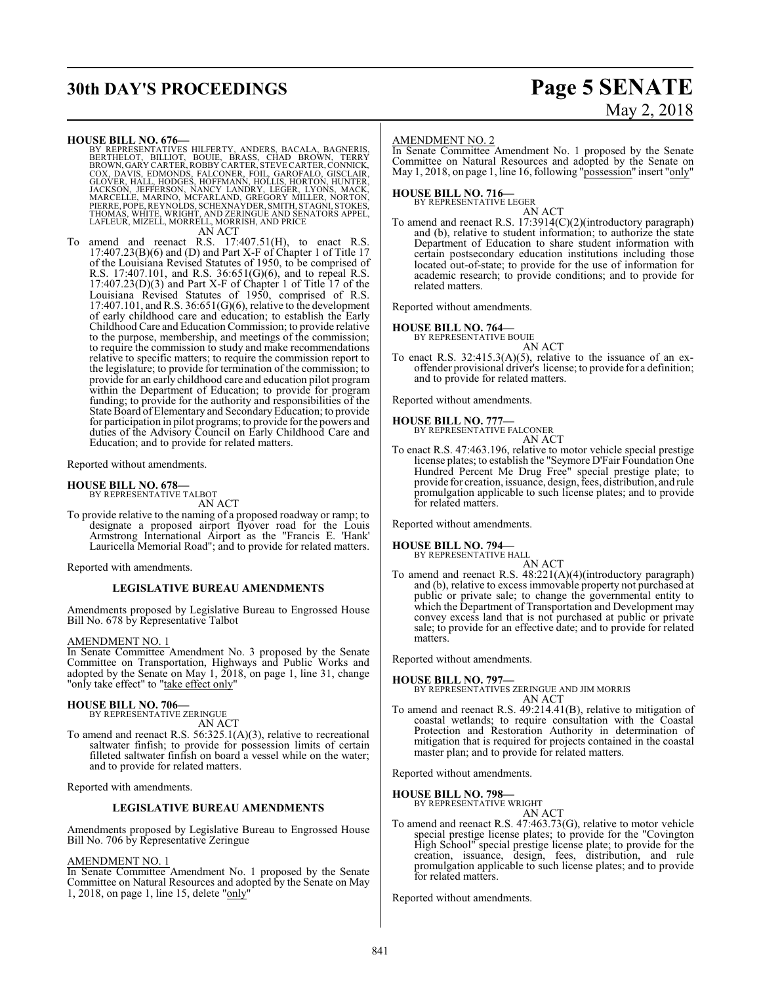## **30th DAY'S PROCEEDINGS Page 5 SENATE**

# May 2, 2018

#### **HOUSE BILL NO. 676—**

BY REPRESENTATIVES HILFERTY, ANDERS, BACALA, BAGNERIS, BERTHELOT, BILLIOT, BOUIE, BRASS, CHAD BROWN, GERY CARTER, ROBBY CARTER, STEVE CARTER, CONNICK, COX, DAVIS, EDMONDS, FALCONER, FOIL, GAROFALO, GISCLAIR, GICOVER, HALL,

To amend and reenact R.S. 17:407.51(H), to enact R.S. 17:407.23(B)(6) and (D) and Part X-F of Chapter 1 of Title 17 of the Louisiana Revised Statutes of 1950, to be comprised of R.S. 17:407.101, and R.S. 36:651(G)(6), and to repeal R.S. 17:407.23(D)(3) and Part X-F of Chapter 1 of Title 17 of the Louisiana Revised Statutes of 1950, comprised of R.S.  $17:407.101$ , and R.S.  $36:651(G)(6)$ , relative to the development of early childhood care and education; to establish the Early Childhood Care and Education Commission; to provide relative to the purpose, membership, and meetings of the commission; to require the commission to study and make recommendations relative to specific matters; to require the commission report to the legislature; to provide for termination of the commission; to provide for an early childhood care and education pilot program within the Department of Education; to provide for program funding; to provide for the authority and responsibilities of the State Board of Elementary and Secondary Education; to provide for participation in pilot programs; to provide for the powers and duties of the Advisory Council on Early Childhood Care and Education; and to provide for related matters.

Reported without amendments.

#### **HOUSE BILL NO. 678—**

BY REPRESENTATIVE TALBOT AN ACT

To provide relative to the naming of a proposed roadway or ramp; to designate a proposed airport flyover road for the Louis Armstrong International Airport as the "Francis E. 'Hank' Lauricella Memorial Road"; and to provide for related matters.

Reported with amendments.

#### **LEGISLATIVE BUREAU AMENDMENTS**

Amendments proposed by Legislative Bureau to Engrossed House Bill No. 678 by Representative Talbot

#### AMENDMENT NO. 1

In Senate Committee Amendment No. 3 proposed by the Senate Committee on Transportation, Highways and Public Works and adopted by the Senate on May 1, 2018, on page 1, line 31, change "only take effect" to "take effect only"

#### **HOUSE BILL NO. 706—**

BY REPRESENTATIVE ZERINGUE AN ACT

To amend and reenact R.S. 56:325.1(A)(3), relative to recreational saltwater finfish; to provide for possession limits of certain filleted saltwater finfish on board a vessel while on the water; and to provide for related matters.

Reported with amendments.

#### **LEGISLATIVE BUREAU AMENDMENTS**

Amendments proposed by Legislative Bureau to Engrossed House Bill No. 706 by Representative Zeringue

#### AMENDMENT NO. 1

In Senate Committee Amendment No. 1 proposed by the Senate Committee on Natural Resources and adopted by the Senate on May 1, 2018, on page 1, line 15, delete "only"

#### AMENDMENT NO. 2

In Senate Committee Amendment No. 1 proposed by the Senate Committee on Natural Resources and adopted by the Senate on May 1, 2018, on page 1, line 16, following "possession" insert "only"

#### **HOUSE BILL NO. 716—** BY REPRESENTATIVE LEGER

AN ACT

To amend and reenact R.S. 17:3914(C)(2)(introductory paragraph) and (b), relative to student information; to authorize the state Department of Education to share student information with certain postsecondary education institutions including those located out-of-state; to provide for the use of information for academic research; to provide conditions; and to provide for related matters.

Reported without amendments.

#### **HOUSE BILL NO. 764—**

BY REPRESENTATIVE BOUIE

AN ACT

To enact R.S.  $32:415.3(A)(5)$ , relative to the issuance of an exoffender provisional driver's license; to provide for a definition; and to provide for related matters.

Reported without amendments.

## **HOUSE BILL NO. 777—** BY REPRESENTATIVE FALCONER

AN ACT

To enact R.S. 47:463.196, relative to motor vehicle special prestige license plates; to establish the "Seymore D'Fair Foundation One Hundred Percent Me Drug Free" special prestige plate; to provide for creation, issuance, design, fees, distribution, and rule promulgation applicable to such license plates; and to provide for related matters.

Reported without amendments.

## **HOUSE BILL NO. 794—** BY REPRESENTATIVE HALL

AN ACT

To amend and reenact R.S. 48:221(A)(4)(introductory paragraph) and (b), relative to excess immovable property not purchased at public or private sale; to change the governmental entity to which the Department of Transportation and Development may convey excess land that is not purchased at public or private sale; to provide for an effective date; and to provide for related matters.

Reported without amendments.

#### **HOUSE BILL NO. 797—**

BY REPRESENTATIVES ZERINGUE AND JIM MORRIS AN ACT

To amend and reenact R.S. 49:214.41(B), relative to mitigation of coastal wetlands; to require consultation with the Coastal Protection and Restoration Authority in determination of mitigation that is required for projects contained in the coastal master plan; and to provide for related matters.

Reported without amendments.

#### **HOUSE BILL NO. 798—**

BY REPRESENTATIVE WRIGHT AN ACT

To amend and reenact R.S. 47:463.73(G), relative to motor vehicle special prestige license plates; to provide for the "Covington High School" special prestige license plate; to provide for the creation, issuance, design, fees, distribution, and rule promulgation applicable to such license plates; and to provide for related matters.

Reported without amendments.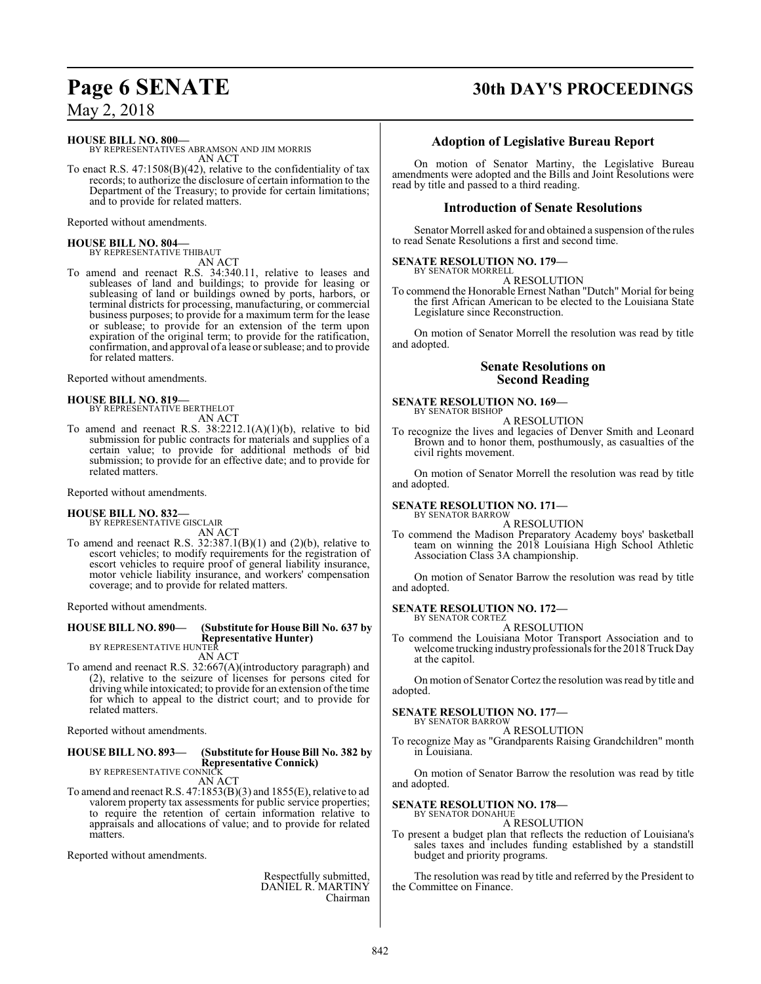#### **HOUSE BILL NO. 800—**

BY REPRESENTATIVES ABRAMSON AND JIM MORRIS AN ACT

To enact R.S. 47:1508(B)(42), relative to the confidentiality of tax records; to authorize the disclosure of certain information to the Department of the Treasury; to provide for certain limitations; and to provide for related matters.

Reported without amendments.

#### **HOUSE BILL NO. 804—** BY REPRESENTATIVE THIBAUT

AN ACT

To amend and reenact R.S. 34:340.11, relative to leases and subleases of land and buildings; to provide for leasing or subleasing of land or buildings owned by ports, harbors, or terminal districts for processing, manufacturing, or commercial business purposes; to provide for a maximum term for the lease or sublease; to provide for an extension of the term upon expiration of the original term; to provide for the ratification, confirmation, and approval of a lease orsublease; and to provide for related matters.

Reported without amendments.

#### **HOUSE BILL NO. 819—**

BY REPRESENTATIVE BERTHELOT AN ACT

To amend and reenact R.S. 38:2212.1(A)(1)(b), relative to bid submission for public contracts for materials and supplies of a certain value; to provide for additional methods of bid submission; to provide for an effective date; and to provide for related matters.

Reported without amendments.

**HOUSE BILL NO. 832—** BY REPRESENTATIVE GISCLAIR AN ACT

To amend and reenact R.S.  $32:387.1(B)(1)$  and  $(2)(b)$ , relative to escort vehicles; to modify requirements for the registration of escort vehicles to require proof of general liability insurance, motor vehicle liability insurance, and workers' compensation coverage; and to provide for related matters.

Reported without amendments.

## **HOUSE BILL NO. 890— (Substitute for House Bill No. 637 by Representative Hunter)** BY REPRESENTATIVE HUNTER

AN ACT To amend and reenact R.S. 32:667(A)(introductory paragraph) and (2), relative to the seizure of licenses for persons cited for driving while intoxicated; to provide for an extension ofthe time for which to appeal to the district court; and to provide for related matters.

Reported without amendments.

#### **HOUSE BILL NO. 893— (Substitute for House Bill No. 382 by Representative Connick)** BY REPRESENTATIVE CONNICK

AN ACT

To amend and reenact R.S. 47:1853(B)(3) and 1855(E), relative to ad valorem property tax assessments for public service properties; to require the retention of certain information relative to appraisals and allocations of value; and to provide for related matters.

Reported without amendments.

Respectfully submitted, DANIEL R. MARTINY Chairman

## **Page 6 SENATE 30th DAY'S PROCEEDINGS**

#### **Adoption of Legislative Bureau Report**

On motion of Senator Martiny, the Legislative Bureau amendments were adopted and the Bills and Joint Resolutions were read by title and passed to a third reading.

#### **Introduction of Senate Resolutions**

Senator Morrell asked for and obtained a suspension of the rules to read Senate Resolutions a first and second time.

#### **SENATE RESOLUTION NO. 179—**

BY SENATOR MORRELL A RESOLUTION

To commend the Honorable Ernest Nathan "Dutch" Morial for being the first African American to be elected to the Louisiana State Legislature since Reconstruction.

On motion of Senator Morrell the resolution was read by title and adopted.

#### **Senate Resolutions on Second Reading**

#### **SENATE RESOLUTION NO. 169—** BY SENATOR BISHOP

A RESOLUTION

To recognize the lives and legacies of Denver Smith and Leonard Brown and to honor them, posthumously, as casualties of the civil rights movement.

On motion of Senator Morrell the resolution was read by title and adopted.

#### **SENATE RESOLUTION NO. 171—**

BY SENATOR BARROW A RESOLUTION

To commend the Madison Preparatory Academy boys' basketball team on winning the 2018 Louisiana High School Athletic Association Class 3A championship.

On motion of Senator Barrow the resolution was read by title and adopted.

#### **SENATE RESOLUTION NO. 172—** BY SENATOR CORTEZ

A RESOLUTION

To commend the Louisiana Motor Transport Association and to welcome trucking industry professionals for the 2018 Truck Day at the capitol.

On motion of Senator Cortez the resolution was read by title and adopted.

#### **SENATE RESOLUTION NO. 177—**

BY SENATOR BARROW A RESOLUTION A RESOLUTION

To recognize May as "Grandparents Raising Grandchildren" month in Louisiana.

On motion of Senator Barrow the resolution was read by title and adopted.

## **SENATE RESOLUTION NO. 178—** BY SENATOR DONAHUE

#### A RESOLUTION

To present a budget plan that reflects the reduction of Louisiana's sales taxes and includes funding established by a standstill budget and priority programs.

The resolution was read by title and referred by the President to the Committee on Finance.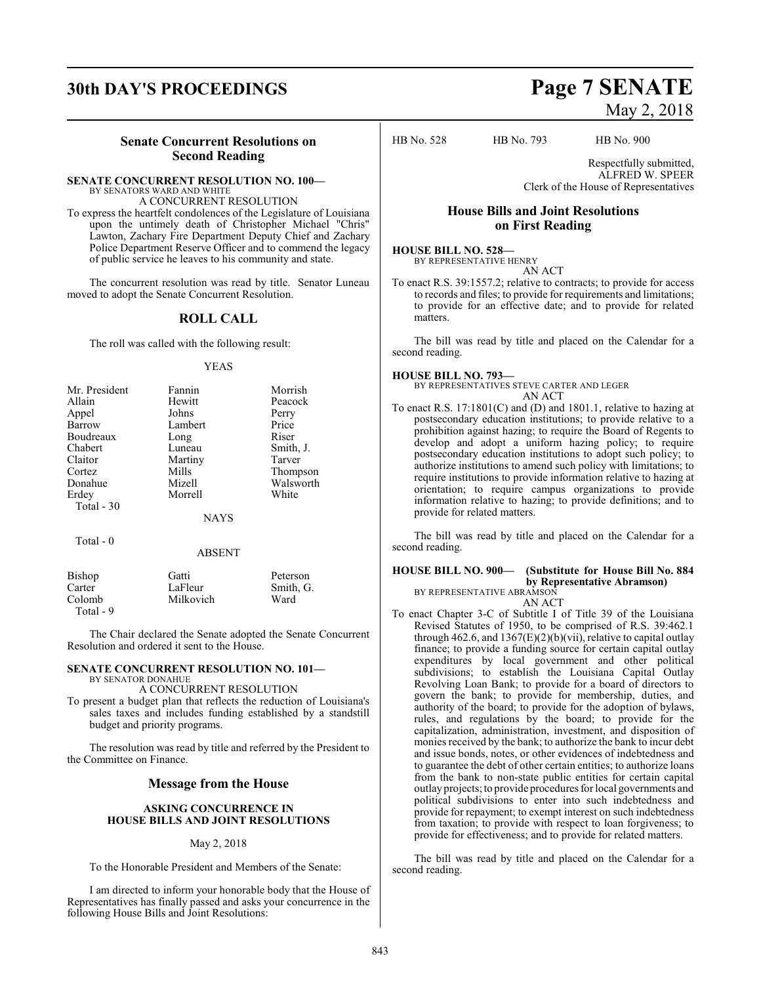# **30th DAY'S PROCEEDINGS Page 7 SENATE**

### **Senate Concurrent Resolutions on Second Reading**

#### **SENATE CONCURRENT RESOLUTION NO. 100—** BY SENATORS WARD AND WHITE

A CONCURRENT RESOLUTION

To express the heartfelt condolences of the Legislature of Louisiana upon the untimely death of Christopher Michael "Chris" Lawton, Zachary Fire Department Deputy Chief and Zachary Police Department Reserve Officer and to commend the legacy of public service he leaves to his community and state.

The concurrent resolution was read by title. Senator Luneau moved to adopt the Senate Concurrent Resolution.

### **ROLL CALL**

The roll was called with the following result:

#### YEAS

| Mr. President | Fannin      | Morrish   |
|---------------|-------------|-----------|
| Allain        | Hewitt      | Peacock   |
| Appel         | Johns       | Perry     |
| Barrow        | Lambert     | Price     |
| Boudreaux     | Long        | Riser     |
| Chabert       | Luneau      | Smith, J. |
| Claitor       | Martiny     | Tarver    |
| Cortez        | Mills       | Thompson  |
| Donahue       | Mizell      | Walsworth |
| Erdey         | Morrell     | White     |
| Total - 30    |             |           |
|               | <b>NAYS</b> |           |
| Total - 0     |             |           |

#### **ABSENT**

| Bishop    | Gatti     | Peterson  |
|-----------|-----------|-----------|
| Carter    | LaFleur   | Smith, G. |
| Colomb    | Milkovich | Ward      |
| Total - 9 |           |           |

The Chair declared the Senate adopted the Senate Concurrent Resolution and ordered it sent to the House.

#### **SENATE CONCURRENT RESOLUTION NO. 101—** BY SENATOR DONAHUE

A CONCURRENT RESOLUTION

To present a budget plan that reflects the reduction of Louisiana's sales taxes and includes funding established by a standstill budget and priority programs.

The resolution was read by title and referred by the President to the Committee on Finance.

### **Message from the House**

#### **ASKING CONCURRENCE IN HOUSE BILLS AND JOINT RESOLUTIONS**

#### May 2, 2018

To the Honorable President and Members of the Senate:

I am directed to inform your honorable body that the House of Representatives has finally passed and asks your concurrence in the following House Bills and Joint Resolutions:

# May 2, 2018

HB No. 528 HB No. 793 HB No. 900

Respectfully submitted, ALFRED W. SPEER Clerk of the House of Representatives

### **House Bills and Joint Resolutions on First Reading**

#### **HOUSE BILL NO. 528—** BY REPRESENTATIVE HENRY

AN ACT

To enact R.S. 39:1557.2; relative to contracts; to provide for access to records and files; to provide for requirements and limitations; to provide for an effective date; and to provide for related matters.

The bill was read by title and placed on the Calendar for a second reading.

#### **HOUSE BILL NO. 793—**

BY REPRESENTATIVES STEVE CARTER AND LEGER AN ACT

To enact R.S. 17:1801(C) and (D) and 1801.1, relative to hazing at postsecondary education institutions; to provide relative to a prohibition against hazing; to require the Board of Regents to develop and adopt a uniform hazing policy; to require postsecondary education institutions to adopt such policy; to authorize institutions to amend such policy with limitations; to require institutions to provide information relative to hazing at orientation; to require campus organizations to provide information relative to hazing; to provide definitions; and to provide for related matters.

The bill was read by title and placed on the Calendar for a second reading.

#### **HOUSE BILL NO. 900— (Substitute for House Bill No. 884 by Representative Abramson)** BY REPRESENTATIVE ABRAMSON

AN ACT

To enact Chapter 3-C of Subtitle I of Title 39 of the Louisiana Revised Statutes of 1950, to be comprised of R.S. 39:462.1 through 462.6, and  $1367(E)(2)(b)(vii)$ , relative to capital outlay finance; to provide a funding source for certain capital outlay expenditures by local government and other political subdivisions; to establish the Louisiana Capital Outlay Revolving Loan Bank; to provide for a board of directors to govern the bank; to provide for membership, duties, and authority of the board; to provide for the adoption of bylaws, rules, and regulations by the board; to provide for the capitalization, administration, investment, and disposition of monies received by the bank; to authorize the bank to incur debt and issue bonds, notes, or other evidences of indebtedness and to guarantee the debt of other certain entities; to authorize loans from the bank to non-state public entities for certain capital outlay projects; to provide procedures for local governments and political subdivisions to enter into such indebtedness and provide for repayment; to exempt interest on such indebtedness from taxation; to provide with respect to loan forgiveness; to provide for effectiveness; and to provide for related matters.

The bill was read by title and placed on the Calendar for a second reading.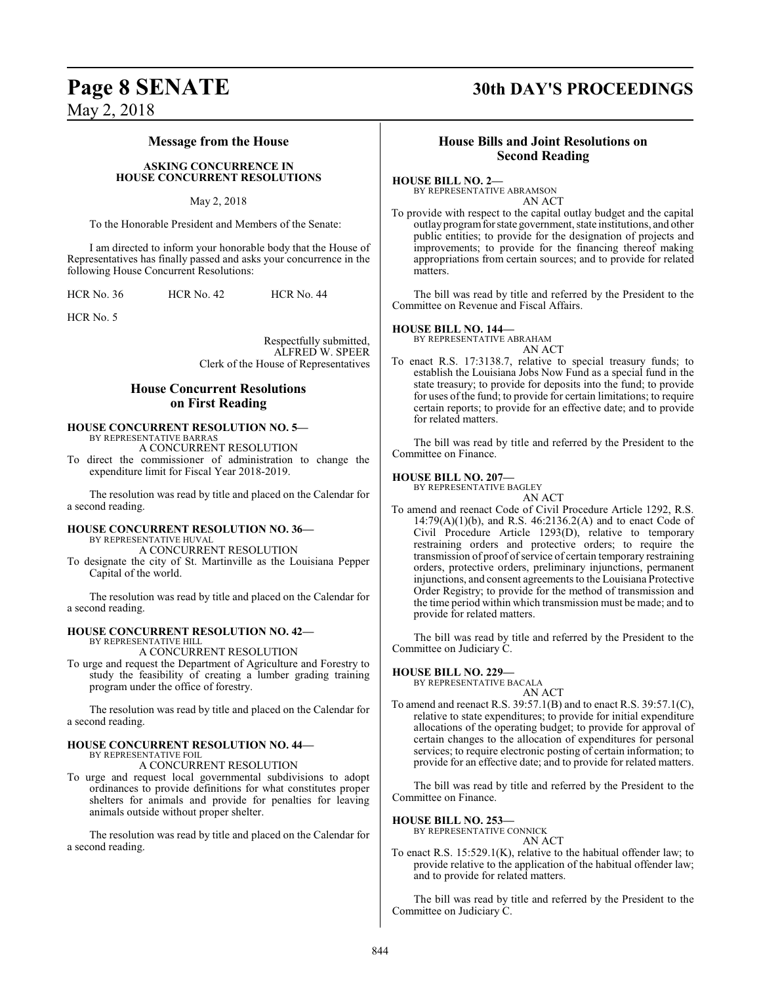#### **Message from the House**

#### **ASKING CONCURRENCE IN HOUSE CONCURRENT RESOLUTIONS**

#### May 2, 2018

To the Honorable President and Members of the Senate:

I am directed to inform your honorable body that the House of Representatives has finally passed and asks your concurrence in the following House Concurrent Resolutions:

HCR No. 36 HCR No. 42 HCR No. 44

HCR No. 5

Respectfully submitted, ALFRED W. SPEER Clerk of the House of Representatives

### **House Concurrent Resolutions on First Reading**

#### **HOUSE CONCURRENT RESOLUTION NO. 5—** BY REPRESENTATIVE BARRAS

A CONCURRENT RESOLUTION

To direct the commissioner of administration to change the expenditure limit for Fiscal Year 2018-2019.

The resolution was read by title and placed on the Calendar for a second reading.

#### **HOUSE CONCURRENT RESOLUTION NO. 36—**

BY REPRESENTATIVE HUVAL A CONCURRENT RESOLUTION

To designate the city of St. Martinville as the Louisiana Pepper Capital of the world.

The resolution was read by title and placed on the Calendar for a second reading.

#### **HOUSE CONCURRENT RESOLUTION NO. 42—**

BY REPRESENTATIVE HILL

A CONCURRENT RESOLUTION

To urge and request the Department of Agriculture and Forestry to study the feasibility of creating a lumber grading training program under the office of forestry.

The resolution was read by title and placed on the Calendar for a second reading.

#### **HOUSE CONCURRENT RESOLUTION NO. 44—** BY REPRESENTATIVE FOIL

A CONCURRENT RESOLUTION

To urge and request local governmental subdivisions to adopt ordinances to provide definitions for what constitutes proper shelters for animals and provide for penalties for leaving animals outside without proper shelter.

The resolution was read by title and placed on the Calendar for a second reading.

## **Page 8 SENATE 30th DAY'S PROCEEDINGS**

#### **House Bills and Joint Resolutions on Second Reading**

**HOUSE BILL NO. 2—**

BY REPRESENTATIVE ABRAMSON AN ACT

To provide with respect to the capital outlay budget and the capital outlay programforstate government, state institutions, and other public entities; to provide for the designation of projects and improvements; to provide for the financing thereof making appropriations from certain sources; and to provide for related matters.

The bill was read by title and referred by the President to the Committee on Revenue and Fiscal Affairs.

#### **HOUSE BILL NO. 144—**

BY REPRESENTATIVE ABRAHAM AN ACT

To enact R.S. 17:3138.7, relative to special treasury funds; to establish the Louisiana Jobs Now Fund as a special fund in the state treasury; to provide for deposits into the fund; to provide for uses of the fund; to provide for certain limitations; to require certain reports; to provide for an effective date; and to provide for related matters.

The bill was read by title and referred by the President to the Committee on Finance.

#### **HOUSE BILL NO. 207—**

BY REPRESENTATIVE BAGLEY

AN ACT To amend and reenact Code of Civil Procedure Article 1292, R.S.  $14:79(A)(1)(b)$ , and R.S.  $46:2136.2(A)$  and to enact Code of Civil Procedure Article 1293(D), relative to temporary restraining orders and protective orders; to require the transmission of proof of service of certain temporary restraining orders, protective orders, preliminary injunctions, permanent injunctions, and consent agreements to the Louisiana Protective Order Registry; to provide for the method of transmission and the time period within which transmission must be made; and to provide for related matters.

The bill was read by title and referred by the President to the Committee on Judiciary C.

#### **HOUSE BILL NO. 229—**

BY REPRESENTATIVE BACALA AN ACT

To amend and reenact R.S. 39:57.1(B) and to enact R.S. 39:57.1(C), relative to state expenditures; to provide for initial expenditure allocations of the operating budget; to provide for approval of certain changes to the allocation of expenditures for personal services; to require electronic posting of certain information; to provide for an effective date; and to provide for related matters.

The bill was read by title and referred by the President to the Committee on Finance.

**HOUSE BILL NO. 253—**

BY REPRESENTATIVE CONNICK

AN ACT

To enact R.S. 15:529.1(K), relative to the habitual offender law; to provide relative to the application of the habitual offender law; and to provide for related matters.

The bill was read by title and referred by the President to the Committee on Judiciary C.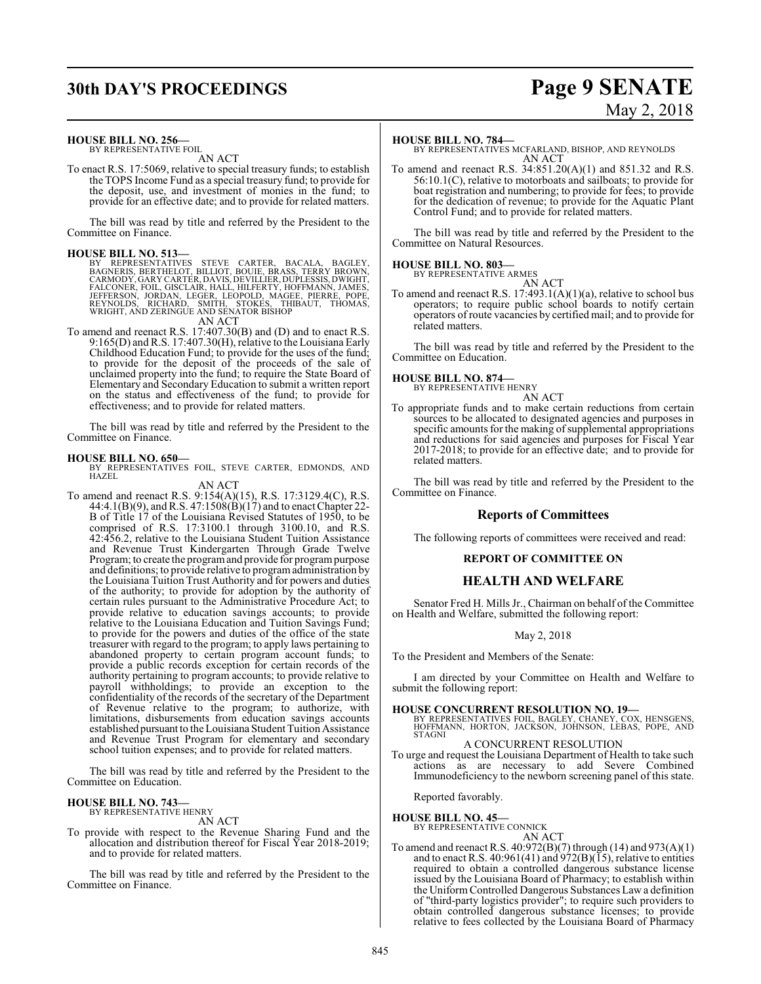## **30th DAY'S PROCEEDINGS Page 9 SENATE**

# May 2, 2018

#### **HOUSE BILL NO. 256—**

BY REPRESENTATIVE FOIL AN ACT

To enact R.S. 17:5069, relative to special treasury funds; to establish the TOPS Income Fund as a special treasury fund; to provide for the deposit, use, and investment of monies in the fund; to provide for an effective date; and to provide for related matters.

The bill was read by title and referred by the President to the Committee on Finance.

**HOUSE BILL NO. 513—**<br>BY REPRESENTATIVES STEVE CARTER, BACALA, BAGLEY,<br>BAGNERIS, BERTHELOT, BILLIOT, BOUIE, BRASS, TERRY BROWN,<br>CARMODY, GARY CARTER, DAVIS, DEVILLIER, DUPLESSIS, DWIGHT,<br>FALCONER, FOIL, GISCLAIR, HALL, HIL

AN ACT

To amend and reenact R.S. 17:407.30(B) and (D) and to enact R.S. 9:165(D) and R.S. 17:407.30(H), relative to the Louisiana Early Childhood Education Fund; to provide for the uses of the fund; to provide for the deposit of the proceeds of the sale of unclaimed property into the fund; to require the State Board of Elementary and Secondary Education to submit a written report on the status and effectiveness of the fund; to provide for effectiveness; and to provide for related matters.

The bill was read by title and referred by the President to the Committee on Finance.

#### **HOUSE BILL NO. 650—**

BY REPRESENTATIVES FOIL, STEVE CARTER, EDMONDS, AND HAZEL

AN ACT To amend and reenact R.S. 9:154(A)(15), R.S. 17:3129.4(C), R.S. 44:4.1(B)(9), and R.S. 47:1508(B)(17) and to enact Chapter 22-B of Title 17 of the Louisiana Revised Statutes of 1950, to be comprised of R.S. 17:3100.1 through 3100.10, and R.S. 42:456.2, relative to the Louisiana Student Tuition Assistance and Revenue Trust Kindergarten Through Grade Twelve Program; to create the program and provide for program purpose and definitions; to provide relative to programadministration by the Louisiana Tuition Trust Authority and for powers and duties of the authority; to provide for adoption by the authority of certain rules pursuant to the Administrative Procedure Act; to provide relative to education savings accounts; to provide relative to the Louisiana Education and Tuition Savings Fund; to provide for the powers and duties of the office of the state treasurer with regard to the program; to apply laws pertaining to abandoned property to certain program account funds; to provide a public records exception for certain records of the authority pertaining to program accounts; to provide relative to payroll withholdings; to provide an exception to the confidentiality of the records of the secretary of the Department of Revenue relative to the program; to authorize, with limitations, disbursements from education savings accounts established pursuant to the Louisiana Student Tuition Assistance and Revenue Trust Program for elementary and secondary school tuition expenses; and to provide for related matters.

The bill was read by title and referred by the President to the Committee on Education.

#### **HOUSE BILL NO. 743—** BY REPRESENTATIVE HENRY

AN ACT

To provide with respect to the Revenue Sharing Fund and the allocation and distribution thereof for Fiscal Year 2018-2019; and to provide for related matters.

The bill was read by title and referred by the President to the Committee on Finance.

#### **HOUSE BILL NO. 784—**

BY REPRESENTATIVES MCFARLAND, BISHOP, AND REYNOLDS AN ACT

To amend and reenact R.S. 34:851.20(A)(1) and 851.32 and R.S. 56:10.1(C), relative to motorboats and sailboats; to provide for boat registration and numbering; to provide for fees; to provide for the dedication of revenue; to provide for the Aquatic Plant Control Fund; and to provide for related matters.

The bill was read by title and referred by the President to the Committee on Natural Resources.

#### **HOUSE BILL NO. 803—**

BY REPRESENTATIVE ARMES AN ACT

To amend and reenact R.S. 17:493.1(A)(1)(a), relative to school bus operators; to require public school boards to notify certain operators of route vacancies by certified mail; and to provide for related matters.

The bill was read by title and referred by the President to the Committee on Education.

## **HOUSE BILL NO. 874—** BY REPRESENTATIVE HENRY

AN ACT

To appropriate funds and to make certain reductions from certain sources to be allocated to designated agencies and purposes in specific amounts for the making of supplemental appropriations and reductions for said agencies and purposes for Fiscal Year 2017-2018; to provide for an effective date; and to provide for related matters.

The bill was read by title and referred by the President to the Committee on Finance.

#### **Reports of Committees**

The following reports of committees were received and read:

#### **REPORT OF COMMITTEE ON**

#### **HEALTH AND WELFARE**

Senator Fred H. Mills Jr., Chairman on behalf of the Committee on Health and Welfare, submitted the following report:

#### May 2, 2018

To the President and Members of the Senate:

I am directed by your Committee on Health and Welfare to submit the following report:

**HOUSE CONCURRENT RESOLUTION NO. 19—** BY REPRESENTATIVES FOIL, BAGLEY, CHANEY, COX, HENSGENS, HOFFMANN, HORTON, JACKSON, JOHNSON, LEBAS, POPE, AND STAGNI

#### A CONCURRENT RESOLUTION

To urge and request the Louisiana Department of Health to take such actions as are necessary to add Severe Combined Immunodeficiency to the newborn screening panel of this state.

Reported favorably.

# **HOUSE BILL NO. 45—** BY REPRESENTATIVE CONNICK

AN ACT

To amend and reenact R.S. 40:972(B)(7) through (14) and 973(A)(1) and to enact R.S. 40:961(41) and  $972(B)(15)$ , relative to entities required to obtain a controlled dangerous substance license issued by the Louisiana Board of Pharmacy; to establish within the Uniform Controlled Dangerous Substances Law a definition of "third-party logistics provider"; to require such providers to obtain controlled dangerous substance licenses; to provide relative to fees collected by the Louisiana Board of Pharmacy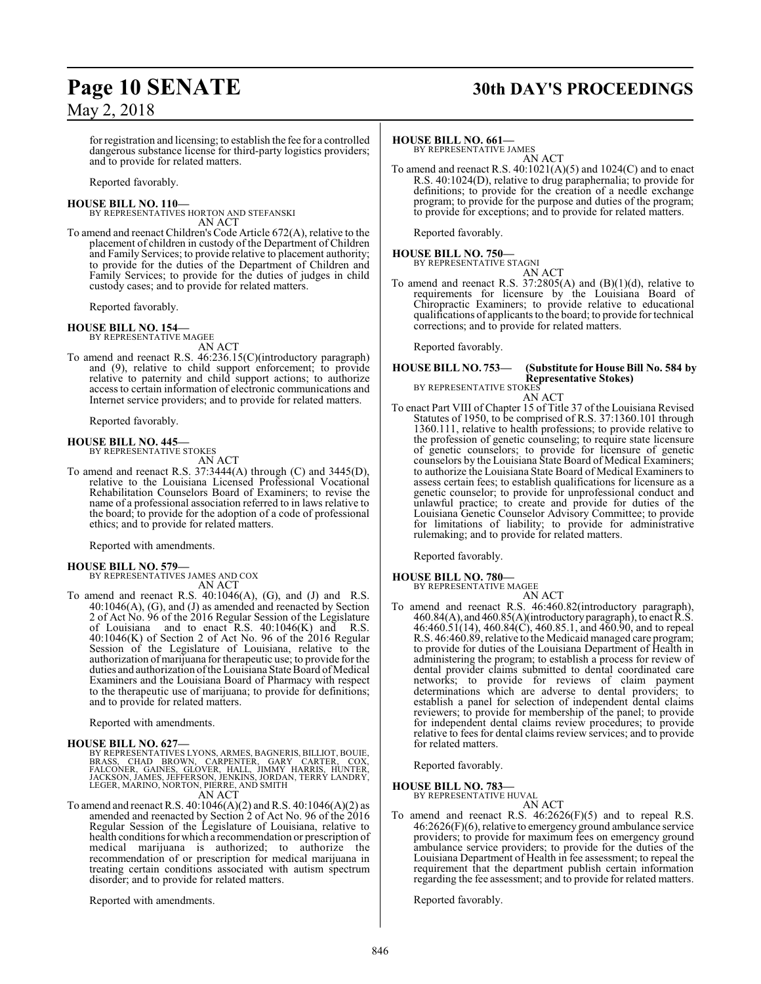## **Page 10 SENATE 30th DAY'S PROCEEDINGS**

for registration and licensing; to establish the fee for a controlled dangerous substance license for third-party logistics providers; and to provide for related matters.

Reported favorably.

**HOUSE BILL NO. 110—** BY REPRESENTATIVES HORTON AND STEFANSKI AN ACT

To amend and reenact Children's Code Article 672(A), relative to the placement of children in custody of the Department of Children and Family Services; to provide relative to placement authority; to provide for the duties of the Department of Children and Family Services; to provide for the duties of judges in child custody cases; and to provide for related matters.

Reported favorably.

#### **HOUSE BILL NO. 154—**

BY REPRESENTATIVE MAGEE AN ACT

To amend and reenact R.S. 46:236.15(C)(introductory paragraph) and (9), relative to child support enforcement; to provide relative to paternity and child support actions; to authorize access to certain information of electronic communications and Internet service providers; and to provide for related matters.

Reported favorably.

#### **HOUSE BILL NO. 445—**

BY REPRESENTATIVE STOKES AN ACT

To amend and reenact R.S. 37:3444(A) through (C) and 3445(D), relative to the Louisiana Licensed Professional Vocational Rehabilitation Counselors Board of Examiners; to revise the name of a professional association referred to in laws relative to the board; to provide for the adoption of a code of professional ethics; and to provide for related matters.

Reported with amendments.

#### **HOUSE BILL NO. 579—**

BY REPRESENTATIVES JAMES AND COX AN ACT

To amend and reenact R.S.  $40:1046(A)$ , (G), and (J) and R.S. 40:1046(A), (G), and (J) as amended and reenacted by Section 2 of Act No. 96 of the 2016 Regular Session of the Legislature of Louisiana and to enact R.S. 40:1046(K) and R.S.  $40:1046(K)$  of Section 2 of Act No. 96 of the 2016 Regular Session of the Legislature of Louisiana, relative to the authorization ofmarijuana for therapeutic use; to provide for the duties and authorization of the Louisiana State Board of Medical Examiners and the Louisiana Board of Pharmacy with respect to the therapeutic use of marijuana; to provide for definitions; and to provide for related matters.

Reported with amendments.

#### **HOUSE BILL NO. 627—**

BY REPRESENTATIVES LYONS, ARMES, BAGNERIS, BILLIOT, BOUIE,<br>BRASS, CHAD BROWN, CARPENTER, GARY CARTER, COX,<br>FALCONER, GAINES, GLOVER, HALL, JIMMY HARRIS, HUNTER,<br>JACKSON, JAMES, JEFFERSON, JENKINS, JORDAN, AN ACT

To amend and reenact R.S. 40:1046(A)(2) and R.S. 40:1046(A)(2) as amended and reenacted by Section 2 of Act No. 96 of the 2016 Regular Session of the Legislature of Louisiana, relative to health conditions for which a recommendation or prescription of medical marijuana is authorized; to authorize the recommendation of or prescription for medical marijuana in treating certain conditions associated with autism spectrum disorder; and to provide for related matters.

Reported with amendments.

#### **HOUSE BILL NO. 661—**

BY REPRESENTATIVE JAMES AN ACT

To amend and reenact R.S. 40:1021(A)(5) and 1024(C) and to enact R.S. 40:1024(D), relative to drug paraphernalia; to provide for definitions; to provide for the creation of a needle exchange program; to provide for the purpose and duties of the program; to provide for exceptions; and to provide for related matters.

Reported favorably.

## **HOUSE BILL NO. 750—** BY REPRESENTATIVE STAGNI

AN ACT To amend and reenact R.S.  $37:2805(A)$  and  $(B)(1)(d)$ , relative to requirements for licensure by the Louisiana Board of Chiropractic Examiners; to provide relative to educational qualifications of applicants to the board; to provide for technical corrections; and to provide for related matters.

Reported favorably.

#### **HOUSE BILL NO. 753— (Substitute for House Bill No. 584 by Representative Stokes)** BY REPRESENTATIVE STOKES

AN ACT

To enact Part VIII of Chapter 15 of Title 37 of the Louisiana Revised Statutes of 1950, to be comprised of R.S. 37:1360.101 through 1360.111, relative to health professions; to provide relative to the profession of genetic counseling; to require state licensure of genetic counselors; to provide for licensure of genetic counselors by the Louisiana State Board of Medical Examiners; to authorize the Louisiana State Board of Medical Examiners to assess certain fees; to establish qualifications for licensure as a genetic counselor; to provide for unprofessional conduct and unlawful practice; to create and provide for duties of the Louisiana Genetic Counselor Advisory Committee; to provide for limitations of liability; to provide for administrative rulemaking; and to provide for related matters.

Reported favorably.

### **HOUSE BILL NO. 780—**

BY REPRESENTATIVE MAGEE

- AN ACT
- To amend and reenact R.S. 46:460.82(introductory paragraph), 460.84(A), and 460.85(A)(introductory paragraph), to enact R.S. 46:460.51(14), 460.84(C), 460.85.1, and 460.90, and to repeal R.S. 46:460.89, relative to the Medicaid managed care program; to provide for duties of the Louisiana Department of Health in administering the program; to establish a process for review of dental provider claims submitted to dental coordinated care networks; to provide for reviews of claim payment determinations which are adverse to dental providers; to establish a panel for selection of independent dental claims reviewers; to provide for membership of the panel; to provide for independent dental claims review procedures; to provide relative to fees for dental claims review services; and to provide for related matters.

Reported favorably.

**HOUSE BILL NO. 783—**

BY REPRESENTATIVE HUVAL AN ACT

To amend and reenact R.S. 46:2626(F)(5) and to repeal R.S. 46:2626(F)(6), relative to emergency ground ambulance service providers; to provide for maximum fees on emergency ground ambulance service providers; to provide for the duties of the Louisiana Department of Health in fee assessment; to repeal the requirement that the department publish certain information regarding the fee assessment; and to provide for related matters.

Reported favorably.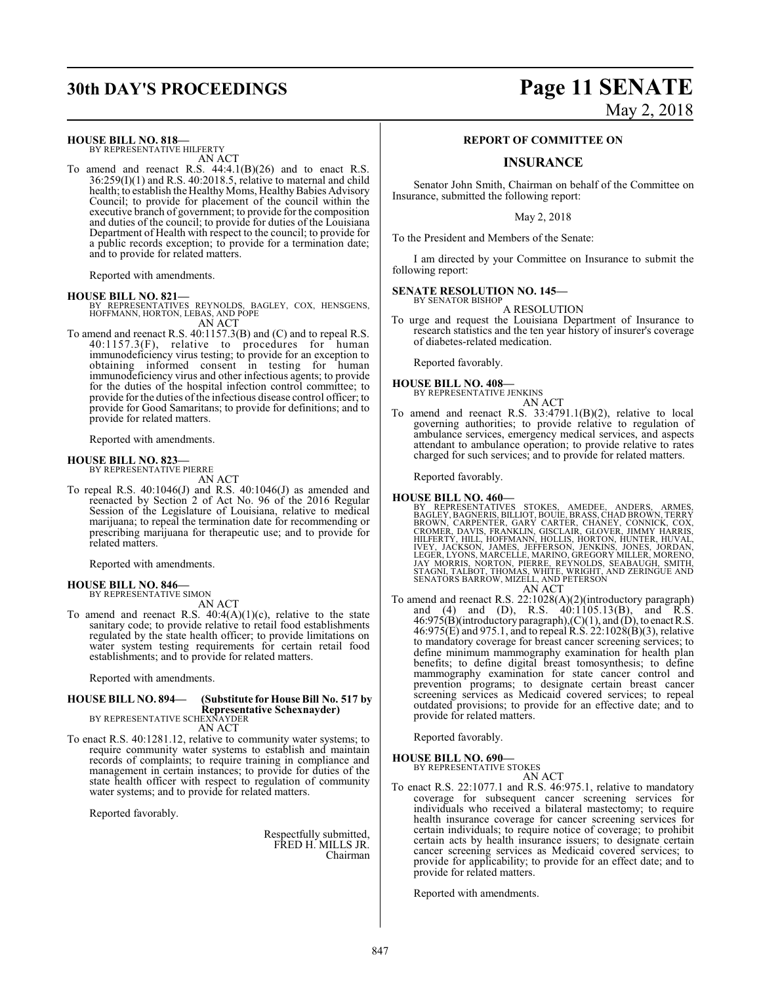## **30th DAY'S PROCEEDINGS Page 11 SENATE**

#### **HOUSE BILL NO. 818—**

BY REPRESENTATIVE HILFERTY AN ACT

To amend and reenact R.S.  $44:4.1(B)(26)$  and to enact R.S. 36:259(I)(1) and R.S. 40:2018.5, relative to maternal and child health; to establish the Healthy Moms, Healthy Babies Advisory Council; to provide for placement of the council within the executive branch of government; to provide for the composition and duties of the council; to provide for duties of the Louisiana Department of Health with respect to the council; to provide for a public records exception; to provide for a termination date; and to provide for related matters.

Reported with amendments.

**HOUSE BILL NO. 821—** BY REPRESENTATIVES REYNOLDS, BAGLEY, COX, HENSGENS, HOFFMANN, HORTON, LEBAS, AND POPE AN ACT

To amend and reenact R.S. 40:1157.3(B) and (C) and to repeal R.S.  $40:1157.3(F)$ , relative to procedures for human immunodeficiency virus testing; to provide for an exception to obtaining informed consent in testing for human immunodeficiency virus and other infectious agents; to provide for the duties of the hospital infection control committee; to provide for the duties ofthe infectious disease control officer; to provide for Good Samaritans; to provide for definitions; and to provide for related matters.

Reported with amendments.

#### **HOUSE BILL NO. 823—**

BY REPRESENTATIVE PIERRE AN ACT

To repeal R.S. 40:1046(J) and R.S. 40:1046(J) as amended and reenacted by Section 2 of Act No. 96 of the 2016 Regular Session of the Legislature of Louisiana, relative to medical marijuana; to repeal the termination date for recommending or prescribing marijuana for therapeutic use; and to provide for related matters.

Reported with amendments.

## **HOUSE BILL NO. 846—** BY REPRESENTATIVE SIMON

AN ACT

To amend and reenact R.S.  $40:4(A)(1)(c)$ , relative to the state sanitary code; to provide relative to retail food establishments regulated by the state health officer; to provide limitations on water system testing requirements for certain retail food establishments; and to provide for related matters.

Reported with amendments.

## **HOUSE BILL NO. 894— (Substitute for House Bill No. 517 by Representative Schexnayder)** BY REPRESENTATIVE SCHEXNAYDER

AN ACT

To enact R.S. 40:1281.12, relative to community water systems; to require community water systems to establish and maintain records of complaints; to require training in compliance and management in certain instances; to provide for duties of the state health officer with respect to regulation of community water systems; and to provide for related matters.

Reported favorably.

Respectfully submitted, FRED H. MILLS JR. Chairman

# May 2, 2018

#### **REPORT OF COMMITTEE ON**

#### **INSURANCE**

Senator John Smith, Chairman on behalf of the Committee on Insurance, submitted the following report:

May 2, 2018

To the President and Members of the Senate:

I am directed by your Committee on Insurance to submit the following report:

#### **SENATE RESOLUTION NO. 145—** BY SENATOR BISHOP

A RESOLUTION

To urge and request the Louisiana Department of Insurance to research statistics and the ten year history of insurer's coverage of diabetes-related medication.

Reported favorably.

#### **HOUSE BILL NO. 408—**

BY REPRESENTATIVE JENKINS AN ACT

To amend and reenact R.S. 33:4791.1(B)(2), relative to local governing authorities; to provide relative to regulation of ambulance services, emergency medical services, and aspects attendant to ambulance operation; to provide relative to rates charged for such services; and to provide for related matters.

Reported favorably.

- **HOUSE BILL NO. 460—**<br>BY REPRESENTATIVES STOKES, AMEDEE, ANDERS, ARMES,<br>BAGLEY, BAGNERIS, BILLIOT, BOUIE, BRASS, CHAD BROWN, TERRY<br>BROWN, CARPENTER, GARY CARTER, CHANEY, CONNICK, COX,<br>CROMER, DAVIS, FRANKLIN, GISCLAIR, GLO
- To amend and reenact R.S. 22:1028(A)(2)(introductory paragraph) and (4) and (D), R.S. 40:1105.13(B), and R.S.  $46:975(B)$ (introductory paragraph),(C)(1), and (D), to enact R.S. 46:975(E) and 975.1, and to repeal R.S. 22:1028(B)(3), relative to mandatory coverage for breast cancer screening services; to define minimum mammography examination for health plan benefits; to define digital breast tomosynthesis; to define mammography examination for state cancer control and prevention programs; to designate certain breast cancer screening services as Medicaid covered services; to repeal outdated provisions; to provide for an effective date; and to provide for related matters.

Reported favorably.

**HOUSE BILL NO. 690—**

BY REPRESENTATIVE STOKES AN ACT

To enact R.S. 22:1077.1 and R.S. 46:975.1, relative to mandatory coverage for subsequent cancer screening services for individuals who received a bilateral mastectomy; to require health insurance coverage for cancer screening services for certain individuals; to require notice of coverage; to prohibit certain acts by health insurance issuers; to designate certain cancer screening services as Medicaid covered services; to provide for applicability; to provide for an effect date; and to provide for related matters.

Reported with amendments.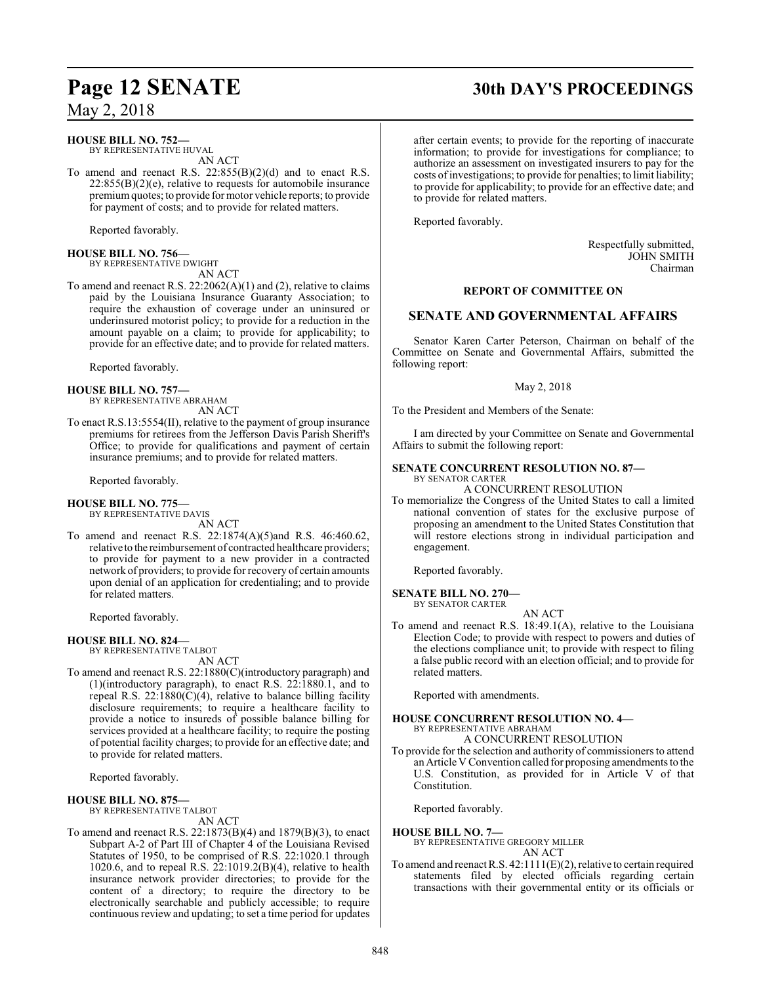## **HOUSE BILL NO. 752—**

BY REPRESENTATIVE HUVAL AN ACT

To amend and reenact R.S. 22:855(B)(2)(d) and to enact R.S.  $22:855(B)(2)(e)$ , relative to requests for automobile insurance premiumquotes; to provide for motor vehicle reports; to provide for payment of costs; and to provide for related matters.

Reported favorably.

#### **HOUSE BILL NO. 756—** BY REPRESENTATIVE DWIGHT

AN ACT

To amend and reenact R.S. 22:2062(A)(1) and (2), relative to claims paid by the Louisiana Insurance Guaranty Association; to require the exhaustion of coverage under an uninsured or underinsured motorist policy; to provide for a reduction in the amount payable on a claim; to provide for applicability; to provide for an effective date; and to provide for related matters.

Reported favorably.

#### **HOUSE BILL NO. 757—**

BY REPRESENTATIVE ABRAHAM AN ACT

To enact R.S.13:5554(II), relative to the payment of group insurance premiums for retirees from the Jefferson Davis Parish Sheriff's Office; to provide for qualifications and payment of certain insurance premiums; and to provide for related matters.

Reported favorably.

#### **HOUSE BILL NO. 775—**

BY REPRESENTATIVE DAVIS AN ACT

To amend and reenact R.S. 22:1874(A)(5)and R.S. 46:460.62, relative to the reimbursement of contracted healthcare providers; to provide for payment to a new provider in a contracted network of providers; to provide for recovery of certain amounts upon denial of an application for credentialing; and to provide for related matters.

Reported favorably.

#### **HOUSE BILL NO. 824—**

BY REPRESENTATIVE TALBOT

AN ACT To amend and reenact R.S. 22:1880(C)(introductory paragraph) and (1)(introductory paragraph), to enact R.S. 22:1880.1, and to repeal R.S. 22:1880( $\bar{C}$ )(4), relative to balance billing facility disclosure requirements; to require a healthcare facility to provide a notice to insureds of possible balance billing for services provided at a healthcare facility; to require the posting of potential facility charges; to provide for an effective date; and to provide for related matters.

Reported favorably.

#### **HOUSE BILL NO. 875—**

BY REPRESENTATIVE TALBOT

AN ACT

To amend and reenact R.S. 22:1873(B)(4) and 1879(B)(3), to enact Subpart A-2 of Part III of Chapter 4 of the Louisiana Revised Statutes of 1950, to be comprised of R.S. 22:1020.1 through 1020.6, and to repeal R.S. 22:1019.2(B)(4), relative to health insurance network provider directories; to provide for the content of a directory; to require the directory to be electronically searchable and publicly accessible; to require continuous review and updating; to set a time period for updates

## **Page 12 SENATE 30th DAY'S PROCEEDINGS**

after certain events; to provide for the reporting of inaccurate information; to provide for investigations for compliance; to authorize an assessment on investigated insurers to pay for the costs ofinvestigations; to provide for penalties; to limit liability; to provide for applicability; to provide for an effective date; and to provide for related matters.

Reported favorably.

Respectfully submitted, JOHN SMITH Chairman

#### **REPORT OF COMMITTEE ON**

### **SENATE AND GOVERNMENTAL AFFAIRS**

Senator Karen Carter Peterson, Chairman on behalf of the Committee on Senate and Governmental Affairs, submitted the following report:

May 2, 2018

To the President and Members of the Senate:

I am directed by your Committee on Senate and Governmental Affairs to submit the following report:

#### **SENATE CONCURRENT RESOLUTION NO. 87—** BY SENATOR CARTER

A CONCURRENT RESOLUTION

To memorialize the Congress of the United States to call a limited national convention of states for the exclusive purpose of proposing an amendment to the United States Constitution that will restore elections strong in individual participation and engagement.

Reported favorably.

**SENATE BILL NO. 270—** BY SENATOR CARTER

AN ACT

To amend and reenact R.S. 18:49.1(A), relative to the Louisiana Election Code; to provide with respect to powers and duties of the elections compliance unit; to provide with respect to filing a false public record with an election official; and to provide for related matters.

Reported with amendments.

#### **HOUSE CONCURRENT RESOLUTION NO. 4—**

BY REPRESENTATIVE ABRAHAM A CONCURRENT RESOLUTION

To provide for the selection and authority of commissioners to attend an Article V Convention called for proposing amendments to the U.S. Constitution, as provided for in Article V of that Constitution.

Reported favorably.

#### **HOUSE BILL NO. 7—**

BY REPRESENTATIVE GREGORY MILLER AN ACT

To amend and reenact R.S.  $42:1111(E)(2)$ , relative to certain required statements filed by elected officials regarding certain transactions with their governmental entity or its officials or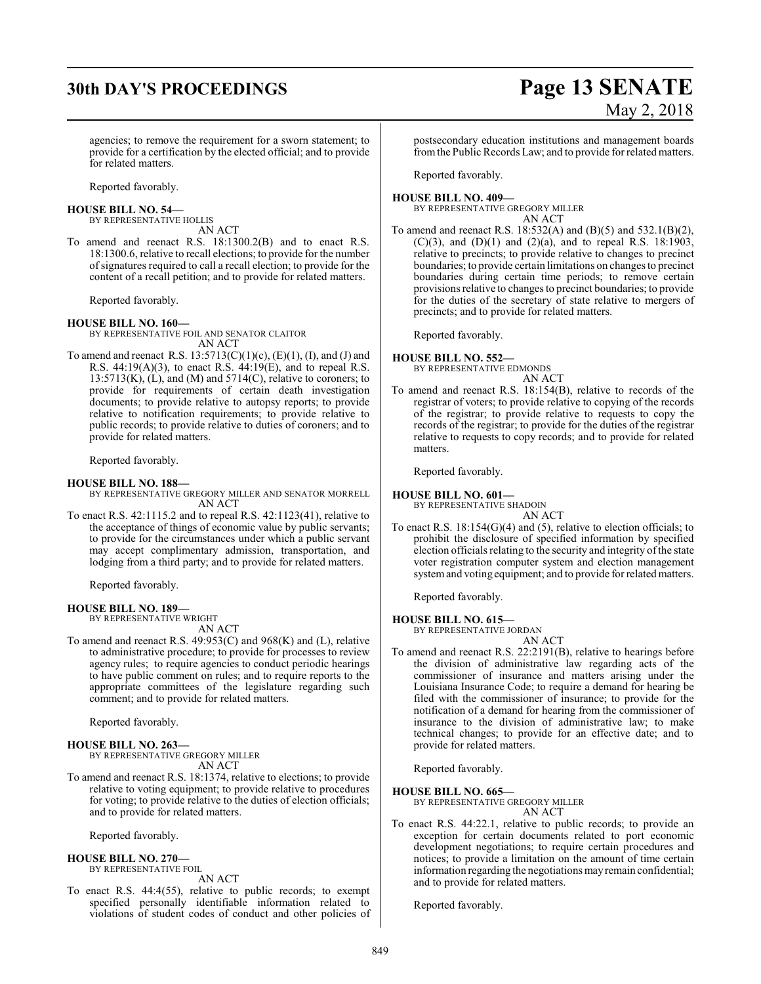# **30th DAY'S PROCEEDINGS Page 13 SENATE** May 2, 2018

agencies; to remove the requirement for a sworn statement; to provide for a certification by the elected official; and to provide for related matters.

Reported favorably.

#### **HOUSE BILL NO. 54—**

BY REPRESENTATIVE HOLLIS AN ACT

To amend and reenact R.S. 18:1300.2(B) and to enact R.S. 18:1300.6, relative to recall elections; to provide for the number ofsignatures required to call a recall election; to provide for the content of a recall petition; and to provide for related matters.

Reported favorably.

**HOUSE BILL NO. 160—** BY REPRESENTATIVE FOIL AND SENATOR CLAITOR

AN ACT

To amend and reenact R.S.  $13:5713(C)(1)(c)$ ,  $(E)(1)$ ,  $(I)$ , and  $(J)$  and R.S. 44:19(A)(3), to enact R.S. 44:19(E), and to repeal R.S.  $13:5713(K)$ ,  $(L)$ , and  $(M)$  and  $5714(C)$ , relative to coroners; to provide for requirements of certain death investigation documents; to provide relative to autopsy reports; to provide relative to notification requirements; to provide relative to public records; to provide relative to duties of coroners; and to provide for related matters.

Reported favorably.

#### **HOUSE BILL NO. 188—**

BY REPRESENTATIVE GREGORY MILLER AND SENATOR MORRELL AN ACT

To enact R.S. 42:1115.2 and to repeal R.S. 42:1123(41), relative to the acceptance of things of economic value by public servants; to provide for the circumstances under which a public servant may accept complimentary admission, transportation, and lodging from a third party; and to provide for related matters.

Reported favorably.

**HOUSE BILL NO. 189—** BY REPRESENTATIVE WRIGHT

AN ACT

To amend and reenact R.S. 49:953(C) and 968(K) and (L), relative to administrative procedure; to provide for processes to review agency rules; to require agencies to conduct periodic hearings to have public comment on rules; and to require reports to the appropriate committees of the legislature regarding such comment; and to provide for related matters.

Reported favorably.

#### **HOUSE BILL NO. 263—**

BY REPRESENTATIVE GREGORY MILLER AN ACT

To amend and reenact R.S. 18:1374, relative to elections; to provide relative to voting equipment; to provide relative to procedures for voting; to provide relative to the duties of election officials; and to provide for related matters.

Reported favorably.

#### **HOUSE BILL NO. 270—** BY REPRESENTATIVE FOIL

AN ACT

To enact R.S. 44:4(55), relative to public records; to exempt specified personally identifiable information related to violations of student codes of conduct and other policies of postsecondary education institutions and management boards fromthe Public Records Law; and to provide for related matters.

Reported favorably.

**HOUSE BILL NO. 409—** BY REPRESENTATIVE GREGORY MILLER AN ACT

To amend and reenact R.S. 18:532(A) and (B)(5) and 532.1(B)(2), (C)(3), and (D)(1) and (2)(a), and to repeal R.S. 18:1903, relative to precincts; to provide relative to changes to precinct boundaries; to provide certain limitations on changes to precinct boundaries during certain time periods; to remove certain provisions relative to changes to precinct boundaries; to provide for the duties of the secretary of state relative to mergers of precincts; and to provide for related matters.

Reported favorably.

#### **HOUSE BILL NO. 552—**

BY REPRESENTATIVE EDMONDS AN ACT

To amend and reenact R.S. 18:154(B), relative to records of the registrar of voters; to provide relative to copying of the records of the registrar; to provide relative to requests to copy the records of the registrar; to provide for the duties of the registrar relative to requests to copy records; and to provide for related matters.

Reported favorably.

#### **HOUSE BILL NO. 601—**

BY REPRESENTATIVE SHADOIN AN ACT

To enact R.S.  $18:154(G)(4)$  and (5), relative to election officials; to prohibit the disclosure of specified information by specified election officials relating to the security and integrity of the state voter registration computer system and election management systemand voting equipment; and to provide for related matters.

Reported favorably.

#### **HOUSE BILL NO. 615—**

BY REPRESENTATIVE JORDAN

AN ACT To amend and reenact R.S. 22:2191(B), relative to hearings before the division of administrative law regarding acts of the commissioner of insurance and matters arising under the Louisiana Insurance Code; to require a demand for hearing be filed with the commissioner of insurance; to provide for the notification of a demand for hearing from the commissioner of insurance to the division of administrative law; to make technical changes; to provide for an effective date; and to provide for related matters.

Reported favorably.

#### **HOUSE BILL NO. 665—**

BY REPRESENTATIVE GREGORY MILLER AN ACT

To enact R.S. 44:22.1, relative to public records; to provide an exception for certain documents related to port economic development negotiations; to require certain procedures and notices; to provide a limitation on the amount of time certain information regarding the negotiations mayremain confidential; and to provide for related matters.

Reported favorably.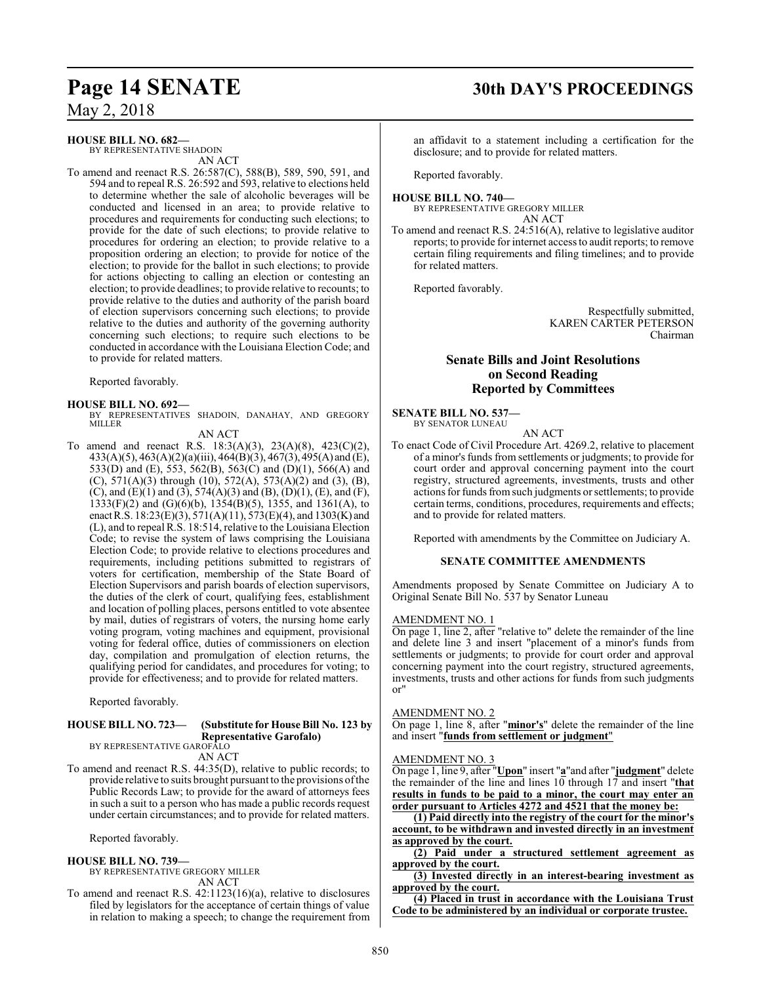#### **HOUSE BILL NO. 682—**

BY REPRESENTATIVE SHADOIN AN ACT

To amend and reenact R.S. 26:587(C), 588(B), 589, 590, 591, and 594 and to repeal R.S. 26:592 and 593, relative to elections held to determine whether the sale of alcoholic beverages will be conducted and licensed in an area; to provide relative to procedures and requirements for conducting such elections; to provide for the date of such elections; to provide relative to procedures for ordering an election; to provide relative to a proposition ordering an election; to provide for notice of the election; to provide for the ballot in such elections; to provide for actions objecting to calling an election or contesting an election; to provide deadlines; to provide relative to recounts; to provide relative to the duties and authority of the parish board of election supervisors concerning such elections; to provide relative to the duties and authority of the governing authority concerning such elections; to require such elections to be conducted in accordance with the Louisiana Election Code; and to provide for related matters.

Reported favorably.

**HOUSE BILL NO. 692—** BY REPRESENTATIVES SHADOIN, DANAHAY, AND GREGORY MILLER

AN ACT

To amend and reenact R.S. 18:3(A)(3), 23(A)(8), 423(C)(2), 433(A)(5), 463(A)(2)(a)(iii), 464(B)(3), 467(3), 495(A) and (E), 533(D) and (E), 553, 562(B), 563(C) and (D)(1), 566(A) and (C), 571(A)(3) through (10), 572(A), 573(A)(2) and (3), (B), (C), and (E)(1) and (3),  $574(A)(3)$  and (B), (D)(1), (E), and (F), 1333(F)(2) and (G)(6)(b), 1354(B)(5), 1355, and 1361(A), to enact R.S.  $18:23(E)(3), 571(A)(11), 573(E)(4),$  and  $1303(K)$  and (L), and to repeal R.S. 18:514, relative to the Louisiana Election Code; to revise the system of laws comprising the Louisiana Election Code; to provide relative to elections procedures and requirements, including petitions submitted to registrars of voters for certification, membership of the State Board of Election Supervisors and parish boards of election supervisors, the duties of the clerk of court, qualifying fees, establishment and location of polling places, persons entitled to vote absentee by mail, duties of registrars of voters, the nursing home early voting program, voting machines and equipment, provisional voting for federal office, duties of commissioners on election day, compilation and promulgation of election returns, the qualifying period for candidates, and procedures for voting; to provide for effectiveness; and to provide for related matters.

Reported favorably.

#### **HOUSE BILL NO. 723— (Substitute for House Bill No. 123 by Representative Garofalo)** BY REPRESENTATIVE GAROFALO

AN ACT

To amend and reenact R.S. 44:35(D), relative to public records; to provide relative to suits brought pursuant to the provisions ofthe Public Records Law; to provide for the award of attorneys fees in such a suit to a person who has made a public records request under certain circumstances; and to provide for related matters.

Reported favorably.

#### **HOUSE BILL NO. 739—**

BY REPRESENTATIVE GREGORY MILLER AN ACT

To amend and reenact R.S. 42:1123(16)(a), relative to disclosures filed by legislators for the acceptance of certain things of value in relation to making a speech; to change the requirement from

## **Page 14 SENATE 30th DAY'S PROCEEDINGS**

an affidavit to a statement including a certification for the disclosure; and to provide for related matters.

Reported favorably.

**HOUSE BILL NO. 740—** BY REPRESENTATIVE GREGORY MILLER

AN ACT

To amend and reenact R.S. 24:516(A), relative to legislative auditor reports; to provide for internet access to audit reports; to remove certain filing requirements and filing timelines; and to provide for related matters.

Reported favorably.

Respectfully submitted, KAREN CARTER PETERSON Chairman

### **Senate Bills and Joint Resolutions on Second Reading Reported by Committees**

### **SENATE BILL NO. 537—**

BY SENATOR LUNEAU AN ACT

To enact Code of Civil Procedure Art. 4269.2, relative to placement of a minor's funds from settlements or judgments; to provide for court order and approval concerning payment into the court registry, structured agreements, investments, trusts and other actions for funds fromsuch judgments or settlements; to provide certain terms, conditions, procedures, requirements and effects; and to provide for related matters.

Reported with amendments by the Committee on Judiciary A.

#### **SENATE COMMITTEE AMENDMENTS**

Amendments proposed by Senate Committee on Judiciary A to Original Senate Bill No. 537 by Senator Luneau

#### AMENDMENT NO. 1

On page 1, line 2, after "relative to" delete the remainder of the line and delete line 3 and insert "placement of a minor's funds from settlements or judgments; to provide for court order and approval concerning payment into the court registry, structured agreements, investments, trusts and other actions for funds from such judgments or"

#### AMENDMENT NO. 2

On page 1, line 8, after "**minor's**" delete the remainder of the line and insert "**funds from settlement or judgment**"

#### AMENDMENT NO. 3

On page 1, line 9, after "**Upon**" insert "**a**"and after "**judgment**" delete the remainder of the line and lines 10 through 17 and insert "**that results in funds to be paid to a minor, the court may enter an order pursuant to Articles 4272 and 4521 that the money be:**

**(1) Paid directly into the registry of the court for the minor's account, to be withdrawn and invested directly in an investment as approved by the court.**

**(2) Paid under a structured settlement agreement as approved by the court.**

**(3) Invested directly in an interest-bearing investment as approved by the court.**

**(4) Placed in trust in accordance with the Louisiana Trust Code to be administered by an individual or corporate trustee.**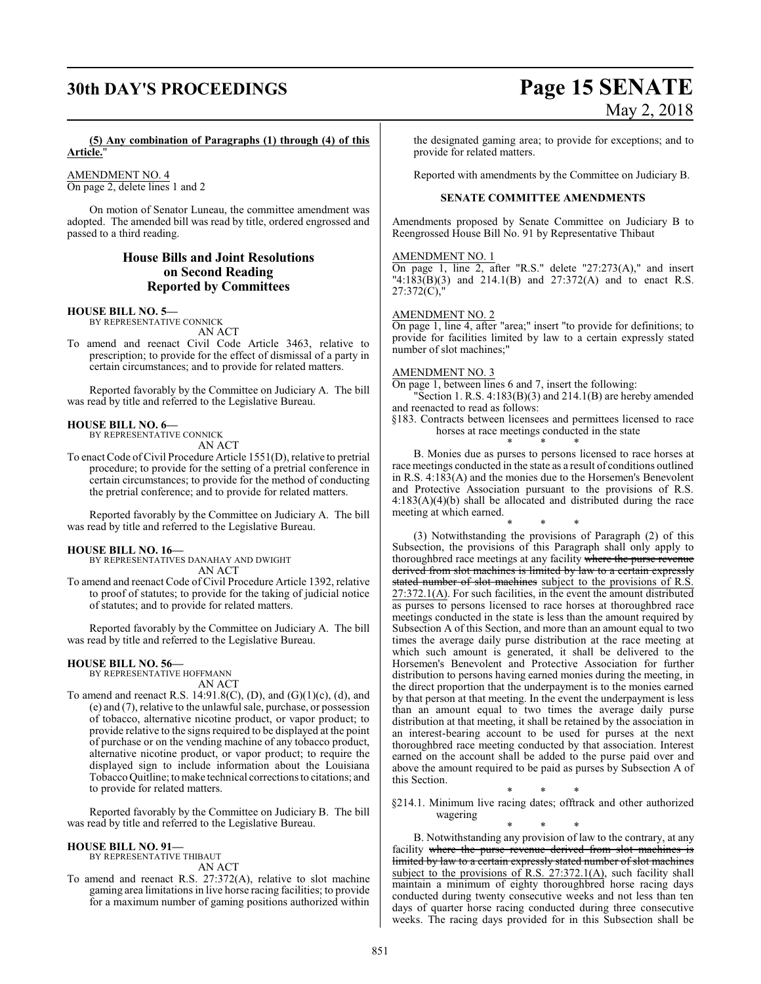# **30th DAY'S PROCEEDINGS Page 15 SENATE**

# May 2, 2018

**(5) Any combination of Paragraphs (1) through (4) of this Article.**"

AMENDMENT NO. 4 On page 2, delete lines 1 and 2

On motion of Senator Luneau, the committee amendment was adopted. The amended bill was read by title, ordered engrossed and passed to a third reading.

### **House Bills and Joint Resolutions on Second Reading Reported by Committees**

#### **HOUSE BILL NO. 5—**

BY REPRESENTATIVE CONNICK AN ACT

To amend and reenact Civil Code Article 3463, relative to prescription; to provide for the effect of dismissal of a party in certain circumstances; and to provide for related matters.

Reported favorably by the Committee on Judiciary A. The bill was read by title and referred to the Legislative Bureau.

#### **HOUSE BILL NO. 6—**

BY REPRESENTATIVE CONNICK AN ACT

To enact Code of Civil Procedure Article 1551(D), relative to pretrial procedure; to provide for the setting of a pretrial conference in certain circumstances; to provide for the method of conducting the pretrial conference; and to provide for related matters.

Reported favorably by the Committee on Judiciary A. The bill was read by title and referred to the Legislative Bureau.

#### **HOUSE BILL NO. 16—**

BY REPRESENTATIVES DANAHAY AND DWIGHT AN ACT

To amend and reenact Code of Civil Procedure Article 1392, relative to proof of statutes; to provide for the taking of judicial notice of statutes; and to provide for related matters.

Reported favorably by the Committee on Judiciary A. The bill was read by title and referred to the Legislative Bureau.

#### **HOUSE BILL NO. 56—**

BY REPRESENTATIVE HOFFMANN AN ACT

To amend and reenact R.S. 14:91.8(C), (D), and (G)(1)(c), (d), and (e) and (7), relative to the unlawful sale, purchase, or possession of tobacco, alternative nicotine product, or vapor product; to provide relative to the signs required to be displayed at the point of purchase or on the vending machine of any tobacco product, alternative nicotine product, or vapor product; to require the displayed sign to include information about the Louisiana TobaccoQuitline; tomake technical corrections to citations; and to provide for related matters.

Reported favorably by the Committee on Judiciary B. The bill was read by title and referred to the Legislative Bureau.

#### **HOUSE BILL NO. 91—**

BY REPRESENTATIVE THIBAUT

- AN ACT
- To amend and reenact R.S. 27:372(A), relative to slot machine gaming area limitations in live horse racing facilities; to provide for a maximum number of gaming positions authorized within

the designated gaming area; to provide for exceptions; and to provide for related matters.

Reported with amendments by the Committee on Judiciary B.

#### **SENATE COMMITTEE AMENDMENTS**

Amendments proposed by Senate Committee on Judiciary B to Reengrossed House Bill No. 91 by Representative Thibaut

#### AMENDMENT NO. 1

On page 1, line 2, after "R.S." delete "27:273(A)," and insert "4:183(B)(3) and 214.1(B) and 27:372(A) and to enact R.S. 27:372(C),"

#### AMENDMENT NO. 2

On page 1, line 4, after "area;" insert "to provide for definitions; to provide for facilities limited by law to a certain expressly stated number of slot machines;"

#### AMENDMENT NO. 3

On page 1, between lines 6 and 7, insert the following:

"Section 1. R.S. 4:183(B)(3) and 214.1(B) are hereby amended and reenacted to read as follows:

§183. Contracts between licensees and permittees licensed to race horses at race meetings conducted in the state

\* \* \* B. Monies due as purses to persons licensed to race horses at race meetings conducted in the state as a result of conditions outlined in R.S. 4:183(A) and the monies due to the Horsemen's Benevolent and Protective Association pursuant to the provisions of R.S. 4:183(A)(4)(b) shall be allocated and distributed during the race meeting at which earned.

\* \* \* (3) Notwithstanding the provisions of Paragraph (2) of this Subsection, the provisions of this Paragraph shall only apply to thoroughbred race meetings at any facility where the purse revenue derived from slot machines is limited by law to a certain expressly stated number of slot machines subject to the provisions of R.S. 27:372.1(A). For such facilities, in the event the amount distributed as purses to persons licensed to race horses at thoroughbred race meetings conducted in the state is less than the amount required by Subsection A of this Section, and more than an amount equal to two times the average daily purse distribution at the race meeting at which such amount is generated, it shall be delivered to the Horsemen's Benevolent and Protective Association for further distribution to persons having earned monies during the meeting, in the direct proportion that the underpayment is to the monies earned by that person at that meeting. In the event the underpayment is less than an amount equal to two times the average daily purse distribution at that meeting, it shall be retained by the association in an interest-bearing account to be used for purses at the next thoroughbred race meeting conducted by that association. Interest earned on the account shall be added to the purse paid over and above the amount required to be paid as purses by Subsection A of this Section.

\* \* \* §214.1. Minimum live racing dates; offtrack and other authorized wagering

\* \* \* B. Notwithstanding any provision of law to the contrary, at any facility where the purse revenue derived from slot machines is limited by law to a certain expressly stated number of slot machines subject to the provisions of R.S. 27:372.1(A), such facility shall maintain a minimum of eighty thoroughbred horse racing days conducted during twenty consecutive weeks and not less than ten days of quarter horse racing conducted during three consecutive weeks. The racing days provided for in this Subsection shall be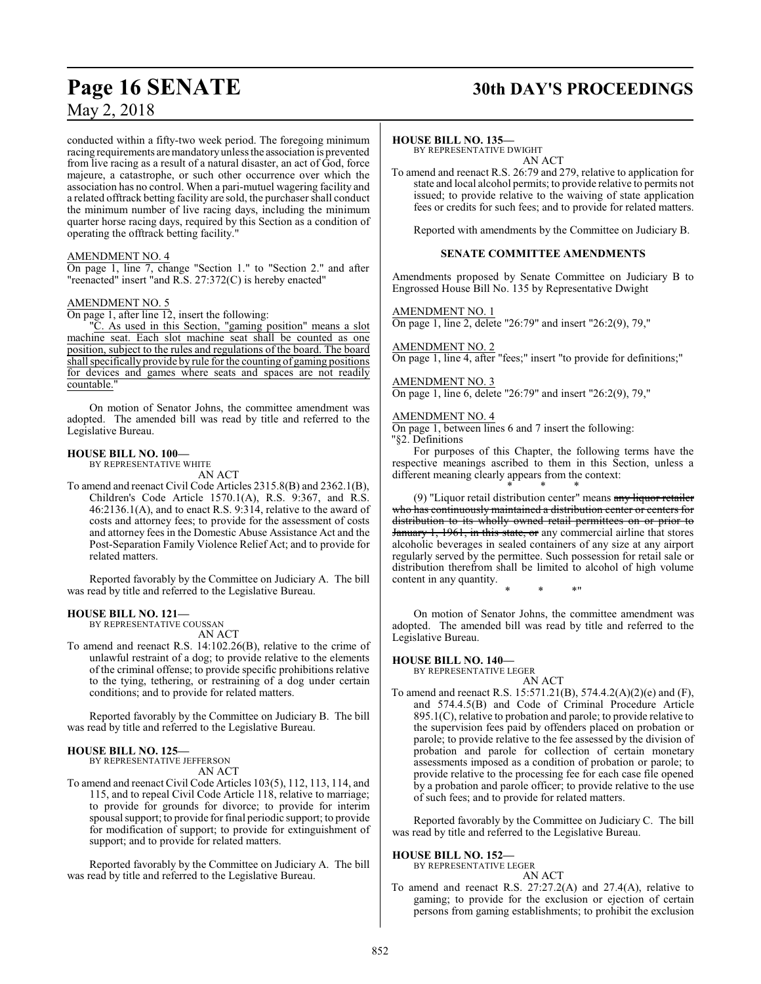## **Page 16 SENATE 30th DAY'S PROCEEDINGS**

conducted within a fifty-two week period. The foregoing minimum racing requirements are mandatory unless the association is prevented from live racing as a result of a natural disaster, an act of God, force majeure, a catastrophe, or such other occurrence over which the association has no control. When a pari-mutuel wagering facility and a related offtrack betting facility are sold, the purchaser shall conduct the minimum number of live racing days, including the minimum quarter horse racing days, required by this Section as a condition of operating the offtrack betting facility."

#### AMENDMENT NO. 4

On page 1, line 7, change "Section 1." to "Section 2." and after "reenacted" insert "and R.S. 27:372(C) is hereby enacted"

#### AMENDMENT NO. 5

On page 1, after line 12, insert the following:

"C. As used in this Section, "gaming position" means a slot machine seat. Each slot machine seat shall be counted as one position, subject to the rules and regulations of the board. The board shall specifically provide by rule for the counting of gaming positions for devices and games where seats and spaces are not readily countable."

On motion of Senator Johns, the committee amendment was adopted. The amended bill was read by title and referred to the Legislative Bureau.

#### **HOUSE BILL NO. 100—**

BY REPRESENTATIVE WHITE AN ACT

To amend and reenact Civil Code Articles 2315.8(B) and 2362.1(B), Children's Code Article 1570.1(A), R.S. 9:367, and R.S. 46:2136.1(A), and to enact R.S. 9:314, relative to the award of costs and attorney fees; to provide for the assessment of costs and attorney fees in the Domestic Abuse Assistance Act and the Post-Separation Family Violence Relief Act; and to provide for related matters.

Reported favorably by the Committee on Judiciary A. The bill was read by title and referred to the Legislative Bureau.

#### **HOUSE BILL NO. 121—**

BY REPRESENTATIVE COUSSAN

AN ACT

To amend and reenact R.S. 14:102.26(B), relative to the crime of unlawful restraint of a dog; to provide relative to the elements of the criminal offense; to provide specific prohibitions relative to the tying, tethering, or restraining of a dog under certain conditions; and to provide for related matters.

Reported favorably by the Committee on Judiciary B. The bill was read by title and referred to the Legislative Bureau.

#### **HOUSE BILL NO. 125—**

BY REPRESENTATIVE JEFFERSON AN ACT

To amend and reenact Civil Code Articles 103(5), 112, 113, 114, and 115, and to repeal Civil Code Article 118, relative to marriage; to provide for grounds for divorce; to provide for interim spousal support; to provide for final periodic support; to provide for modification of support; to provide for extinguishment of support; and to provide for related matters.

Reported favorably by the Committee on Judiciary A. The bill was read by title and referred to the Legislative Bureau.

#### **HOUSE BILL NO. 135—**

BY REPRESENTATIVE DWIGHT AN ACT

To amend and reenact R.S. 26:79 and 279, relative to application for state and local alcohol permits; to provide relative to permits not issued; to provide relative to the waiving of state application fees or credits for such fees; and to provide for related matters.

Reported with amendments by the Committee on Judiciary B.

#### **SENATE COMMITTEE AMENDMENTS**

Amendments proposed by Senate Committee on Judiciary B to Engrossed House Bill No. 135 by Representative Dwight

AMENDMENT NO. 1 On page 1, line 2, delete "26:79" and insert "26:2(9), 79,"

AMENDMENT NO. 2 On page 1, line 4, after "fees;" insert "to provide for definitions;"

#### AMENDMENT NO. 3

On page 1, line 6, delete "26:79" and insert "26:2(9), 79,"

#### AMENDMENT NO. 4

On page 1, between lines 6 and 7 insert the following: "§2. Definitions

For purposes of this Chapter, the following terms have the respective meanings ascribed to them in this Section, unless a different meaning clearly appears from the context:

\* \* \* (9) "Liquor retail distribution center" means <del>any liquor retailer</del> who has continuously maintained a distribution center or centers for distribution to its wholly owned retail permittees on or prior to January 1, 1961, in this state, or any commercial airline that stores alcoholic beverages in sealed containers of any size at any airport regularly served by the permittee. Such possession for retail sale or distribution therefrom shall be limited to alcohol of high volume content in any quantity. \* \* \*"

On motion of Senator Johns, the committee amendment was adopted. The amended bill was read by title and referred to the Legislative Bureau.

#### **HOUSE BILL NO. 140—**

BY REPRESENTATIVE LEGER

- AN ACT
- To amend and reenact R.S. 15:571.21(B), 574.4.2(A)(2)(e) and (F), and 574.4.5(B) and Code of Criminal Procedure Article 895.1(C), relative to probation and parole; to provide relative to the supervision fees paid by offenders placed on probation or parole; to provide relative to the fee assessed by the division of probation and parole for collection of certain monetary assessments imposed as a condition of probation or parole; to provide relative to the processing fee for each case file opened by a probation and parole officer; to provide relative to the use of such fees; and to provide for related matters.

Reported favorably by the Committee on Judiciary C. The bill was read by title and referred to the Legislative Bureau.

#### **HOUSE BILL NO. 152—**

BY REPRESENTATIVE LEGER AN ACT

To amend and reenact R.S. 27:27.2(A) and 27.4(A), relative to gaming; to provide for the exclusion or ejection of certain persons from gaming establishments; to prohibit the exclusion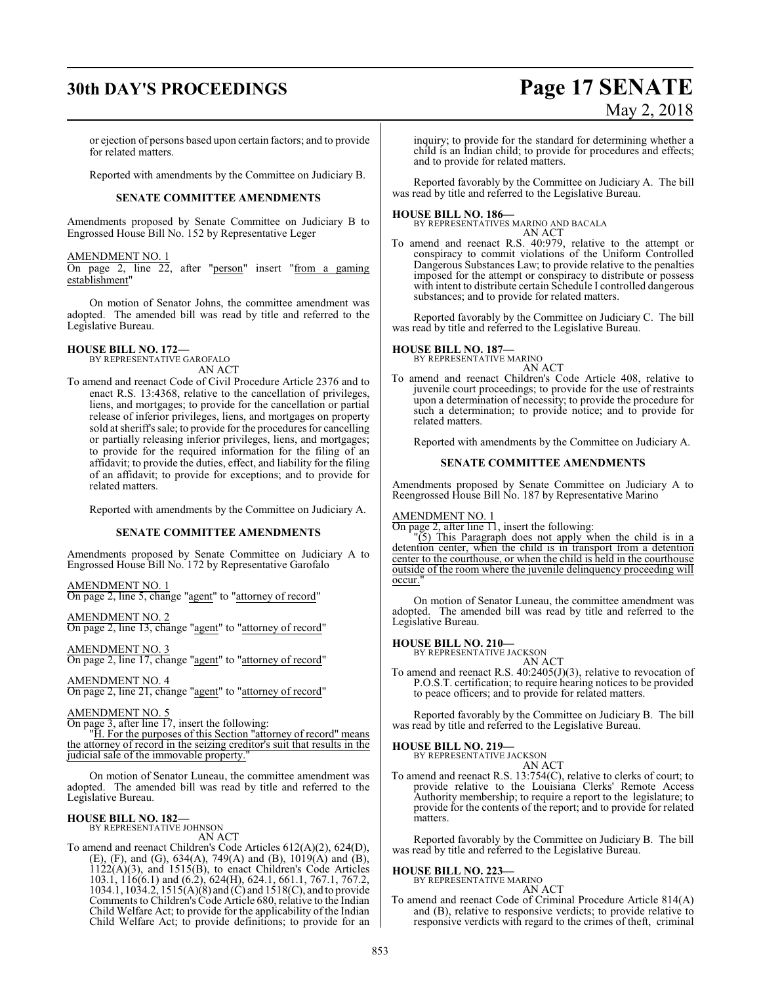# **30th DAY'S PROCEEDINGS Page 17 SENATE** May 2, 2018

or ejection of persons based upon certain factors; and to provide for related matters.

Reported with amendments by the Committee on Judiciary B.

#### **SENATE COMMITTEE AMENDMENTS**

Amendments proposed by Senate Committee on Judiciary B to Engrossed House Bill No. 152 by Representative Leger

#### AMENDMENT NO. 1

On page 2, line 22, after "person" insert "from a gaming establishment"

On motion of Senator Johns, the committee amendment was adopted. The amended bill was read by title and referred to the Legislative Bureau.

#### **HOUSE BILL NO. 172—**

BY REPRESENTATIVE GAROFALO AN ACT

To amend and reenact Code of Civil Procedure Article 2376 and to enact R.S. 13:4368, relative to the cancellation of privileges, liens, and mortgages; to provide for the cancellation or partial release of inferior privileges, liens, and mortgages on property sold at sheriff's sale; to provide for the procedures for cancelling or partially releasing inferior privileges, liens, and mortgages; to provide for the required information for the filing of an affidavit; to provide the duties, effect, and liability for the filing of an affidavit; to provide for exceptions; and to provide for related matters.

Reported with amendments by the Committee on Judiciary A.

#### **SENATE COMMITTEE AMENDMENTS**

Amendments proposed by Senate Committee on Judiciary A to Engrossed House Bill No. 172 by Representative Garofalo

#### AMENDMENT NO. 1

On page 2, line 5, change "agent" to "attorney of record"

AMENDMENT NO. 2 On page 2, line 13, change "agent" to "attorney of record"

AMENDMENT NO. 3 On page 2, line 17, change "agent" to "attorney of record"

AMENDMENT NO. 4

On page 2, line 21, change "agent" to "attorney of record"

#### AMENDMENT NO. 5

On page 3, after line 17, insert the following:

"H. For the purposes of this Section "attorney of record" means the attorney of record in the seizing creditor's suit that results in the judicial sale of the immovable property."

On motion of Senator Luneau, the committee amendment was adopted. The amended bill was read by title and referred to the Legislative Bureau.

#### **HOUSE BILL NO. 182—**

BY REPRESENTATIVE JOHNSON AN ACT

To amend and reenact Children's Code Articles 612(A)(2), 624(D), (E), (F), and (G), 634(A), 749(A) and (B), 1019(A) and (B),  $1122(A)(3)$ , and  $1515(B)$ , to enact Children's Code Articles 103.1, 116(6.1) and (6.2), 624(H), 624.1, 661.1, 767.1, 767.2, 1034.1, 1034.2, 1515(A)(8) and (C) and 1518(C), and to provide Comments to Children's Code Article 680, relative to the Indian Child Welfare Act; to provide for the applicability of the Indian Child Welfare Act; to provide definitions; to provide for an

inquiry; to provide for the standard for determining whether a child is an Indian child; to provide for procedures and effects; and to provide for related matters.

Reported favorably by the Committee on Judiciary A. The bill was read by title and referred to the Legislative Bureau.

**HOUSE BILL NO. 186—** BY REPRESENTATIVES MARINO AND BACALA AN ACT

To amend and reenact R.S. 40:979, relative to the attempt or conspiracy to commit violations of the Uniform Controlled Dangerous Substances Law; to provide relative to the penalties imposed for the attempt or conspiracy to distribute or possess with intent to distribute certain Schedule I controlled dangerous substances; and to provide for related matters.

Reported favorably by the Committee on Judiciary C. The bill was read by title and referred to the Legislative Bureau.

# **HOUSE BILL NO. 187—** BY REPRESENTATIVE MARINO

AN ACT To amend and reenact Children's Code Article 408, relative to juvenile court proceedings; to provide for the use of restraints upon a determination of necessity; to provide the procedure for such a determination; to provide notice; and to provide for related matters.

Reported with amendments by the Committee on Judiciary A.

#### **SENATE COMMITTEE AMENDMENTS**

Amendments proposed by Senate Committee on Judiciary A to Reengrossed House Bill No. 187 by Representative Marino

#### AMENDMENT NO. 1

On page 2, after line 11, insert the following:

"(5) This Paragraph does not apply when the child is in a detention center, when the child is in transport from a detention center to the courthouse, or when the child is held in the courthouse outside of the room where the juvenile delinquency proceeding will occur.

On motion of Senator Luneau, the committee amendment was adopted. The amended bill was read by title and referred to the Legislative Bureau.

#### **HOUSE BILL NO. 210—** BY REPRESENTATIVE JACKSON

AN ACT

To amend and reenact R.S. 40:2405(J)(3), relative to revocation of P.O.S.T. certification; to require hearing notices to be provided to peace officers; and to provide for related matters.

Reported favorably by the Committee on Judiciary B. The bill was read by title and referred to the Legislative Bureau.

# **HOUSE BILL NO. 219—** BY REPRESENTATIVE JACKSON

AN ACT To amend and reenact R.S. 13:754(C), relative to clerks of court; to provide relative to the Louisiana Clerks' Remote Access Authority membership; to require a report to the legislature; to provide for the contents of the report; and to provide for related matters.

Reported favorably by the Committee on Judiciary B. The bill was read by title and referred to the Legislative Bureau.

## **HOUSE BILL NO. 223—** BY REPRESENTATIVE MARINO

AN ACT

To amend and reenact Code of Criminal Procedure Article 814(A) and (B), relative to responsive verdicts; to provide relative to responsive verdicts with regard to the crimes of theft, criminal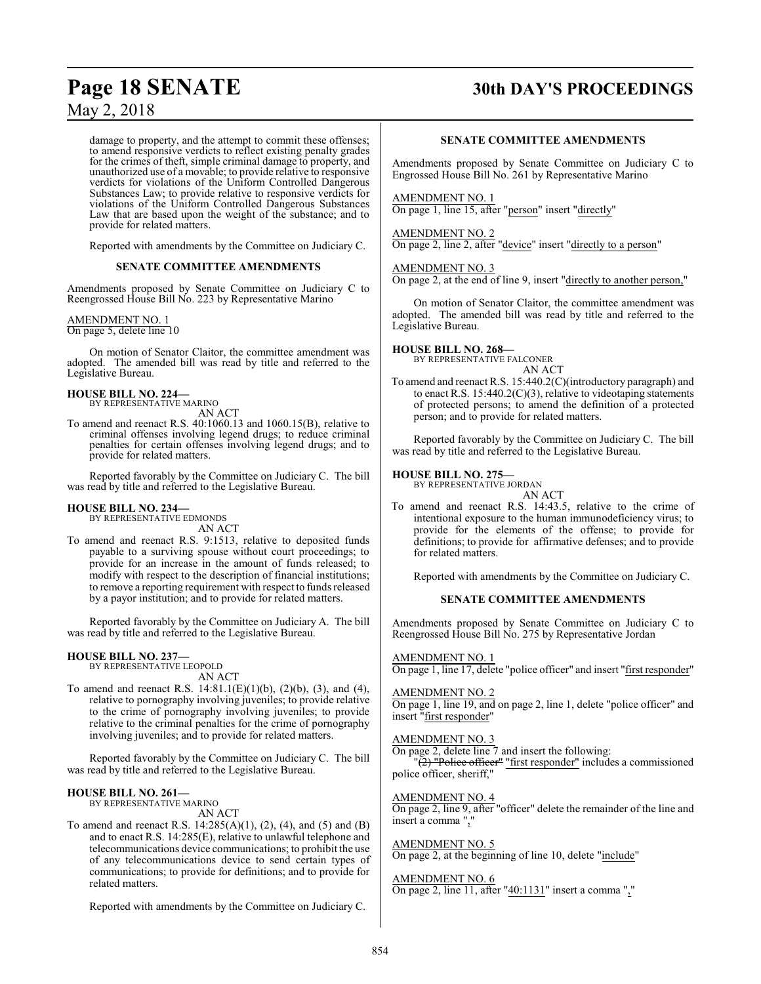## **Page 18 SENATE 30th DAY'S PROCEEDINGS**

May 2, 2018

damage to property, and the attempt to commit these offenses; to amend responsive verdicts to reflect existing penalty grades for the crimes of theft, simple criminal damage to property, and unauthorized use of a movable; to provide relative to responsive verdicts for violations of the Uniform Controlled Dangerous Substances Law; to provide relative to responsive verdicts for violations of the Uniform Controlled Dangerous Substances Law that are based upon the weight of the substance; and to provide for related matters.

Reported with amendments by the Committee on Judiciary C.

#### **SENATE COMMITTEE AMENDMENTS**

Amendments proposed by Senate Committee on Judiciary C to Reengrossed House Bill No. 223 by Representative Marino

#### AMENDMENT NO. 1

On page 5, delete line 10

On motion of Senator Claitor, the committee amendment was adopted. The amended bill was read by title and referred to the Legislative Bureau.

#### **HOUSE BILL NO. 224—**

BY REPRESENTATIVE MARINO

AN ACT

To amend and reenact R.S. 40:1060.13 and 1060.15(B), relative to criminal offenses involving legend drugs; to reduce criminal penalties for certain offenses involving legend drugs; and to provide for related matters.

Reported favorably by the Committee on Judiciary C. The bill was read by title and referred to the Legislative Bureau.

#### **HOUSE BILL NO. 234—**

BY REPRESENTATIVE EDMONDS AN ACT

To amend and reenact R.S. 9:1513, relative to deposited funds payable to a surviving spouse without court proceedings; to provide for an increase in the amount of funds released; to modify with respect to the description of financial institutions; to remove a reporting requirement with respect to funds released by a payor institution; and to provide for related matters.

Reported favorably by the Committee on Judiciary A. The bill was read by title and referred to the Legislative Bureau.

#### **HOUSE BILL NO. 237—**

BY REPRESENTATIVE LEOPOLD AN ACT

To amend and reenact R.S. 14:81.1(E)(1)(b), (2)(b), (3), and (4), relative to pornography involving juveniles; to provide relative to the crime of pornography involving juveniles; to provide relative to the criminal penalties for the crime of pornography involving juveniles; and to provide for related matters.

Reported favorably by the Committee on Judiciary C. The bill was read by title and referred to the Legislative Bureau.

#### **HOUSE BILL NO. 261—** BY REPRESENTATIVE MARINO

AN ACT

To amend and reenact R.S. 14:285(A)(1), (2), (4), and (5) and (B) and to enact R.S. 14:285(E), relative to unlawful telephone and telecommunications device communications; to prohibit the use of any telecommunications device to send certain types of communications; to provide for definitions; and to provide for related matters.

Reported with amendments by the Committee on Judiciary C.

#### **SENATE COMMITTEE AMENDMENTS**

Amendments proposed by Senate Committee on Judiciary C to Engrossed House Bill No. 261 by Representative Marino

#### AMENDMENT NO. 1

On page 1, line 15, after "person" insert "directly"

#### AMENDMENT NO. 2

On page 2, line 2, after "device" insert "directly to a person"

#### AMENDMENT NO. 3

On page 2, at the end of line 9, insert "directly to another person,"

On motion of Senator Claitor, the committee amendment was adopted. The amended bill was read by title and referred to the Legislative Bureau.

#### **HOUSE BILL NO. 268—**

BY REPRESENTATIVE FALCONER

AN ACT

To amend and reenact R.S. 15:440.2(C)(introductory paragraph) and to enact R.S. 15:440.2(C)(3), relative to videotaping statements of protected persons; to amend the definition of a protected person; and to provide for related matters.

Reported favorably by the Committee on Judiciary C. The bill was read by title and referred to the Legislative Bureau.

#### **HOUSE BILL NO. 275—**

BY REPRESENTATIVE JORDAN

- AN ACT To amend and reenact R.S. 14:43.5, relative to the crime of intentional exposure to the human immunodeficiency virus; to
	- provide for the elements of the offense; to provide for definitions; to provide for affirmative defenses; and to provide for related matters.

Reported with amendments by the Committee on Judiciary C.

#### **SENATE COMMITTEE AMENDMENTS**

Amendments proposed by Senate Committee on Judiciary C to Reengrossed House Bill No. 275 by Representative Jordan

#### AMENDMENT NO. 1

On page 1, line 17, delete "police officer" and insert "first responder"

#### AMENDMENT NO. 2

On page 1, line 19, and on page 2, line 1, delete "police officer" and insert "first responder"

#### AMENDMENT NO. 3

On page 2, delete line 7 and insert the following:

 $\sqrt{\frac{2}{2}}$  "Police officer" "first responder" includes a commissioned police officer, sheriff,"

#### AMENDMENT NO. 4

On page 2, line 9, after "officer" delete the remainder of the line and insert a comma ","

#### AMENDMENT NO. 5

On page 2, at the beginning of line 10, delete "include"

#### AMENDMENT NO. 6

On page 2, line 11, after "40:1131" insert a comma ","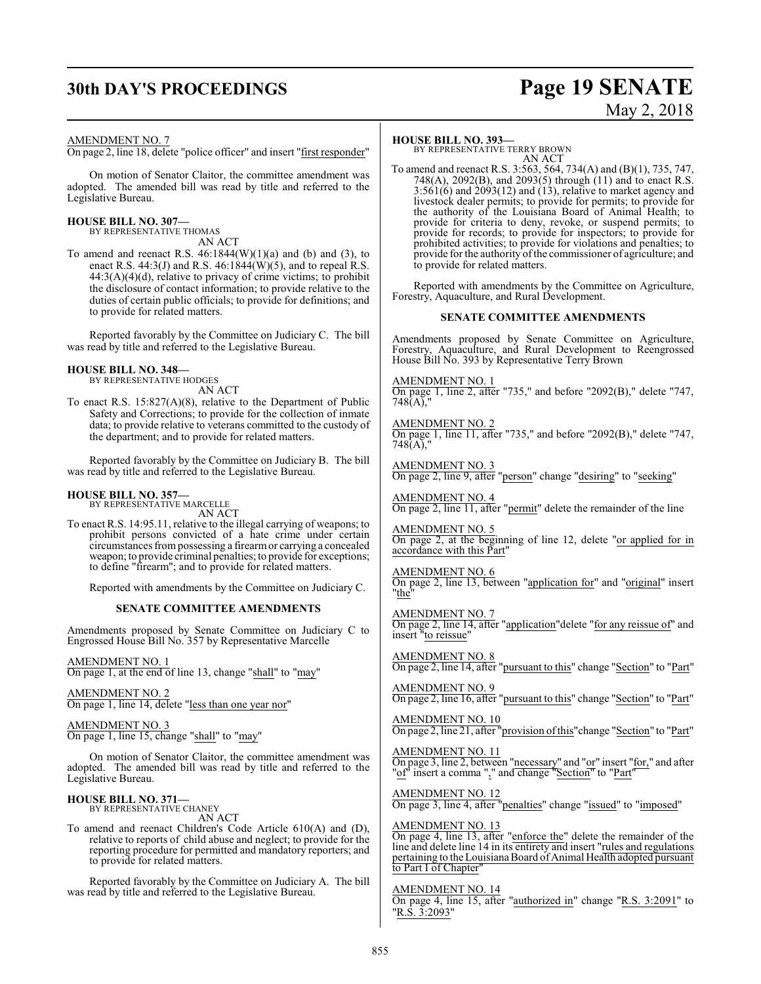## **30th DAY'S PROCEEDINGS Page 19 SENATE**

# May 2, 2018

#### AMENDMENT NO. 7

On page 2, line 18, delete "police officer" and insert "first responder"

On motion of Senator Claitor, the committee amendment was adopted. The amended bill was read by title and referred to the Legislative Bureau.

#### **HOUSE BILL NO. 307—**

BY REPRESENTATIVE THOMAS AN ACT

To amend and reenact R.S.  $46:1844(W)(1)(a)$  and (b) and (3), to enact R.S. 44:3(J) and R.S. 46:1844(W)(5), and to repeal R.S.  $44:3(A)(4)(d)$ , relative to privacy of crime victims; to prohibit the disclosure of contact information; to provide relative to the duties of certain public officials; to provide for definitions; and to provide for related matters.

Reported favorably by the Committee on Judiciary C. The bill was read by title and referred to the Legislative Bureau.

#### **HOUSE BILL NO. 348—**

BY REPRESENTATIVE HODGES AN ACT

To enact R.S. 15:827(A)(8), relative to the Department of Public Safety and Corrections; to provide for the collection of inmate data; to provide relative to veterans committed to the custody of the department; and to provide for related matters.

Reported favorably by the Committee on Judiciary B. The bill was read by title and referred to the Legislative Bureau.

#### **HOUSE BILL NO. 357—**

BY REPRESENTATIVE MARCELLE AN ACT

To enact R.S. 14:95.11, relative to the illegal carrying of weapons; to prohibit persons convicted of a hate crime under certain circumstances frompossessing a firearmor carrying a concealed weapon; to provide criminal penalties; to provide for exceptions; to define "firearm"; and to provide for related matters.

Reported with amendments by the Committee on Judiciary C.

#### **SENATE COMMITTEE AMENDMENTS**

Amendments proposed by Senate Committee on Judiciary C to Engrossed House Bill No. 357 by Representative Marcelle

AMENDMENT NO. 1 On page 1, at the end of line 13, change "shall" to "may"

AMENDMENT NO. 2 On page 1, line 14, delete "less than one year nor"

#### AMENDMENT NO. 3

On page 1, line 15, change "shall" to "may"

On motion of Senator Claitor, the committee amendment was adopted. The amended bill was read by title and referred to the Legislative Bureau.

#### **HOUSE BILL NO. 371—**

BY REPRESENTATIVE CHANEY AN ACT

To amend and reenact Children's Code Article 610(A) and (D), relative to reports of child abuse and neglect; to provide for the reporting procedure for permitted and mandatory reporters; and to provide for related matters.

Reported favorably by the Committee on Judiciary A. The bill was read by title and referred to the Legislative Bureau.

#### **HOUSE BILL NO. 393—**

BY REPRESENTATIVE TERRY BROWN AN ACT

To amend and reenact R.S. 3:563, 564, 734(A) and (B)(1), 735, 747, 748(A), 2092(B), and 2093(5) through (11) and to enact R.S.  $3:561(6)$  and  $2093(12)$  and  $(13)$ , relative to market agency and livestock dealer permits; to provide for permits; to provide for the authority of the Louisiana Board of Animal Health; to provide for criteria to deny, revoke, or suspend permits; to provide for records; to provide for inspectors; to provide for prohibited activities; to provide for violations and penalties; to provide for the authority of the commissioner of agriculture; and to provide for related matters.

Reported with amendments by the Committee on Agriculture, Forestry, Aquaculture, and Rural Development.

#### **SENATE COMMITTEE AMENDMENTS**

Amendments proposed by Senate Committee on Agriculture, Forestry, Aquaculture, and Rural Development to Reengrossed House Bill No. 393 by Representative Terry Brown

AMENDMENT NO. 1 On page 1, line 2, after "735," and before "2092(B)," delete "747,  $748(A)$ ,

AMENDMENT NO. 2 On page 1, line 11, after "735," and before "2092(B)," delete "747, 748(A),"

AMENDMENT NO. 3 On page 2, line 9, after "person" change "desiring" to "seeking"

AMENDMENT NO. 4 On page 2, line 11, after "permit" delete the remainder of the line

AMENDMENT NO. 5 On page 2, at the beginning of line 12, delete "or applied for in accordance with this Part"

AMENDMENT NO. 6 On page 2, line 13, between "application for" and "original" insert "the"

AMENDMENT NO. 7 On page 2, line 14, after "application"delete "for any reissue of" and insert "to reissue"

AMENDMENT NO. 8 On page 2, line 14, after "pursuant to this" change "Section" to "Part"

AMENDMENT NO. 9 On page 2, line 16, after "pursuant to this" change "Section" to "Part"

AMENDMENT NO. 10 On page 2, line 21, after "provision ofthis"change "Section" to "Part"

AMENDMENT NO. 11 On page 3, line 2, between "necessary" and "or" insert "for," and after "of" insert a comma "," and change "Section" to "Part"

AMENDMENT NO. 12 On page 3, line 4, after "penalties" change "issued" to "imposed"

AMENDMENT NO. 13 On page 4, line 13, after "enforce the" delete the remainder of the line and delete line 14 in its entirety and insert "rules and regulations pertaining to the Louisiana Board of Animal Health adopted pursuant to Part I of Chapter"

AMENDMENT NO. 14 On page 4, line 15, after "authorized in" change "R.S. 3:2091" to "R.S. 3:2093"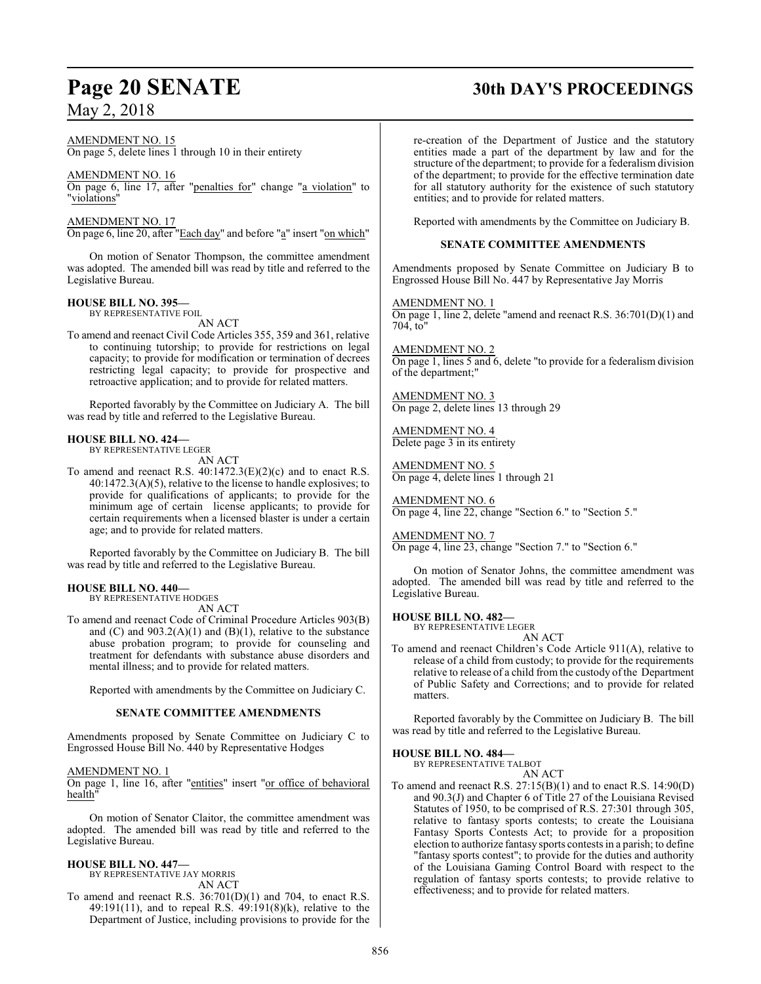## **Page 20 SENATE 30th DAY'S PROCEEDINGS**

AMENDMENT NO. 15

On page 5, delete lines  $\overline{1}$  through 10 in their entirety

AMENDMENT NO. 16 On page 6, line 17, after "penalties for" change "a violation" to "violations"

AMENDMENT NO. 17 On page 6, line 20, after "Each day" and before "a" insert "on which"

On motion of Senator Thompson, the committee amendment was adopted. The amended bill was read by title and referred to the Legislative Bureau.

#### **HOUSE BILL NO. 395—**

BY REPRESENTATIVE FOIL AN ACT

To amend and reenact Civil Code Articles 355, 359 and 361, relative to continuing tutorship; to provide for restrictions on legal capacity; to provide for modification or termination of decrees restricting legal capacity; to provide for prospective and retroactive application; and to provide for related matters.

Reported favorably by the Committee on Judiciary A. The bill was read by title and referred to the Legislative Bureau.

#### **HOUSE BILL NO. 424—** BY REPRESENTATIVE LEGER

AN ACT

To amend and reenact R.S.  $40:1472.3(E)(2)(c)$  and to enact R.S. 40:1472.3(A)(5), relative to the license to handle explosives; to provide for qualifications of applicants; to provide for the minimum age of certain license applicants; to provide for certain requirements when a licensed blaster is under a certain age; and to provide for related matters.

Reported favorably by the Committee on Judiciary B. The bill was read by title and referred to the Legislative Bureau.

#### **HOUSE BILL NO. 440—** BY REPRESENTATIVE HODGES

AN ACT

To amend and reenact Code of Criminal Procedure Articles 903(B) and  $(C)$  and  $903.2(A)(1)$  and  $(B)(1)$ , relative to the substance abuse probation program; to provide for counseling and treatment for defendants with substance abuse disorders and mental illness; and to provide for related matters.

Reported with amendments by the Committee on Judiciary C.

#### **SENATE COMMITTEE AMENDMENTS**

Amendments proposed by Senate Committee on Judiciary C to Engrossed House Bill No. 440 by Representative Hodges

#### AMENDMENT NO. 1

On page 1, line 16, after "entities" insert "or office of behavioral health"

On motion of Senator Claitor, the committee amendment was adopted. The amended bill was read by title and referred to the Legislative Bureau.

#### **HOUSE BILL NO. 447—**

BY REPRESENTATIVE JAY MORRIS AN ACT

To amend and reenact R.S. 36:701(D)(1) and 704, to enact R.S. 49:191(11), and to repeal R.S. 49:191(8)(k), relative to the Department of Justice, including provisions to provide for the re-creation of the Department of Justice and the statutory entities made a part of the department by law and for the structure of the department; to provide for a federalism division of the department; to provide for the effective termination date for all statutory authority for the existence of such statutory entities; and to provide for related matters.

Reported with amendments by the Committee on Judiciary B.

#### **SENATE COMMITTEE AMENDMENTS**

Amendments proposed by Senate Committee on Judiciary B to Engrossed House Bill No. 447 by Representative Jay Morris

AMENDMENT NO. 1 On page 1, line 2, delete "amend and reenact R.S. 36:701(D)(1) and 704, to"

AMENDMENT NO. 2 On page 1, lines 5 and 6, delete "to provide for a federalism division of the department;"

AMENDMENT NO. 3 On page 2, delete lines 13 through 29

AMENDMENT NO. 4 Delete page 3 in its entirety

AMENDMENT NO. 5 On page 4, delete lines 1 through 21

AMENDMENT NO. 6 On page 4, line 22, change "Section 6." to "Section 5."

AMENDMENT NO. 7

On page 4, line 23, change "Section 7." to "Section 6."

On motion of Senator Johns, the committee amendment was adopted. The amended bill was read by title and referred to the Legislative Bureau.

**HOUSE BILL NO. 482—**

BY REPRESENTATIVE LEGER AN ACT

To amend and reenact Children's Code Article 911(A), relative to release of a child from custody; to provide for the requirements relative to release of a child from the custody of the Department of Public Safety and Corrections; and to provide for related matters.

Reported favorably by the Committee on Judiciary B. The bill was read by title and referred to the Legislative Bureau.

#### **HOUSE BILL NO. 484—**

BY REPRESENTATIVE TALBOT AN ACT

To amend and reenact R.S. 27:15(B)(1) and to enact R.S. 14:90(D) and 90.3(J) and Chapter 6 of Title 27 of the Louisiana Revised Statutes of 1950, to be comprised of R.S. 27:301 through 305, relative to fantasy sports contests; to create the Louisiana Fantasy Sports Contests Act; to provide for a proposition election to authorize fantasy sports contests in a parish; to define "fantasy sports contest"; to provide for the duties and authority of the Louisiana Gaming Control Board with respect to the regulation of fantasy sports contests; to provide relative to effectiveness; and to provide for related matters.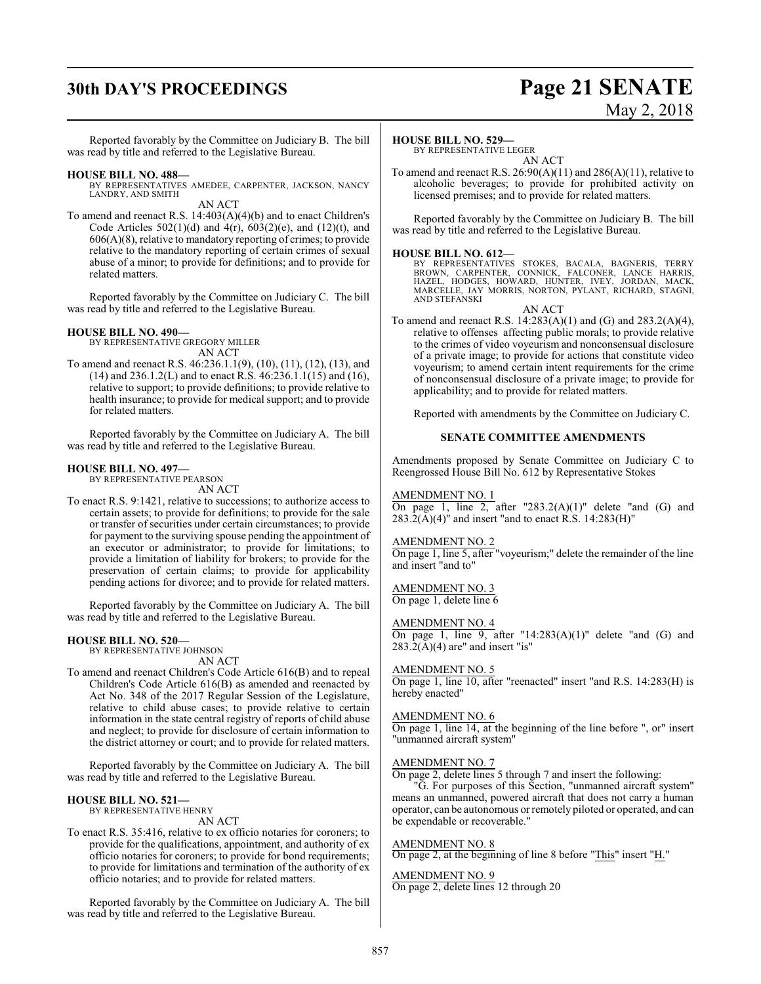## **30th DAY'S PROCEEDINGS Page 21 SENATE**

# May 2, 2018

Reported favorably by the Committee on Judiciary B. The bill was read by title and referred to the Legislative Bureau.

#### **HOUSE BILL NO. 488—**

BY REPRESENTATIVES AMEDEE, CARPENTER, JACKSON, NANCY LANDRY, AND SMITH AN ACT

To amend and reenact R.S. 14:403(A)(4)(b) and to enact Children's Code Articles  $502(1)(d)$  and  $4(r)$ ,  $603(2)(e)$ , and  $(12)(t)$ , and 606(A)(8), relative to mandatory reporting of crimes; to provide relative to the mandatory reporting of certain crimes of sexual abuse of a minor; to provide for definitions; and to provide for related matters.

Reported favorably by the Committee on Judiciary C. The bill was read by title and referred to the Legislative Bureau.

#### **HOUSE BILL NO. 490—**

BY REPRESENTATIVE GREGORY MILLER AN ACT

To amend and reenact R.S. 46:236.1.1(9), (10), (11), (12), (13), and (14) and 236.1.2(L) and to enact R.S. 46:236.1.1(15) and (16), relative to support; to provide definitions; to provide relative to health insurance; to provide for medical support; and to provide for related matters.

Reported favorably by the Committee on Judiciary A. The bill was read by title and referred to the Legislative Bureau.

#### **HOUSE BILL NO. 497—**

BY REPRESENTATIVE PEARSON AN ACT

To enact R.S. 9:1421, relative to successions; to authorize access to certain assets; to provide for definitions; to provide for the sale or transfer of securities under certain circumstances; to provide for payment to the surviving spouse pending the appointment of an executor or administrator; to provide for limitations; to provide a limitation of liability for brokers; to provide for the preservation of certain claims; to provide for applicability pending actions for divorce; and to provide for related matters.

Reported favorably by the Committee on Judiciary A. The bill was read by title and referred to the Legislative Bureau.

#### **HOUSE BILL NO. 520—**

BY REPRESENTATIVE JOHNSON

AN ACT

To amend and reenact Children's Code Article 616(B) and to repeal Children's Code Article 616(B) as amended and reenacted by Act No. 348 of the 2017 Regular Session of the Legislature, relative to child abuse cases; to provide relative to certain information in the state central registry of reports of child abuse and neglect; to provide for disclosure of certain information to the district attorney or court; and to provide for related matters.

Reported favorably by the Committee on Judiciary A. The bill was read by title and referred to the Legislative Bureau.

#### **HOUSE BILL NO. 521—**

BY REPRESENTATIVE HENRY

#### AN ACT

To enact R.S. 35:416, relative to ex officio notaries for coroners; to provide for the qualifications, appointment, and authority of ex officio notaries for coroners; to provide for bond requirements; to provide for limitations and termination of the authority of ex officio notaries; and to provide for related matters.

Reported favorably by the Committee on Judiciary A. The bill was read by title and referred to the Legislative Bureau.

#### **HOUSE BILL NO. 529—**

BY REPRESENTATIVE LEGER AN ACT

To amend and reenact R.S.  $26:90(A)(11)$  and  $286(A)(11)$ , relative to alcoholic beverages; to provide for prohibited activity on licensed premises; and to provide for related matters.

Reported favorably by the Committee on Judiciary B. The bill was read by title and referred to the Legislative Bureau.

**HOUSE BILL NO. 612—** BY REPRESENTATIVES STOKES, BACALA, BAGNERIS, TERRY BROWN, CARPENTER, CONNICK, FALCONER, LANCE HARRIS, HAZEL, HODGES, HOWARD, HUNTER, IVEY, JORDAN, MACK, MARCELLE, JAY MORRIS, NORTON, PYLANT, RICHARD, STAGNI, AND STEFANSKI

AN ACT

To amend and reenact R.S. 14:283(A)(1) and (G) and 283.2(A)(4), relative to offenses affecting public morals; to provide relative to the crimes of video voyeurism and nonconsensual disclosure of a private image; to provide for actions that constitute video voyeurism; to amend certain intent requirements for the crime of nonconsensual disclosure of a private image; to provide for applicability; and to provide for related matters.

Reported with amendments by the Committee on Judiciary C.

#### **SENATE COMMITTEE AMENDMENTS**

Amendments proposed by Senate Committee on Judiciary C to Reengrossed House Bill No. 612 by Representative Stokes

#### AMENDMENT NO. 1

On page 1, line 2, after "283.2(A)(1)" delete "and (G) and  $283.2(A)(4)$ " and insert "and to enact R.S. 14:283(H)"

#### AMENDMENT NO. 2

On page 1, line 5, after "voyeurism;" delete the remainder of the line and insert "and to"

#### AMENDMENT NO. 3

On page 1, delete line 6

### AMENDMENT NO. 4

On page 1, line 9, after "14:283(A)(1)" delete "and (G) and  $283.2(A)(4)$  are" and insert "is"

#### AMENDMENT NO. 5

On page 1, line 10, after "reenacted" insert "and R.S. 14:283(H) is hereby enacted"

#### AMENDMENT NO. 6

On page 1, line 14, at the beginning of the line before ", or" insert "unmanned aircraft system"

#### AMENDMENT NO. 7

On page 2, delete lines 5 through 7 and insert the following:

"G. For purposes of this Section, "unmanned aircraft system" means an unmanned, powered aircraft that does not carry a human operator, can be autonomous or remotely piloted or operated, and can be expendable or recoverable."

#### AMENDMENT NO. 8

On page 2, at the beginning of line 8 before "This" insert "H."

#### AMENDMENT NO. 9

On page 2, delete lines 12 through 20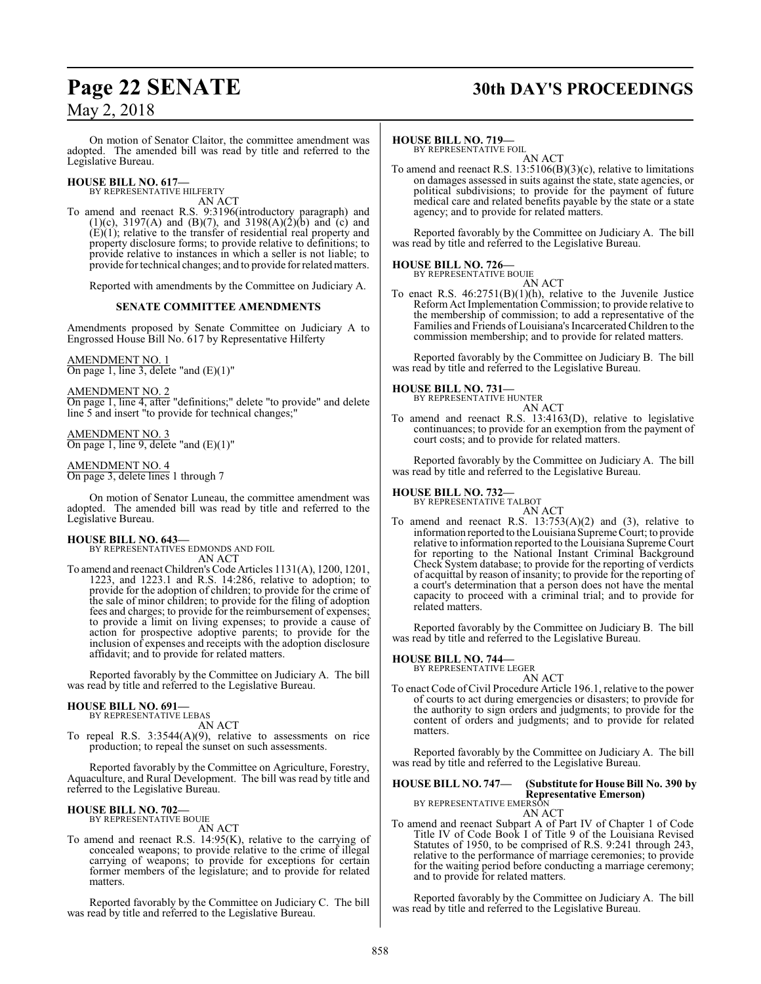## **Page 22 SENATE 30th DAY'S PROCEEDINGS**

On motion of Senator Claitor, the committee amendment was adopted. The amended bill was read by title and referred to the Legislative Bureau.

**HOUSE BILL NO. 617—** BY REPRESENTATIVE HILFERTY

AN ACT

To amend and reenact R.S. 9:3196(introductory paragraph) and (1)(c), 3197(A) and (B)(7), and 3198(A)(2)(b) and (c) and  $(E)(1)$ ; relative to the transfer of residential real property and property disclosure forms; to provide relative to definitions; to provide relative to instances in which a seller is not liable; to provide for technical changes; and to provide for relatedmatters.

Reported with amendments by the Committee on Judiciary A.

#### **SENATE COMMITTEE AMENDMENTS**

Amendments proposed by Senate Committee on Judiciary A to Engrossed House Bill No. 617 by Representative Hilferty

AMENDMENT NO. 1

On page 1, line 3, delete "and (E)(1)"

AMENDMENT NO. 2

On page 1, line 4, after "definitions;" delete "to provide" and delete line 5 and insert "to provide for technical changes;"

#### AMENDMENT NO. 3

On page 1, line 9, delete "and (E)(1)"

#### AMENDMENT NO. 4

On page 3, delete lines 1 through 7

On motion of Senator Luneau, the committee amendment was adopted. The amended bill was read by title and referred to the Legislative Bureau.

**HOUSE BILL NO. 643—** BY REPRESENTATIVES EDMONDS AND FOIL AN ACT

To amend and reenact Children's Code Articles 1131(A), 1200, 1201, 1223, and 1223.1 and R.S. 14:286, relative to adoption; to provide for the adoption of children; to provide for the crime of the sale of minor children; to provide for the filing of adoption fees and charges; to provide for the reimbursement of expenses; to provide a limit on living expenses; to provide a cause of action for prospective adoptive parents; to provide for the inclusion of expenses and receipts with the adoption disclosure affidavit; and to provide for related matters.

Reported favorably by the Committee on Judiciary A. The bill was read by title and referred to the Legislative Bureau.

#### **HOUSE BILL NO. 691—**

BY REPRESENTATIVE LEBAS AN ACT

To repeal R.S. 3:3544(A)(9), relative to assessments on rice production; to repeal the sunset on such assessments.

Reported favorably by the Committee on Agriculture, Forestry, Aquaculture, and Rural Development. The bill was read by title and referred to the Legislative Bureau.

#### **HOUSE BILL NO. 702—** BY REPRESENTATIVE BOUIE

AN ACT

To amend and reenact R.S. 14:95(K), relative to the carrying of concealed weapons; to provide relative to the crime of illegal carrying of weapons; to provide for exceptions for certain former members of the legislature; and to provide for related matters.

Reported favorably by the Committee on Judiciary C. The bill was read by title and referred to the Legislative Bureau.

#### **HOUSE BILL NO. 719—**

BY REPRESENTATIVE FOIL AN ACT

To amend and reenact R.S. 13:5106(B)(3)(c), relative to limitations on damages assessed in suits against the state, state agencies, or political subdivisions; to provide for the payment of future medical care and related benefits payable by the state or a state agency; and to provide for related matters.

Reported favorably by the Committee on Judiciary A. The bill was read by title and referred to the Legislative Bureau.

### **HOUSE BILL NO. 726—**

BY REPRESENTATIVE BOUIE AN ACT

To enact R.S. 46:2751(B)(1)(h), relative to the Juvenile Justice Reform Act Implementation Commission; to provide relative to the membership of commission; to add a representative of the Families and Friends of Louisiana's IncarceratedChildren to the commission membership; and to provide for related matters.

Reported favorably by the Committee on Judiciary B. The bill was read by title and referred to the Legislative Bureau.

#### **HOUSE BILL NO. 731—**

BY REPRESENTATIVE HUNTER

AN ACT To amend and reenact R.S. 13:4163(D), relative to legislative continuances; to provide for an exemption from the payment of court costs; and to provide for related matters.

Reported favorably by the Committee on Judiciary A. The bill was read by title and referred to the Legislative Bureau.

#### **HOUSE BILL NO. 732—**

BY REPRESENTATIVE TALBOT AN ACT

To amend and reenact R.S.  $13:753(A)(2)$  and  $(3)$ , relative to information reported to the Louisiana Supreme Court; to provide relative to information reported to the Louisiana Supreme Court for reporting to the National Instant Criminal Background Check System database; to provide for the reporting of verdicts of acquittal by reason of insanity; to provide for the reporting of a court's determination that a person does not have the mental capacity to proceed with a criminal trial; and to provide for related matters.

Reported favorably by the Committee on Judiciary B. The bill was read by title and referred to the Legislative Bureau.

## **HOUSE BILL NO. 744—** BY REPRESENTATIVE LEGER

AN ACT To enact Code of Civil Procedure Article 196.1, relative to the power of courts to act during emergencies or disasters; to provide for the authority to sign orders and judgments; to provide for the content of orders and judgments; and to provide for related matters.

Reported favorably by the Committee on Judiciary A. The bill was read by title and referred to the Legislative Bureau.

#### **HOUSE BILL NO. 747— (Substitute for House Bill No. 390 by Representative Emerson)** BY REPRESENTATIVE EMERSON AN ACT

To amend and reenact Subpart A of Part IV of Chapter 1 of Code Title IV of Code Book I of Title 9 of the Louisiana Revised Statutes of 1950, to be comprised of R.S. 9:241 through 243, relative to the performance of marriage ceremonies; to provide for the waiting period before conducting a marriage ceremony; and to provide for related matters.

Reported favorably by the Committee on Judiciary A. The bill was read by title and referred to the Legislative Bureau.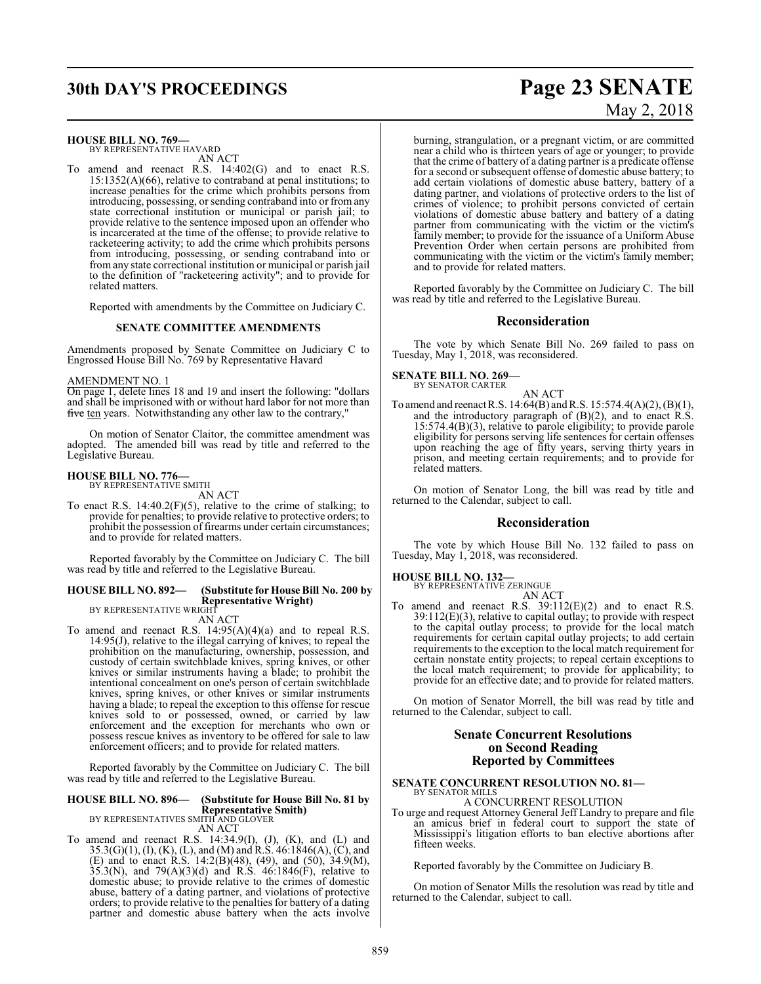## **30th DAY'S PROCEEDINGS Page 23 SENATE**

#### **HOUSE BILL NO. 769—**

BY REPRESENTATIVE HAVARD AN ACT

To amend and reenact R.S. 14:402(G) and to enact R.S. 15:1352(A)(66), relative to contraband at penal institutions; to increase penalties for the crime which prohibits persons from introducing, possessing, or sending contraband into or fromany state correctional institution or municipal or parish jail; to provide relative to the sentence imposed upon an offender who is incarcerated at the time of the offense; to provide relative to racketeering activity; to add the crime which prohibits persons from introducing, possessing, or sending contraband into or fromany state correctional institution or municipal or parish jail to the definition of "racketeering activity"; and to provide for related matters.

Reported with amendments by the Committee on Judiciary C.

#### **SENATE COMMITTEE AMENDMENTS**

Amendments proposed by Senate Committee on Judiciary C to Engrossed House Bill No. 769 by Representative Havard

#### AMENDMENT NO. 1

On page 1, delete lines 18 and 19 and insert the following: "dollars and shall be imprisoned with or without hard labor for not more than five ten years. Notwithstanding any other law to the contrary,

On motion of Senator Claitor, the committee amendment was adopted. The amended bill was read by title and referred to the Legislative Bureau.

#### **HOUSE BILL NO. 776—** BY REPRESENTATIVE SMITH

AN ACT

To enact R.S. 14:40.2(F)(5), relative to the crime of stalking; to provide for penalties; to provide relative to protective orders; to prohibit the possession of firearms under certain circumstances; and to provide for related matters.

Reported favorably by the Committee on Judiciary C. The bill was read by title and referred to the Legislative Bureau.

## **HOUSE BILL NO. 892— (Substitute for House Bill No. 200 by Representative Wright)**<br>BY REPRESENTATIVE WRIGHT

AN ACT

To amend and reenact R.S. 14:95(A)(4)(a) and to repeal R.S. 14:95(J), relative to the illegal carrying of knives; to repeal the prohibition on the manufacturing, ownership, possession, and custody of certain switchblade knives, spring knives, or other knives or similar instruments having a blade; to prohibit the intentional concealment on one's person of certain switchblade knives, spring knives, or other knives or similar instruments having a blade; to repeal the exception to this offense for rescue knives sold to or possessed, owned, or carried by law enforcement and the exception for merchants who own or possess rescue knives as inventory to be offered for sale to law enforcement officers; and to provide for related matters.

Reported favorably by the Committee on Judiciary C. The bill was read by title and referred to the Legislative Bureau.

## **HOUSE BILL NO. 896— (Substitute for House Bill No. 81 by Representative Smith)** BY REPRESENTATIVES SMITH AND GLOVER

AN ACT

To amend and reenact R.S.  $14:34.9(I)$ ,  $(J)$ ,  $(K)$ , and  $(L)$  and 35.3(G)(1), (I), (K), (L), and (M) and R.S. 46:1846(A), (C), and (E) and to enact R.S. 14:2(B)(48), (49), and (50), 34.9(M),  $35.3(N)$ , and  $79(A)(3)(d)$  and R.S.  $46:1846(F)$ , relative to domestic abuse; to provide relative to the crimes of domestic abuse, battery of a dating partner, and violations of protective orders; to provide relative to the penalties for battery of a dating partner and domestic abuse battery when the acts involve

burning, strangulation, or a pregnant victim, or are committed near a child who is thirteen years of age or younger; to provide that the crime of battery of a dating partner is a predicate offense for a second or subsequent offense of domestic abuse battery; to add certain violations of domestic abuse battery, battery of a dating partner, and violations of protective orders to the list of crimes of violence; to prohibit persons convicted of certain violations of domestic abuse battery and battery of a dating partner from communicating with the victim or the victim's family member; to provide for the issuance of a Uniform Abuse Prevention Order when certain persons are prohibited from communicating with the victim or the victim's family member; and to provide for related matters.

Reported favorably by the Committee on Judiciary C. The bill was read by title and referred to the Legislative Bureau.

#### **Reconsideration**

The vote by which Senate Bill No. 269 failed to pass on Tuesday, May 1, 2018, was reconsidered.

**SENATE BILL NO. 269—** BY SENATOR CARTER

AN ACT

To amend and reenact R.S. 14:64(B) andR.S. 15:574.4(A)(2), (B)(1), and the introductory paragraph of  $(B)(2)$ , and to enact R.S. 15:574.4(B)(3), relative to parole eligibility; to provide parole eligibility for persons serving life sentences for certain offenses upon reaching the age of fifty years, serving thirty years in prison, and meeting certain requirements; and to provide for related matters.

On motion of Senator Long, the bill was read by title and returned to the Calendar, subject to call.

#### **Reconsideration**

The vote by which House Bill No. 132 failed to pass on Tuesday, May 1, 2018, was reconsidered.

#### **HOUSE BILL NO. 132—**

BY REPRESENTATIVE ZERINGUE

AN ACT To amend and reenact R.S. 39:112(E)(2) and to enact R.S. 39:112(E)(3), relative to capital outlay; to provide with respect to the capital outlay process; to provide for the local match requirements for certain capital outlay projects; to add certain requirements to the exception to the local match requirement for certain nonstate entity projects; to repeal certain exceptions to the local match requirement; to provide for applicability; to provide for an effective date; and to provide for related matters.

On motion of Senator Morrell, the bill was read by title and returned to the Calendar, subject to call.

#### **Senate Concurrent Resolutions on Second Reading Reported by Committees**

#### **SENATE CONCURRENT RESOLUTION NO. 81—** BY SENATOR MILLS

#### A CONCURRENT RESOLUTION

To urge and request Attorney General Jeff Landry to prepare and file an amicus brief in federal court to support the state of Mississippi's litigation efforts to ban elective abortions after fifteen weeks.

Reported favorably by the Committee on Judiciary B.

On motion of Senator Mills the resolution was read by title and returned to the Calendar, subject to call.

# May 2, 2018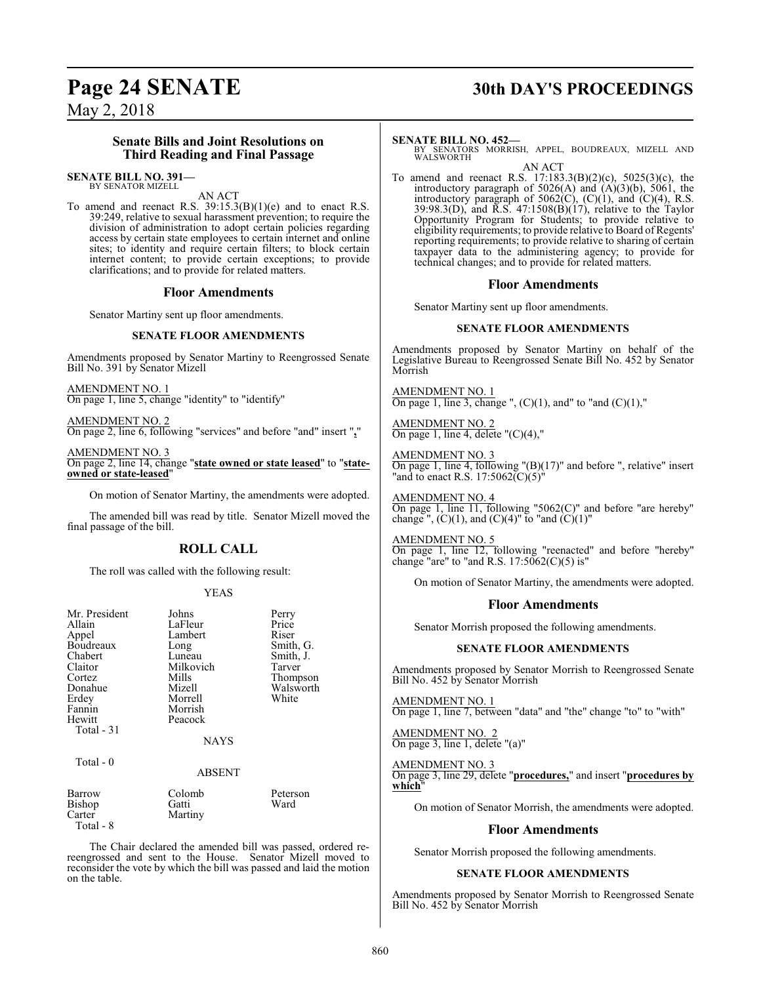#### **Senate Bills and Joint Resolutions on Third Reading and Final Passage**

#### **SENATE BILL NO. 391—** BY SENATOR MIZELL

AN ACT

To amend and reenact R.S.  $39:15.3(B)(1)(e)$  and to enact R.S. 39:249, relative to sexual harassment prevention; to require the division of administration to adopt certain policies regarding access by certain state employees to certain internet and online sites; to identity and require certain filters; to block certain internet content; to provide certain exceptions; to provide clarifications; and to provide for related matters.

#### **Floor Amendments**

Senator Martiny sent up floor amendments.

#### **SENATE FLOOR AMENDMENTS**

Amendments proposed by Senator Martiny to Reengrossed Senate Bill No. 391 by Senator Mizell

AMENDMENT NO. 1 On page 1, line 5, change "identity" to "identify"

AMENDMENT NO. 2 On page 2, line 6, following "services" and before "and" insert "**,**"

AMENDMENT NO. 3 On page 2, line 14, change "**state owned or state leased**" to "**stateowned or state-leased**"

On motion of Senator Martiny, the amendments were adopted.

The amended bill was read by title. Senator Mizell moved the final passage of the bill.

#### **ROLL CALL**

The roll was called with the following result:

#### YEAS

| Mr. President<br>Allain<br>Appel<br>Boudreaux<br>Chabert<br>Claitor<br>Cortez<br>Donahue<br>Erdey<br>Fannin<br>Hewitt<br>Total $-31$ | Johns<br>LaFleur<br>Lambert<br>Long<br>Luneau<br>Milkovich<br>Mills<br>Mizell<br>Morrell<br>Morrish<br>Peacock<br><b>NAYS</b> | Perry<br>Price<br>Riser<br>Smith, G.<br>Smith, J.<br>Tarver<br>Thompson<br>Walsworth<br>White |
|--------------------------------------------------------------------------------------------------------------------------------------|-------------------------------------------------------------------------------------------------------------------------------|-----------------------------------------------------------------------------------------------|
| Total - 0                                                                                                                            | <b>ABSENT</b>                                                                                                                 |                                                                                               |
| Barrow<br>Bishop<br>Carter<br>Total - 8                                                                                              | Colomb<br>Gatti<br>Martiny                                                                                                    | Peterson<br>Ward                                                                              |

The Chair declared the amended bill was passed, ordered rereengrossed and sent to the House. Senator Mizell moved to reconsider the vote by which the bill was passed and laid the motion on the table.

## **Page 24 SENATE 30th DAY'S PROCEEDINGS**

#### **SENATE BILL NO. 452—**

BY SENATORS MORRISH, APPEL, BOUDREAUX, MIZELL AND WALSWORTH

AN ACT To amend and reenact R.S. 17:183.3(B)(2)(c), 5025(3)(c), the introductory paragraph of  $5026(A)$  and  $(A)(3)(b)$ ,  $5061$ , the introductory paragraph of  $5062(C)$ ,  $(C)(1)$ , and  $(C)(4)$ , R.S. 39:98.3(D), and R.S. 47:1508(B)(17), relative to the Taylor Opportunity Program for Students; to provide relative to eligibility requirements; to provide relative to Board ofRegents' reporting requirements; to provide relative to sharing of certain taxpayer data to the administering agency; to provide for technical changes; and to provide for related matters.

#### **Floor Amendments**

Senator Martiny sent up floor amendments.

#### **SENATE FLOOR AMENDMENTS**

Amendments proposed by Senator Martiny on behalf of the Legislative Bureau to Reengrossed Senate Bill No. 452 by Senator Morrish

AMENDMENT NO. 1 On page 1, line 3, change ",  $(C)(1)$ , and" to "and  $(C)(1)$ ,"

AMENDMENT NO. 2 On page 1, line 4, delete " $(C)(4)$ ,"

AMENDMENT NO. 3 On page 1, line 4, following "(B)(17)" and before ", relative" insert "and to enact R.S. 17:5062 $\overline{(C)(5)}$ "

AMENDMENT NO. 4 On page 1, line 11, following "5062(C)" and before "are hereby" change ",  $(C)(1)$ , and  $(C)(4)$ " to "and  $(C)(1)$ "

AMENDMENT NO. 5 On page 1, line 12, following "reenacted" and before "hereby" change "are" to "and R.S.  $17:5062(C)(5)$  is"

On motion of Senator Martiny, the amendments were adopted.

#### **Floor Amendments**

Senator Morrish proposed the following amendments.

#### **SENATE FLOOR AMENDMENTS**

Amendments proposed by Senator Morrish to Reengrossed Senate Bill No. 452 by Senator Morrish

AMENDMENT NO. 1 On page 1, line 7, between "data" and "the" change "to" to "with"

AMENDMENT NO. 2 On page 3, line 1, delete "(a)"

AMENDMENT NO. 3 On page 3, line 29, delete "**procedures,**" and insert "**procedures by which**"

On motion of Senator Morrish, the amendments were adopted.

#### **Floor Amendments**

Senator Morrish proposed the following amendments.

#### **SENATE FLOOR AMENDMENTS**

Amendments proposed by Senator Morrish to Reengrossed Senate Bill No. 452 by Senator Morrish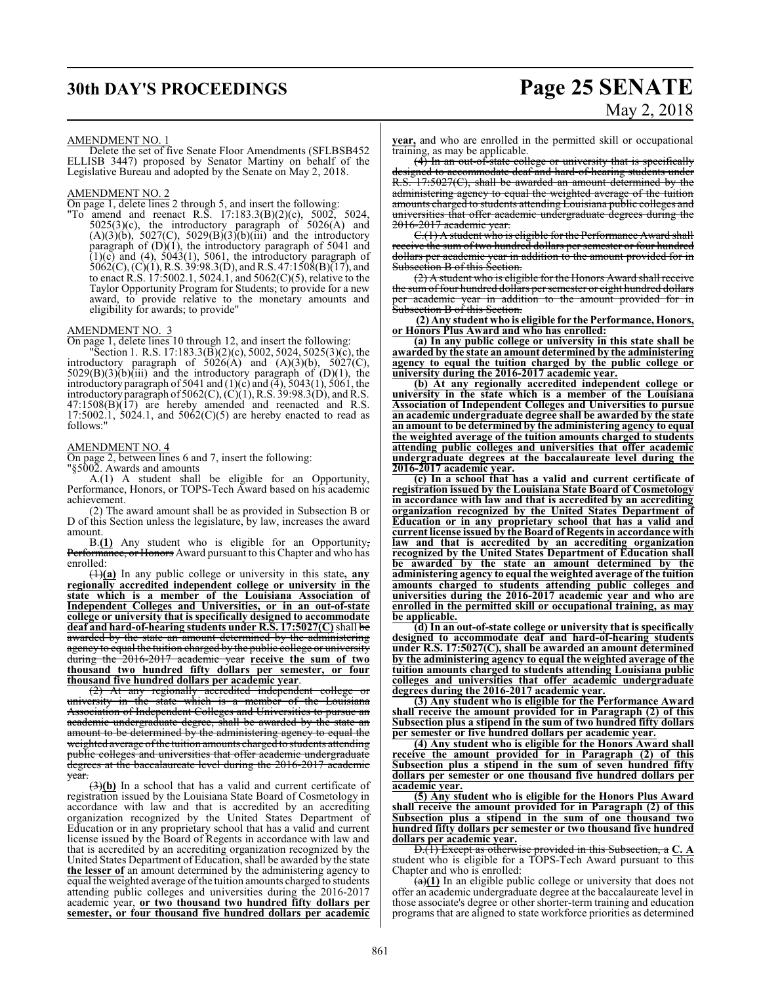## **30th DAY'S PROCEEDINGS Page 25 SENATE**

# May 2, 2018

#### AMENDMENT NO. 1

Delete the set of five Senate Floor Amendments (SFLBSB452 ELLISB 3447) proposed by Senator Martiny on behalf of the Legislative Bureau and adopted by the Senate on May 2, 2018.

#### AMENDMENT NO. 2

On page 1, delete lines 2 through 5, and insert the following:

"To amend and reenact R.S. 17:183.3(B)(2)(c), 5002, 5024, 5025(3)(c), the introductory paragraph of 5026(A) and  $(A)(3)(b)$ , 5027(C), 5029(B)(3)(b)(iii) and the introductory paragraph of  $(D)(1)$ , the introductory paragraph of 5041 and  $(1)(c)$  and  $(4)$ , 5043 $(1)$ , 5061, the introductory paragraph of  $5062(C), (C)(1), R.S. 39:98.3(D), and R.S. 47:1508(B)(17), and$ to enact R.S. 17:5002.1, 5024.1, and 5062(C)(5), relative to the Taylor Opportunity Program for Students; to provide for a new award, to provide relative to the monetary amounts and eligibility for awards; to provide"

#### AMENDMENT NO. 3

On page 1, delete lines 10 through 12, and insert the following:

"Section 1. R.S. 17:183.3(B)(2)(c), 5002, 5024, 5025(3)(c), the introductory paragraph of  $5026(A)$  and  $(A)(3)(b)$ ,  $5027(C)$ ,  $5029(B)(3)(b)(iii)$  and the introductory paragraph of  $(D)(1)$ , the introductory paragraph of 5041 and  $(1)(c)$  and  $(4)$ , 5043 $(1)$ , 5061, the introductory paragraph of 5062(C),  $(C)(1)$ , R.S. 39:98.3(D), and R.S.  $47:1508(B)(17)$  are hereby amended and reenacted and R.S.  $17:5002.1$ ,  $5024.1$ , and  $5062(C)(5)$  are hereby enacted to read as follows:"

#### AMENDMENT NO. 4

On page 2, between lines 6 and 7, insert the following:

"§5002. Awards and amounts

A.(1) A student shall be eligible for an Opportunity, Performance, Honors, or TOPS-Tech Award based on his academic achievement.

(2) The award amount shall be as provided in Subsection B or D of this Section unless the legislature, by law, increases the award amount.

B.**(1)** Any student who is eligible for an Opportunity, Performance, or Honors Award pursuant to this Chapter and who has enrolled:

(1)**(a)** In any public college or university in this state**, any regionally accredited independent college or university in the state which is a member of the Louisiana Association of Independent Colleges and Universities, or in an out-of-state college or university that is specifically designed to accommodate deaf and hard-of-hearing students under R.S. 17:5027(C)**shall be awarded by the state an amount determined by the administering agency to equal the tuition charged by the public college or university during the 2016-2017 academic year **receive the sum of two thousand two hundred fifty dollars per semester, or four thousand five hundred dollars per academic year**.

 $(2)$  At any regionally accredited independent college university in the state which is a member of the Louisiana Association of Independent Colleges and Universities to pursue an academic undergraduate degree, shall be awarded by the state an amount to be determined by the administering agency to equal the weighted average of the tuition amounts charged to students attending public colleges and universities that offer academic undergraduate degrees at the baccalaureate level during the 2016-2017 academic year.

(3)**(b)** In a school that has a valid and current certificate of registration issued by the Louisiana State Board of Cosmetology in accordance with law and that is accredited by an accrediting organization recognized by the United States Department of Education or in any proprietary school that has a valid and current license issued by the Board of Regents in accordance with law and that is accredited by an accrediting organization recognized by the United States Department of Education, shall be awarded by the state **the lesser of** an amount determined by the administering agency to equal the weighted average of the tuition amounts charged to students attending public colleges and universities during the 2016-2017 academic year, **or two thousand two hundred fifty dollars per semester, or four thousand five hundred dollars per academic**

**year,** and who are enrolled in the permitted skill or occupational training, as may be applicable.

(4) In an out-of-state college or university that is specifically designed to accommodate deaf and hard-of-hearing students under R.S. 17:5027(C), shall be awarded an amount determined by the administering agency to equal the weighted average of the tuition amounts charged to students attending Louisiana public colleges and universities that offer academic undergraduate degrees during the 2016-2017 academic year.

C.(1) A student who is eligible for the Performance Award shall receive the sum of two hundred dollars per semester or four hundred dollars per academic year in addition to the amount provided for in Subsection B of this Section.

(2) A student who is eligible for the Honors Award shall receive the sum of four hundred dollars per semester or eight hundred dollars academic year in addition to the amount provided for Subsection B of this Section.

**(2) Any student who is eligible for the Performance, Honors, or Honors Plus Award and who has enrolled:**

**(a) In any public college or university in this state shall be awarded by the state an amount determined by the administering agency to equal the tuition charged by the public college or university during the 2016-2017 academic year.**

**(b) At any regionally accredited independent college or university in the state which is a member of the Louisiana Association of Independent Colleges and Universities to pursue an academic undergraduate degree shall be awarded by the state an amount to be determined by the administering agency to equal the weighted average of the tuition amounts charged to students attending public colleges and universities that offer academic undergraduate degrees at the baccalaureate level during the 2016-2017 academic year.**

**(c) In a school that has a valid and current certificate of registration issued by the Louisiana State Board of Cosmetology in accordance with law and that is accredited by an accrediting organization recognized by the United States Department of Education or in any proprietary school that has a valid and current license issued by the Board of Regents in accordance with law and that is accredited by an accrediting organization recognized by the United States Department of Education shall be awarded by the state an amount determined by the administering agency to equal the weighted average of the tuition amounts charged to students attending public colleges and universities during the 2016-2017 academic year and who are enrolled in the permitted skill or occupational training, as may be applicable.**

**(d) In an out-of-state college or university that is specifically designed to accommodate deaf and hard-of-hearing students under R.S. 17:5027(C), shall be awarded an amount determined by the administering agency to equal the weighted average of the tuition amounts charged to students attending Louisiana public colleges and universities that offer academic undergraduate degrees during the 2016-2017 academic year.**

**(3) Any student who is eligible for the Performance Award shall receive the amount provided for in Paragraph (2) of this Subsection plus a stipend in the sum of two hundred fifty dollars per semester or five hundred dollars per academic year.**

**(4) Any student who is eligible for the Honors Award shall receive the amount provided for in Paragraph (2) of this Subsection plus a stipend in the sum of seven hundred fifty dollars per semester or one thousand five hundred dollars per academic year.**

**(5) Any student who is eligible for the Honors Plus Award shall receive the amount provided for in Paragraph (2) of this Subsection plus a stipend in the sum of one thousand two hundred fifty dollars per semester or two thousand five hundred dollars per academic year.**

D.(1) Except as otherwise provided in this Subsection, a **C. A** student who is eligible for a TOPS-Tech Award pursuant to this Chapter and who is enrolled:

(a)**(1)** In an eligible public college or university that does not offer an academic undergraduate degree at the baccalaureate level in those associate's degree or other shorter-term training and education programs that are aligned to state workforce priorities as determined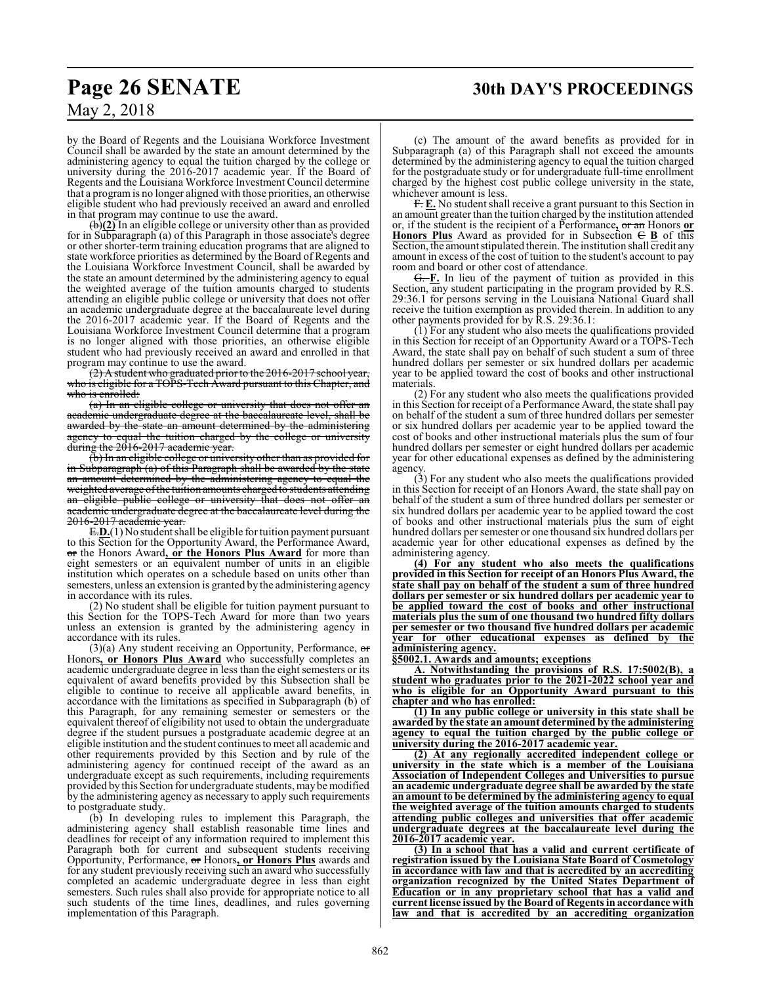## **Page 26 SENATE 30th DAY'S PROCEEDINGS**

# May 2, 2018

by the Board of Regents and the Louisiana Workforce Investment Council shall be awarded by the state an amount determined by the administering agency to equal the tuition charged by the college or university during the 2016-2017 academic year. If the Board of Regents and the Louisiana Workforce Investment Council determine that a programis no longer aligned with those priorities, an otherwise eligible student who had previously received an award and enrolled in that program may continue to use the award.

(b)**(2)** In an eligible college or university other than as provided for in Subparagraph (a) of this Paragraph in those associate's degree or other shorter-term training education programs that are aligned to state workforce priorities as determined by the Board of Regents and the Louisiana Workforce Investment Council, shall be awarded by the state an amount determined by the administering agency to equal the weighted average of the tuition amounts charged to students attending an eligible public college or university that does not offer an academic undergraduate degree at the baccalaureate level during the 2016-2017 academic year. If the Board of Regents and the Louisiana Workforce Investment Council determine that a program is no longer aligned with those priorities, an otherwise eligible student who had previously received an award and enrolled in that program may continue to use the award.

(2) A student who graduated prior to the 2016-2017 school year, who is eligible for a TOPS-Tech Award pursuant to this Chapter, and who is enrolled:

(a) In an eligible college or university that does not offer an academic undergraduate degree at the baccalaureate level, shall be awarded by the state an amount determined by the administering agency to equal the tuition charged by the college or university during the 2016-2017 academic year.

(b) In an eligible college or university other than as provided for in Subparagraph (a) of this Paragraph shall be awarded by the state an amount determined by the administering agency to equal the weighted average of the tuition amounts charged to students attending an eligible public college or university that does not offer an academic undergraduate degree at the baccalaureate level during the 2016-2017 academic year.

E.**D.**(1) No student shall be eligible for tuition payment pursuant to this Section for the Opportunity Award, the Performance Award, or the Honors Award**, or the Honors Plus Award** for more than eight semesters or an equivalent number of units in an eligible institution which operates on a schedule based on units other than semesters, unless an extension is granted by the administering agency in accordance with its rules.

(2) No student shall be eligible for tuition payment pursuant to this Section for the TOPS-Tech Award for more than two years unless an extension is granted by the administering agency in accordance with its rules.

 $(3)(a)$  Any student receiving an Opportunity, Performance, or Honors**, or Honors Plus Award** who successfully completes an academic undergraduate degree in less than the eight semesters or its equivalent of award benefits provided by this Subsection shall be eligible to continue to receive all applicable award benefits, in accordance with the limitations as specified in Subparagraph (b) of this Paragraph, for any remaining semester or semesters or the equivalent thereof of eligibility not used to obtain the undergraduate degree if the student pursues a postgraduate academic degree at an eligible institution and the student continues to meet all academic and other requirements provided by this Section and by rule of the administering agency for continued receipt of the award as an undergraduate except as such requirements, including requirements provided by this Section for undergraduate students, maybe modified by the administering agency as necessary to apply such requirements to postgraduate study.

(b) In developing rules to implement this Paragraph, the administering agency shall establish reasonable time lines and deadlines for receipt of any information required to implement this Paragraph both for current and subsequent students receiving Opportunity, Performance, or Honors**, or Honors Plus** awards and for any student previously receiving such an award who successfully completed an academic undergraduate degree in less than eight semesters. Such rules shall also provide for appropriate notice to all such students of the time lines, deadlines, and rules governing implementation of this Paragraph.

(c) The amount of the award benefits as provided for in Subparagraph (a) of this Paragraph shall not exceed the amounts determined by the administering agency to equal the tuition charged for the postgraduate study or for undergraduate full-time enrollment charged by the highest cost public college university in the state, whichever amount is less.

F. **E.** No student shall receive a grant pursuant to this Section in an amount greater than the tuition charged by the institution attended or, if the student is the recipient of a Performance**,** or an Honors **or Honors Plus** Award as provided for in Subsection  $\in$  **B** of this Section, the amount stipulated therein. The institution shall credit any amount in excess of the cost of tuition to the student's account to pay room and board or other cost of attendance.

G. **F.** In lieu of the payment of tuition as provided in this Section, any student participating in the program provided by R.S. 29:36.1 for persons serving in the Louisiana National Guard shall receive the tuition exemption as provided therein. In addition to any other payments provided for by R.S. 29:36.1:

(1) For any student who also meets the qualifications provided in this Section for receipt of an Opportunity Award or a TOPS-Tech Award, the state shall pay on behalf of such student a sum of three hundred dollars per semester or six hundred dollars per academic year to be applied toward the cost of books and other instructional materials.

(2) For any student who also meets the qualifications provided in this Section for receipt of a Performance Award, the state shall pay on behalf of the student a sum of three hundred dollars per semester or six hundred dollars per academic year to be applied toward the cost of books and other instructional materials plus the sum of four hundred dollars per semester or eight hundred dollars per academic year for other educational expenses as defined by the administering agency.

(3) For any student who also meets the qualifications provided in this Section for receipt of an Honors Award, the state shall pay on behalf of the student a sum of three hundred dollars per semester or six hundred dollars per academic year to be applied toward the cost of books and other instructional materials plus the sum of eight hundred dollars per semester or one thousand six hundred dollars per academic year for other educational expenses as defined by the administering agency.

**(4) For any student who also meets the qualifications provided in this Section for receipt of an Honors Plus Award, the state shall pay on behalf of the student a sum of three hundred dollars per semester or six hundred dollars per academic year to be applied toward the cost of books and other instructional materials plus the sum of one thousand two hundred fifty dollars per semester or two thousand five hundred dollars per academic year for other educational expenses as defined by the administering agency.**

**§5002.1. Awards and amounts; exceptions**

**A. Notwithstanding the provisions of R.S. 17:5002(B), a student who graduates prior to the 2021-2022 school year and who is eligible for an Opportunity Award pursuant to this chapter and who has enrolled:**

**(1) In any public college or university in this state shall be awarded by the state an amount determined by the administering agency to equal the tuition charged by the public college or university during the 2016-2017 academic year.**

**(2) At any regionally accredited independent college or university in the state which is a member of the Louisiana Association of Independent Colleges and Universities to pursue an academic undergraduate degree shall be awarded by the state an amount to be determined by the administering agency to equal the weighted average of the tuition amounts charged to students attending public colleges and universities that offer academic undergraduate degrees at the baccalaureate level during the 2016-2017 academic year.**

**(3) In a school that has a valid and current certificate of registration issued by the Louisiana State Board of Cosmetology in accordance with law and that is accredited by an accrediting organization recognized by the United States Department of Education or in any proprietary school that has a valid and current license issued by the Board of Regents in accordance with law and that is accredited by an accrediting organization**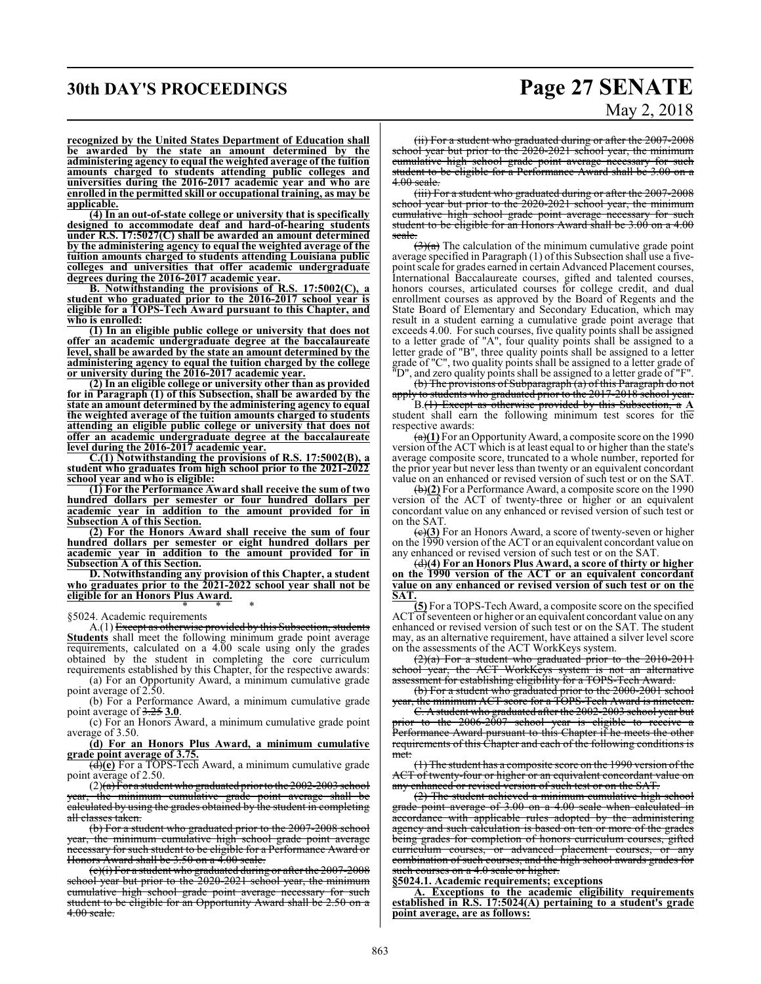## **30th DAY'S PROCEEDINGS Page 27 SENATE** May 2, 2018

**recognized by the United States Department of Education shall be awarded by the state an amount determined by the administering agency to equal the weighted average of the tuition amounts charged to students attending public colleges and universities during the 2016-2017 academic year and who are enrolled in the permitted skill or occupational training, as may be applicable.**

**(4) In an out-of-state college or university that is specifically designed to accommodate deaf and hard-of-hearing students under R.S. 17:5027(C) shall be awarded an amount determined by the administering agency to equal the weighted average of the tuition amounts charged to students attending Louisiana public colleges and universities that offer academic undergraduate degrees during the 2016-2017 academic year.**

**B. Notwithstanding the provisions of R.S. 17:5002(C), a student who graduated prior to the 2016-2017 school year is eligible for a TOPS-Tech Award pursuant to this Chapter, and who is enrolled:**

**(1) In an eligible public college or university that does not offer an academic undergraduate degree at the baccalaureate level, shall be awarded by the state an amount determined by the administering agency to equal the tuition charged by the college or university during the 2016-2017 academic year.**

**(2) In an eligible college or university other than as provided for in Paragraph (1) of this Subsection, shall be awarded by the state an amount determined by the administering agency to equal the weighted average of the tuition amounts charged to students attending an eligible public college or university that does not offer an academic undergraduate degree at the baccalaureate level during the 2016-2017 academic year.**

**C.(1) Notwithstanding the provisions of R.S. 17:5002(B), a student who graduates from high school prior to the 2021-2022 school year and who is eligible:**

**(1) For the Performance Award shall receive the sum of two hundred dollars per semester or four hundred dollars per academic year in addition to the amount provided for in Subsection A of this Section.**

**(2) For the Honors Award shall receive the sum of four hundred dollars per semester or eight hundred dollars per academic year in addition to the amount provided for in Subsection A of this Section.**

**D. Notwithstanding any provision of this Chapter, a student who graduates prior to the 2021-2022 school year shall not be eligible for an Honors Plus Award.** \* \* \*

#### §5024. Academic requirements

A.(1) Except as otherwise provided by this Subsection, students **Students** shall meet the following minimum grade point average requirements, calculated on a 4.00 scale using only the grades obtained by the student in completing the core curriculum requirements established by this Chapter, for the respective awards:

(a) For an Opportunity Award, a minimum cumulative grade point average of 2.50.

(b) For a Performance Award, a minimum cumulative grade point average of 3.25 **3.0**.

(c) For an Honors Award, a minimum cumulative grade point average of 3.50.

#### **(d) For an Honors Plus Award, a minimum cumulative grade point average of 3.75.**

(d)**(e)** For a TOPS-Tech Award, a minimum cumulative grade point average of 2.50.

 $(2)(a)$  For a student who graduated prior to the 2002-2003 school year, the minimum cumulative grade point average shall be calculated by using the grades obtained by the student in completing all classes taken.

(b) For a student who graduated prior to the 2007-2008 school year, the minimum cumulative high school grade point average necessary for such student to be eligible for a Performance Award or Honors Award shall be 3.50 on a 4.00 scale.

(c)(i) For a student who graduated during or after the 2007-2008 school year but prior to the 2020-2021 school year, the minimum cumulative high school grade point average necessary for such student to be eligible for an Opportunity Award shall be 2.50 on a 4.00 scale.

(ii) For a student who graduated during or after the 2007-2008 school year but prior to the 2020-2021 school year, the minimum cumulative high school grade point average necessary for such student to be eligible for a Performance Award shall be 3.00 on a 4.00 scale.

(iii) For a student who graduated during or after the 2007-2008 school year but prior to the 2020-2021 school year, the minimum cumulative high school grade point average necessary for such student to be eligible for an Honors Award shall be 3.00 on a 4.00 scale.

 $\left(\frac{3}{a}\right)$  The calculation of the minimum cumulative grade point average specified in Paragraph (1) of this Subsection shall use a fivepoint scale for grades earned in certain Advanced Placement courses, International Baccalaureate courses, gifted and talented courses, honors courses, articulated courses for college credit, and dual enrollment courses as approved by the Board of Regents and the State Board of Elementary and Secondary Education, which may result in a student earning a cumulative grade point average that exceeds 4.00. For such courses, five quality points shall be assigned to a letter grade of "A", four quality points shall be assigned to a letter grade of "B", three quality points shall be assigned to a letter grade of "C", two quality points shall be assigned to a letter grade of "D", and zero quality points shall be assigned to a letter grade of "F".

(b) The provisions of Subparagraph (a) of this Paragraph do not apply to students who graduated prior to the 2017-2018 school year.

B.(1) Except as otherwise provided by this Subsection, a **A** student shall earn the following minimum test scores for the respective awards:

(a)**(1)** For an Opportunity Award, a composite score on the 1990 version of the ACT which is at least equal to or higher than the state's average composite score, truncated to a whole number, reported for the prior year but never less than twenty or an equivalent concordant value on an enhanced or revised version of such test or on the SAT.

(b)**(2)** For a Performance Award, a composite score on the 1990 version of the ACT of twenty-three or higher or an equivalent concordant value on any enhanced or revised version of such test or on the SAT.

(c)**(3)** For an Honors Award, a score of twenty-seven or higher on the 1990 version of the ACT or an equivalent concordant value on any enhanced or revised version of such test or on the SAT.

(d)**(4) For an Honors Plus Award, a score of thirty or higher on the 1990 version of the ACT or an equivalent concordant value on any enhanced or revised version of such test or on the SAT.**

**(5)** For a TOPS-Tech Award, a composite score on the specified ACT of seventeen or higher or an equivalent concordant value on any enhanced or revised version of such test or on the SAT. The student may, as an alternative requirement, have attained a silver level score on the assessments of the ACT WorkKeys system.

 $(2)(a)$  For a student who graduated prior to the 2010-2011 school year, the ACT WorkKeys system is not an alternative assessment for establishing eligibility for a TOPS-Tech Award.

(b) For a student who graduated prior to the 2000-2001 school year, the minimum ACT score for a TOPS-Tech Award is nineteen.

C. A student who graduated after the 2002-2003 school year but prior to the 2006-2007 school year is eligible to receive Performance Award pursuant to this Chapter if he meets the other requirements of this Chapter and each of the following conditions is met:

(1) The student has a composite score on the 1990 version ofthe ACT of twenty-four or higher or an equivalent concordant value on any enhanced or revised version of such test or on the SAT.

(2) The student achieved a minimum cumulative high school grade point average of 3.00 on a 4.00 scale when calculated in accordance with applicable rules adopted by the administering agency and such calculation is based on ten or more of the grades being grades for completion of honors curriculum courses, gifted curriculum courses, or advanced placement courses, or any combination of such courses, and the high school awards grades for such courses on a 4.0 scale or higher.

**§5024.1. Academic requirements; exceptions**

**A. Exceptions to the academic eligibility requirements established in R.S. 17:5024(A) pertaining to a student's grade point average, are as follows:**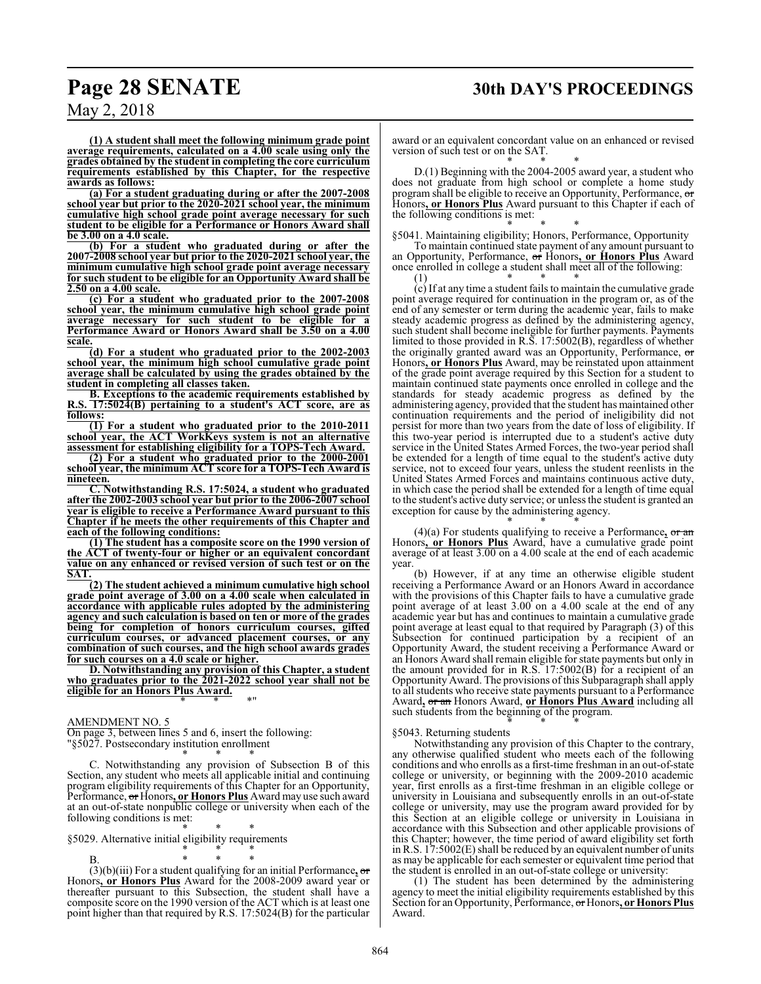## **Page 28 SENATE 30th DAY'S PROCEEDINGS**

May 2, 2018

**(1) A student shall meet the following minimum grade point average requirements, calculated on a 4.00 scale using only the grades obtained by the student in completing the core curriculum requirements established by this Chapter, for the respective awards as follows:**

**(a) For a student graduating during or after the 2007-2008 school year but prior to the 2020-2021 school year, the minimum cumulative high school grade point average necessary for such student to be eligible for a Performance or Honors Award shall be 3.00 on a 4.0 scale.**

**(b) For a student who graduated during or after the 2007-2008 school year but prior to the 2020-2021 school year, the minimum cumulative high school grade point average necessary for such student to be eligible for an Opportunity Award shall be 2.50 on a 4.00 scale.**

**(c) For a student who graduated prior to the 2007-2008 school year, the minimum cumulative high school grade point average necessary for such student to be eligible for a Performance Award or Honors Award shall be 3.50 on a 4.00 scale.**

**(d) For a student who graduated prior to the 2002-2003 school year, the minimum high school cumulative grade point average shall be calculated by using the grades obtained by the student in completing all classes taken.**

**B. Exceptions to the academic requirements established by R.S. 17:5024(B) pertaining to a student's ACT score, are as follows:**

**(1) For a student who graduated prior to the 2010-2011 school year, the ACT WorkKeys system is not an alternative assessment for establishing eligibility for a TOPS-Tech Award.**

**(2) For a student who graduated prior to the 2000-2001 school year, the minimum ACT score for a TOPS-Tech Award is nineteen.**

**C. Notwithstanding R.S. 17:5024, a student who graduated after the 2002-2003 school year but prior to the 2006-2007 school year is eligible to receive a Performance Award pursuant to this Chapter if he meets the other requirements of this Chapter and each of the following conditions:**

**(1) The student has a composite score on the 1990 version of the ACT of twenty-four or higher or an equivalent concordant value on any enhanced or revised version of such test or on the SAT.**

**(2) The student achieved a minimum cumulative high school grade point average of 3.00 on a 4.00 scale when calculated in accordance with applicable rules adopted by the administering agency and such calculation is based on ten or more of the grades being for completion of honors curriculum courses, gifted curriculum courses, or advanced placement courses, or any combination of such courses, and the high school awards grades for such courses on a 4.0 scale or higher.**

**D. Notwithstanding any provision of this Chapter, a student who graduates prior to the 2021-2022 school year shall not be eligible for an Honors Plus Award.** \* \* \*"

#### AMENDMENT NO. 5

On page 3, between lines 5 and 6, insert the following: "§5027. Postsecondary institution enrollment

\* \* \* C. Notwithstanding any provision of Subsection B of this Section, any student who meets all applicable initial and continuing program eligibility requirements of this Chapter for an Opportunity, Performance, or Honors**, or Honors Plus** Award may use such award at an out-of-state nonpublic college or university when each of the following conditions is met:

\* \* \* §5029. Alternative initial eligibility requirements

\* \* \*

B. \* \* \* (3)(b)(iii) For a student qualifying for an initial Performance**,** or Honors**, or Honors Plus** Award for the 2008-2009 award year or thereafter pursuant to this Subsection, the student shall have a composite score on the 1990 version of the ACT which is at least one point higher than that required by R.S. 17:5024(B) for the particular

award or an equivalent concordant value on an enhanced or revised version of such test or on the SAT.

\* \* \* D.(1) Beginning with the 2004-2005 award year, a student who does not graduate from high school or complete a home study program shall be eligible to receive an Opportunity, Performance, or Honors**, or Honors Plus** Award pursuant to this Chapter if each of the following conditions is met:

\* \* \* §5041. Maintaining eligibility; Honors, Performance, Opportunity To maintain continued state payment of any amount pursuant to

an Opportunity, Performance, or Honors**, or Honors Plus** Award once enrolled in college a student shall meet all of the following:<br> $(1)$  \* (1) \* \* \*

(c) If at any time a student fails to maintain the cumulative grade point average required for continuation in the program or, as of the end of any semester or term during the academic year, fails to make steady academic progress as defined by the administering agency, such student shall become ineligible for further payments. Payments limited to those provided in R.S. 17:5002(B), regardless of whether the originally granted award was an Opportunity, Performance, or Honors**, or Honors Plus** Award, may be reinstated upon attainment of the grade point average required by this Section for a student to maintain continued state payments once enrolled in college and the standards for steady academic progress as defined by the administering agency, provided that the student has maintained other continuation requirements and the period of ineligibility did not persist for more than two years from the date of loss of eligibility. If this two-year period is interrupted due to a student's active duty service in the United States Armed Forces, the two-year period shall be extended for a length of time equal to the student's active duty service, not to exceed four years, unless the student reenlists in the United States Armed Forces and maintains continuous active duty, in which case the period shall be extended for a length of time equal to the student's active duty service; or unless the student is granted an exception for cause by the administering agency.

\* \* \* (4)(a) For students qualifying to receive a Performance**,** or an Honors**, or Honors Plus** Award, have a cumulative grade point average of at least 3.00 on a 4.00 scale at the end of each academic year.

(b) However, if at any time an otherwise eligible student receiving a Performance Award or an Honors Award in accordance with the provisions of this Chapter fails to have a cumulative grade point average of at least 3.00 on a 4.00 scale at the end of any academic year but has and continues to maintain a cumulative grade point average at least equal to that required by Paragraph (3) of this Subsection for continued participation by a recipient of an Opportunity Award, the student receiving a Performance Award or an Honors Award shall remain eligible for state payments but only in the amount provided for in R.S. 17:5002(B) for a recipient of an Opportunity Award. The provisions of this Subparagraph shall apply to all students who receive state payments pursuant to a Performance Award**,** or an Honors Award, **or Honors Plus Award** including all such students from the beginning of the program. \* \* \*

#### §5043. Returning students

Notwithstanding any provision of this Chapter to the contrary, any otherwise qualified student who meets each of the following conditions and who enrolls as a first-time freshman in an out-of-state college or university, or beginning with the 2009-2010 academic year, first enrolls as a first-time freshman in an eligible college or university in Louisiana and subsequently enrolls in an out-of-state college or university, may use the program award provided for by this Section at an eligible college or university in Louisiana in accordance with this Subsection and other applicable provisions of this Chapter; however, the time period of award eligibility set forth in R.S. 17:5002(E) shall be reduced by an equivalent number of units as may be applicable for each semester or equivalent time period that the student is enrolled in an out-of-state college or university:

(1) The student has been determined by the administering agency to meet the initial eligibility requirements established by this Section for an Opportunity, Performance, or Honors**, or Honors Plus** Award.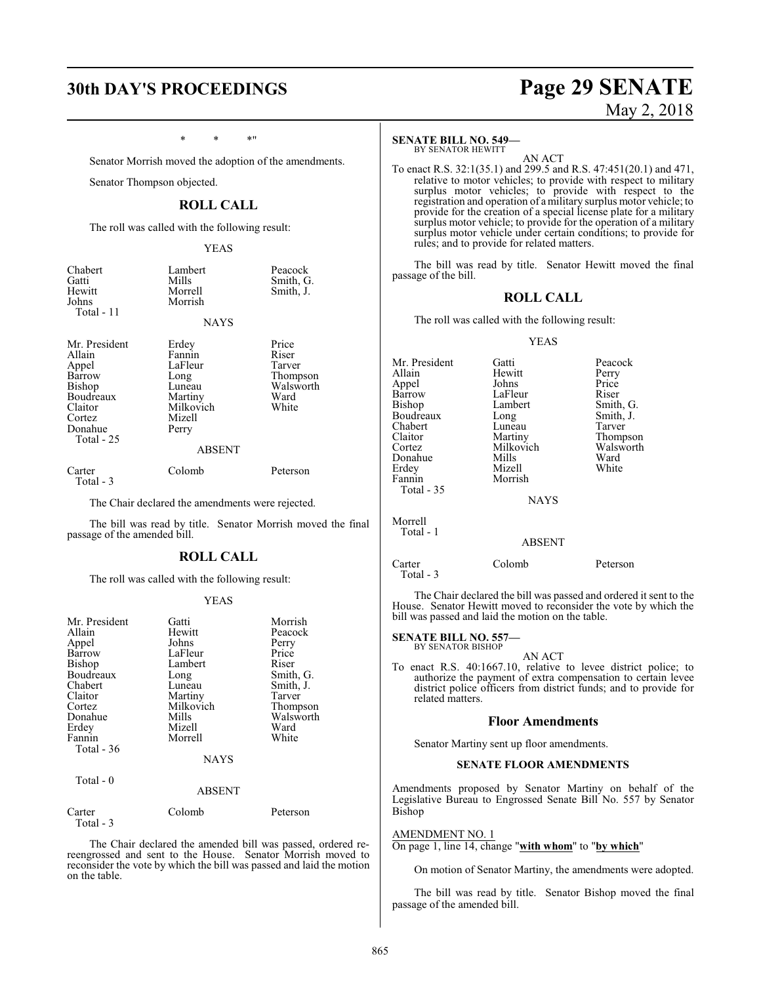## \* \* \*"

Senator Morrish moved the adoption of the amendments.

Senator Thompson objected.

### **ROLL CALL**

The roll was called with the following result:

YEAS

| Chabert<br>Gatti<br>Hewitt<br>Johns | Lambert<br>Mills<br>Morrell<br>Morrish | Peacock<br>Smith, G.<br>Smith, J. |
|-------------------------------------|----------------------------------------|-----------------------------------|
| Total - $11$                        | <b>NAYS</b>                            |                                   |

Mr. President Erdey Price<br>
Allain Fannin Riser Appel LaFleur<br>Barrow Long Cortez Mizel<br>Donahue Perry Donahue Total - 25

Allain Fannin Riser<br>
Appel LaFleur Tarver Barrow Long Thompson<br>Bishop Luneau Walsworth Luneau Walsworth<br>
Martiny Ward Boudreaux Martiny Ward<br>Claitor Milkovich White Milkovich<br>Mizell

## ABSENT

Total - 3

Carter Colomb Peterson

The Chair declared the amendments were rejected.

The bill was read by title. Senator Morrish moved the final passage of the amended bill.

#### **ROLL CALL**

The roll was called with the following result:

#### YEAS

| Mr. President | Gatti         | Morrish        |
|---------------|---------------|----------------|
| Allain        | Hewitt        | Peacock        |
| Appel         | Johns         | Perry          |
| Barrow        | LaFleur       | Price          |
| Bishop        | Lambert       | Riser          |
| Boudreaux     | Long          | Smith, G.      |
| Chabert       | Luneau        | Smith, J.      |
| Claitor       | Martiny       | Tarver         |
| Cortez        | Milkovich     | Thompson       |
| Donahue       | Mills         | Walsworth      |
| Erdey         | Mizell        | Ward           |
| Fannin        | Morrell       | White          |
| Total $-36$   |               |                |
|               | <b>NAYS</b>   |                |
| Total - 0     |               |                |
|               | <b>ABSENT</b> |                |
| $\sim$ $\sim$ | $\sim$ 1 1    | $\mathbf{r}$ . |

| Carter    | Colomb | Peterson |
|-----------|--------|----------|
| Total - 3 |        |          |

The Chair declared the amended bill was passed, ordered rereengrossed and sent to the House. Senator Morrish moved to reconsider the vote by which the bill was passed and laid the motion on the table.

#### **SENATE BILL NO. 549—**

BY SENATOR HEWITT AN ACT

To enact R.S. 32:1(35.1) and 299.5 and R.S. 47:451(20.1) and 471, relative to motor vehicles; to provide with respect to military surplus motor vehicles; to provide with respect to the registration and operation of a military surplus motor vehicle; to provide for the creation of a special license plate for a military surplus motor vehicle; to provide for the operation of a military surplus motor vehicle under certain conditions; to provide for rules; and to provide for related matters.

The bill was read by title. Senator Hewitt moved the final passage of the bill.

#### **ROLL CALL**

The roll was called with the following result:

#### YEAS

| Mr. President | Gatti         | Peacock   |
|---------------|---------------|-----------|
| Allain        | Hewitt        | Perry     |
| Appel         | Johns         | Price     |
| Barrow        | LaFleur       | Riser     |
| Bishop        | Lambert       | Smith, G. |
| Boudreaux     | Long          | Smith, J. |
| Chabert       | Luneau        | Tarver    |
| Claitor       | Martiny       | Thompson  |
| Cortez        | Milkovich     | Walsworth |
| Donahue       | Mills         | Ward      |
| Erdey         | Mizell        | White     |
| Fannin        | Morrish       |           |
| Total - 35    |               |           |
|               | <b>NAYS</b>   |           |
| Morrell       |               |           |
| Total - 1     | <b>ABSENT</b> |           |
|               |               |           |

Carter Colomb Peterson Total - 3

The Chair declared the bill was passed and ordered it sent to the House. Senator Hewitt moved to reconsider the vote by which the bill was passed and laid the motion on the table.

**SENATE BILL NO. 557—** BY SENATOR BISHOP

AN ACT

To enact R.S. 40:1667.10, relative to levee district police; to authorize the payment of extra compensation to certain levee district police officers from district funds; and to provide for related matters.

#### **Floor Amendments**

Senator Martiny sent up floor amendments.

#### **SENATE FLOOR AMENDMENTS**

Amendments proposed by Senator Martiny on behalf of the Legislative Bureau to Engrossed Senate Bill No. 557 by Senator Bishop

#### AMENDMENT NO. 1

On page 1, line 14, change "**with whom**" to "**by which**"

On motion of Senator Martiny, the amendments were adopted.

The bill was read by title. Senator Bishop moved the final passage of the amended bill.

## **30th DAY'S PROCEEDINGS Page 29 SENATE** May 2, 2018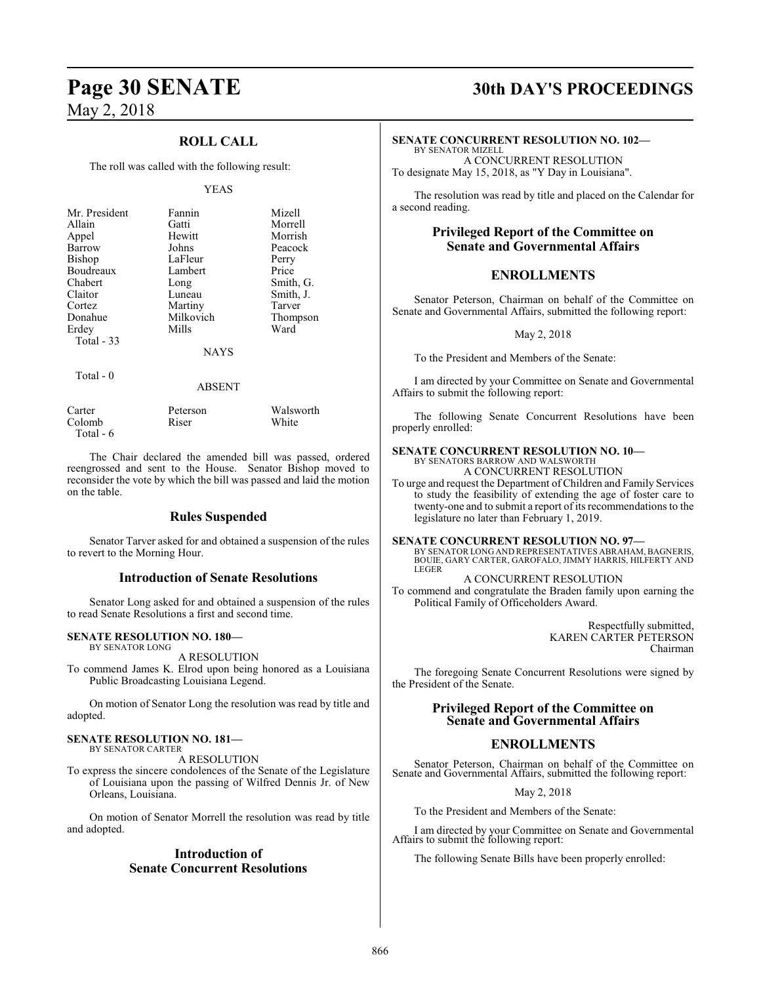## **ROLL CALL**

The roll was called with the following result:

#### YEAS

| Mr. President | Fannin      | Mizell    |
|---------------|-------------|-----------|
| Allain        | Gatti       | Morrell   |
| Appel         | Hewitt      | Morrish   |
| Barrow        | Johns       | Peacock   |
| <b>Bishop</b> | LaFleur     | Perry     |
| Boudreaux     | Lambert     | Price     |
| Chabert       | Long        | Smith, G. |
| Claitor       | Luneau      | Smith, J. |
| Cortez        | Martiny     | Tarver    |
| Donahue       | Milkovich   | Thompson  |
| Erdey         | Mills       | Ward      |
| Total $-33$   |             |           |
|               | <b>NAYS</b> |           |
| Total $-0$    |             |           |
|               | ABSENT      |           |

Carter Peterson Walsworth<br>Colomb Riser White Colomb Total - 6

The Chair declared the amended bill was passed, ordered reengrossed and sent to the House. Senator Bishop moved to reconsider the vote by which the bill was passed and laid the motion on the table.

#### **Rules Suspended**

Senator Tarver asked for and obtained a suspension of the rules to revert to the Morning Hour.

#### **Introduction of Senate Resolutions**

Senator Long asked for and obtained a suspension of the rules to read Senate Resolutions a first and second time.

#### **SENATE RESOLUTION NO. 180—**

BY SENATOR LONG

A RESOLUTION

To commend James K. Elrod upon being honored as a Louisiana Public Broadcasting Louisiana Legend.

On motion of Senator Long the resolution was read by title and adopted.

#### **SENATE RESOLUTION NO. 181—**

BY SENATOR CARTER A RESOLUTION

To express the sincere condolences of the Senate of the Legislature of Louisiana upon the passing of Wilfred Dennis Jr. of New Orleans, Louisiana.

On motion of Senator Morrell the resolution was read by title and adopted.

#### **Introduction of Senate Concurrent Resolutions**

## **Page 30 SENATE 30th DAY'S PROCEEDINGS**

#### **SENATE CONCURRENT RESOLUTION NO. 102—**

BY SENATOR MIZELL A CONCURRENT RESOLUTION To designate May 15, 2018, as "Y Day in Louisiana".

The resolution was read by title and placed on the Calendar for a second reading.

### **Privileged Report of the Committee on Senate and Governmental Affairs**

#### **ENROLLMENTS**

Senator Peterson, Chairman on behalf of the Committee on Senate and Governmental Affairs, submitted the following report:

May 2, 2018

To the President and Members of the Senate:

I am directed by your Committee on Senate and Governmental Affairs to submit the following report:

The following Senate Concurrent Resolutions have been properly enrolled:

#### **SENATE CONCURRENT RESOLUTION NO. 10—**

BY SENATORS BARROW AND WALSWORTH A CONCURRENT RESOLUTION

To urge and request the Department of Children and Family Services to study the feasibility of extending the age of foster care to twenty-one and to submit a report of its recommendations to the legislature no later than February 1, 2019.

**SENATE CONCURRENT RESOLUTION NO. 97—**<br>BY SENATOR LONG AND REPRESENTATIVES ABRAHAM, BAGNERIS, BOUIE, GARY CARTER, GAROFALO, JIMMY HARRIS, HILFERTY AND LEGER

A CONCURRENT RESOLUTION

To commend and congratulate the Braden family upon earning the Political Family of Officeholders Award.

> Respectfully submitted, KAREN CARTER PETERSON Chairman

The foregoing Senate Concurrent Resolutions were signed by the President of the Senate.

#### **Privileged Report of the Committee on Senate and Governmental Affairs**

### **ENROLLMENTS**

Senator Peterson, Chairman on behalf of the Committee on Senate and Governmental Affairs, submitted the following report:

May 2, 2018

To the President and Members of the Senate:

I am directed by your Committee on Senate and Governmental Affairs to submit the following report:

The following Senate Bills have been properly enrolled: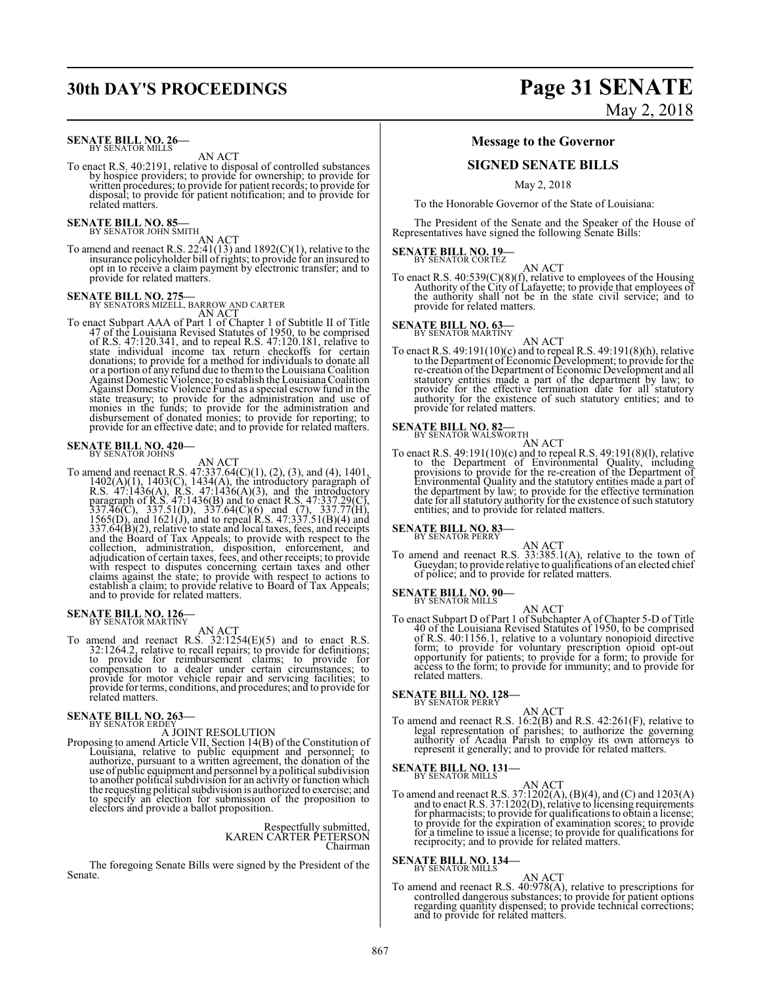## **SENATE BILL NO. 26-**<br>BY SENATOR MILLS

AN ACT

To enact R.S. 40:2191, relative to disposal of controlled substances by hospice providers; to provide for ownership; to provide for written procedures; to provide for patient records; to provide for disposal; to provide for patient notification; and to provide for related matters.

# **SENATE BILL NO. 85—** BY SENATOR JOHN SMITH

AN ACT<br>To amend and reenact R.S. 22:41(13) and 1892(C)(1), relative to the<br>insurance policyholder bill of rights; to provide for an insured to<br>opt in to receive a claim payment by electronic transfer; and to provide for related matters.

**SENATE BILL NO. 275—**<br>BY SENATORS MIZELL, BARROW AND CARTER

AN ACT<br>AN ACT<br>AN ACT Chapter 1 of Subtitle II of Title<br>47 of the Louisiana Revised Statutes of 1950, to be comprised<br>of R.S. 47:120.341, and to repeal R.S. 47:120.181, relative to<br>state individual income tax return checkof Against Domestic Violence Fund as a special escrow fund in the state treasury; to provide for the administration and use of<br>monies in the funds; to provide for the administration and<br>disbursement of donated monies; to provide for reporting; to<br>provide for an effective date; and to pro

## **SENATE BILL NO. 420—**<br>BY SENATOR JOHNS

AN ACT<br>AN ACT<br>AN ACT<br>1402(A)(1), 1403(C), 14334(A), the introductory paragraph of<br>R.S. 47:1436(A), R.S. 47:1436(A)(3), and the introductory<br>paragraph of R.S. 47:1436(B) and to enact R.S. 47:337.29(C),<br>337.46(C), 337.51(D) with respect to disputes concerning certain taxes and other claims against the state; to provide with respect to actions to establish a claim; to provide relative to Board of Tax Appeals; and to provide for related matters.

# **SENATE BILL NO. 126—** BY SENATOR MARTINY

AN ACT<br>To amend and reenact R.S. 32:1254(E)(5) and to enact R.S.<br>32:1264.2, relative to recall repairs; to provide for definitions;<br>to provide for reimbursement claims; to provide for compensation to a dealer under certain circumstances; to provide for motor vehicle repair and servicing facilities; to provide for terms, conditions, and procedures; and to provide for related matters.

# **SENATE BILL NO. 263—**<br>BY SENATOR ERDEY

A JOINT RESOLUTION<br>Proposing to amend Article VII, Section 14(B) of the Constitution of<br>Louisiana, relative to public equipment and personnel; to<br>authorize, pursuant to a written agreement, the donation of the<br>use of publi the requesting political subdivision is authorized to exercise; and to specify an election for submission of the proposition to electors and provide a ballot proposition.

### Respectfully submitted, KAREN CARTER PETERSON Chairman

The foregoing Senate Bills were signed by the President of the Senate.

## **30th DAY'S PROCEEDINGS Page 31 SENATE** May 2, 2018

#### **Message to the Governor**

#### **SIGNED SENATE BILLS**

May 2, 2018

To the Honorable Governor of the State of Louisiana:

The President of the Senate and the Speaker of the House of Representatives have signed the following Senate Bills:

## **SENATE BILL NO. 19-**<br>BY SENATOR CORTEZ

AN ACT

To enact R.S. 40:539(C)(8)(f), relative to employees of the Housing Authority of the City of Lafayette; to provide that employees of the authority shall not be in the state civil service; and to provide for related matters.

## **SENATE BILL NO. 63**<br>BY SENATOR MARTINY

AN ACT<br>To enact R.S. 49:191(10)(c) and to repeal R.S. 49:191(8)(h), relative<br>to the Department of Economic Development; to provide for the<br>re-creation of the Department of Economic Development and all statutory entities made a part of the department by law; to provide for the effective termination date for all statutory authority for the existence of such statutory entities; and to provide for related matters.

# **SENATE BILL NO. 82—**<br>BY SENATOR WALSWORTH

AN ACT<br>To enact R.S. 49:191(10)(c) and to repeal R.S. 49:191(8)(1), relative<br>to the Department of Environmental Quality, including provisions to provide for the re-creation of the Department of<br>Environmental Quality and the statutory entities made a part of<br>the department by law; to provide for the effective termination<br>date for all statutory authorit entities; and to provide for related matters.

## **SENATE BILL NO. 83—**<br>BY SENATOR PERRY

AN ACT<br>To amend and reenact R.S. 33:385.1(A), relative to the town of<br>Gueydan; to provide relative to qualifications of an elected chief<br>of police; and to provide for related matters.

# **SENATE BILL NO. 90-**<br>BY SENATOR MILLS

AN ACT<br>To enact Subpart D of Part 1 of Subchapter A of Chapter 5-D of Title<br>40 of the Louisiana Revised Statutes of 1950, to be comprised of R.S. 40:1156.1, relative to a voluntary nonopioid directive<br>form; to provide for voluntary prescription opioid opt-out<br>opportunity for patients; to provide for a form; to provide for<br>access to the form; to provide for i related matters.

## **SENATE BILL NO. 128—**<br>BY SENATOR PERRY

AN ACT<br>To amend and reenact R.S.  $16:2(B)$  and R.S.  $42:261(F)$ , relative to<br>legal representation of parishes; to authorize the governing<br>authority of Acadia Parish to employ its own attorneys to<br>represent it generally; and

## **SENATE BILL NO. 131-**

AN ACT<br>To amend and reenact R.S. 37:1202(A), (B)(4), and (C) and 1203(A)<br>and to enact R.S. 37:1202(D), relative to licensing requirements<br>for pharmacists; to provide for qualifications to obtain a license;<br>to provide for t for a timeline to issue a license; to provide for qualifications for reciprocity; and to provide for related matters.

## **SENATE BILL NO. 134—** BY SENATOR MILLS

AN ACT To amend and reenact R.S. 40:978(A), relative to prescriptions for controlled dangerous substances; to provide for patient options regarding quantity dispensed; to provide technical corrections; and to provide for related matters.